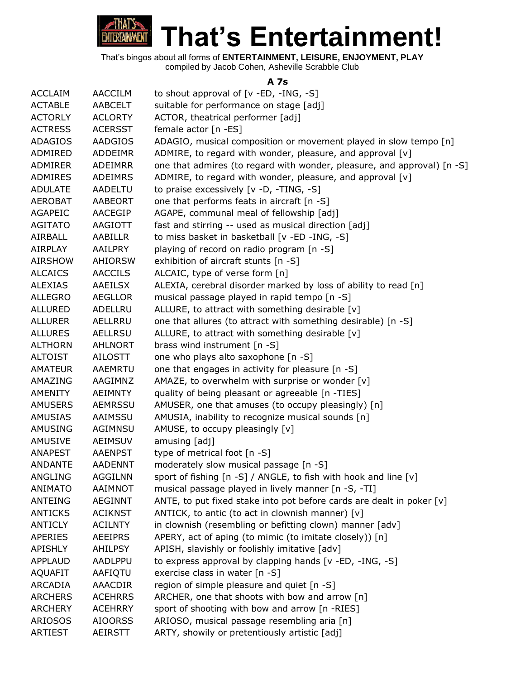

**That's Entertainment!**

That's bingos about all forms of **ENTERTAINMENT, LEISURE, ENJOYMENT, PLAY** compiled by Jacob Cohen, Asheville Scrabble Club

#### **A 7s**

| <b>ACCLAIM</b> | <b>AACCILM</b> | to shout approval of $[v - ED, -ING, -S]$                               |
|----------------|----------------|-------------------------------------------------------------------------|
| <b>ACTABLE</b> | AABCELT        | suitable for performance on stage [adj]                                 |
| <b>ACTORLY</b> | <b>ACLORTY</b> | ACTOR, theatrical performer [adj]                                       |
| <b>ACTRESS</b> | <b>ACERSST</b> | female actor [n -ES]                                                    |
| <b>ADAGIOS</b> | <b>AADGIOS</b> | ADAGIO, musical composition or movement played in slow tempo [n]        |
| ADMIRED        | <b>ADDEIMR</b> | ADMIRE, to regard with wonder, pleasure, and approval [v]               |
| <b>ADMIRER</b> | <b>ADEIMRR</b> | one that admires (to regard with wonder, pleasure, and approval) [n -S] |
| <b>ADMIRES</b> | <b>ADEIMRS</b> | ADMIRE, to regard with wonder, pleasure, and approval [v]               |
| <b>ADULATE</b> | AADELTU        | to praise excessively [v -D, -TING, -S]                                 |
| <b>AEROBAT</b> | <b>AABEORT</b> | one that performs feats in aircraft [n -S]                              |
| <b>AGAPEIC</b> | AACEGIP        | AGAPE, communal meal of fellowship [adj]                                |
| <b>AGITATO</b> | AAGIOTT        | fast and stirring -- used as musical direction [adj]                    |
| AIRBALL        | AABILLR        | to miss basket in basketball [v -ED -ING, -S]                           |
| <b>AIRPLAY</b> | AAILPRY        | playing of record on radio program [n -S]                               |
| <b>AIRSHOW</b> | AHIORSW        | exhibition of aircraft stunts [n -S]                                    |
| <b>ALCAICS</b> | <b>AACCILS</b> | ALCAIC, type of verse form [n]                                          |
| <b>ALEXIAS</b> | <b>AAEILSX</b> | ALEXIA, cerebral disorder marked by loss of ability to read [n]         |
| <b>ALLEGRO</b> | <b>AEGLLOR</b> | musical passage played in rapid tempo [n -S]                            |
| <b>ALLURED</b> | <b>ADELLRU</b> | ALLURE, to attract with something desirable [v]                         |
| <b>ALLURER</b> | AELLRRU        | one that allures (to attract with something desirable) [n -S]           |
| <b>ALLURES</b> | <b>AELLRSU</b> | ALLURE, to attract with something desirable [v]                         |
| <b>ALTHORN</b> | AHLNORT        | brass wind instrument [n -S]                                            |
| <b>ALTOIST</b> | AILOSTT        | one who plays alto saxophone [n -S]                                     |
| <b>AMATEUR</b> | AAEMRTU        | one that engages in activity for pleasure [n -S]                        |
| AMAZING        | AAGIMNZ        | AMAZE, to overwhelm with surprise or wonder [v]                         |
| AMENITY        | AEIMNTY        | quality of being pleasant or agreeable [n -TIES]                        |
| <b>AMUSERS</b> | <b>AEMRSSU</b> | AMUSER, one that amuses (to occupy pleasingly) [n]                      |
| <b>AMUSIAS</b> | AAIMSSU        | AMUSIA, inability to recognize musical sounds [n]                       |
| <b>AMUSING</b> | AGIMNSU        | AMUSE, to occupy pleasingly [v]                                         |
| <b>AMUSIVE</b> | <b>AEIMSUV</b> | amusing [adj]                                                           |
| <b>ANAPEST</b> | <b>AAENPST</b> | type of metrical foot [n -S]                                            |
| <b>ANDANTE</b> | <b>AADENNT</b> | moderately slow musical passage [n -S]                                  |
| ANGLING        | <b>AGGILNN</b> | sport of fishing [n -S] / ANGLE, to fish with hook and line [v]         |
| <b>ANIMATO</b> | <b>AAIMNOT</b> | musical passage played in lively manner [n -S, -TI]                     |
| <b>ANTEING</b> | <b>AEGINNT</b> | ANTE, to put fixed stake into pot before cards are dealt in poker [v]   |
| <b>ANTICKS</b> | <b>ACIKNST</b> | ANTICK, to antic (to act in clownish manner) $[v]$                      |
| <b>ANTICLY</b> | <b>ACILNTY</b> | in clownish (resembling or befitting clown) manner [adv]                |
| <b>APERIES</b> | <b>AEEIPRS</b> | APERY, act of aping (to mimic (to imitate closely)) [n]                 |
| <b>APISHLY</b> | <b>AHILPSY</b> | APISH, slavishly or foolishly imitative [adv]                           |
| <b>APPLAUD</b> | AADLPPU        | to express approval by clapping hands [v -ED, -ING, -S]                 |
| <b>AQUAFIT</b> | AAFIQTU        | exercise class in water [n -S]                                          |
| ARCADIA        | AAACDIR        | region of simple pleasure and quiet [n -S]                              |
| <b>ARCHERS</b> | <b>ACEHRRS</b> | ARCHER, one that shoots with bow and arrow [n]                          |
| <b>ARCHERY</b> | <b>ACEHRRY</b> | sport of shooting with bow and arrow [n -RIES]                          |
| <b>ARIOSOS</b> | <b>AIOORSS</b> | ARIOSO, musical passage resembling aria [n]                             |
| <b>ARTIEST</b> | AEIRSTT        | ARTY, showily or pretentiously artistic [adj]                           |
|                |                |                                                                         |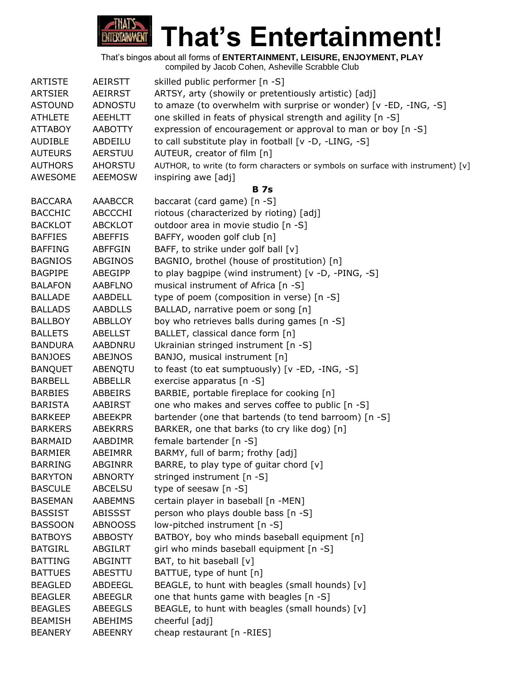

|  | compiled by Jacob Cohen, Asheville Scrabble Club |
|--|--------------------------------------------------|
|  |                                                  |
|  |                                                  |

| <b>ARTISTE</b> | <b>AEIRSTT</b> | skilled public performer [n -S]                                                 |
|----------------|----------------|---------------------------------------------------------------------------------|
| <b>ARTSIER</b> | <b>AEIRRST</b> | ARTSY, arty (showily or pretentiously artistic) [adj]                           |
| <b>ASTOUND</b> | ADNOSTU        | to amaze (to overwhelm with surprise or wonder) [v -ED, -ING, -S]               |
| <b>ATHLETE</b> | <b>AEEHLTT</b> | one skilled in feats of physical strength and agility [n -S]                    |
| <b>ATTABOY</b> | <b>AABOTTY</b> | expression of encouragement or approval to man or boy [n -S]                    |
| <b>AUDIBLE</b> | ABDEILU        | to call substitute play in football [v -D, -LING, -S]                           |
| <b>AUTEURS</b> | AERSTUU        | AUTEUR, creator of film [n]                                                     |
| <b>AUTHORS</b> | <b>AHORSTU</b> | AUTHOR, to write (to form characters or symbols on surface with instrument) [v] |
| AWESOME        | <b>AEEMOSW</b> | inspiring awe [adj]                                                             |
|                |                | <b>B</b> 7s                                                                     |
| <b>BACCARA</b> | <b>AAABCCR</b> | baccarat (card game) [n -S]                                                     |
| <b>BACCHIC</b> | <b>ABCCCHI</b> | riotous (characterized by rioting) [adj]                                        |
| <b>BACKLOT</b> | <b>ABCKLOT</b> | outdoor area in movie studio [n -S]                                             |
| <b>BAFFIES</b> | <b>ABEFFIS</b> | BAFFY, wooden golf club [n]                                                     |
| <b>BAFFING</b> | <b>ABFFGIN</b> | BAFF, to strike under golf ball [v]                                             |
| <b>BAGNIOS</b> | <b>ABGINOS</b> | BAGNIO, brothel (house of prostitution) [n]                                     |
| <b>BAGPIPE</b> | ABEGIPP        | to play bagpipe (wind instrument) [v -D, -PING, -S]                             |
| <b>BALAFON</b> | <b>AABFLNO</b> | musical instrument of Africa [n -S]                                             |
| <b>BALLADE</b> | AABDELL        | type of poem (composition in verse) [n -S]                                      |
| <b>BALLADS</b> | <b>AABDLLS</b> | BALLAD, narrative poem or song [n]                                              |
| <b>BALLBOY</b> | <b>ABBLLOY</b> | boy who retrieves balls during games [n -S]                                     |
| <b>BALLETS</b> | <b>ABELLST</b> | BALLET, classical dance form [n]                                                |
| <b>BANDURA</b> | AABDNRU        | Ukrainian stringed instrument [n -S]                                            |
| <b>BANJOES</b> | ABEJNOS        | BANJO, musical instrument [n]                                                   |
| <b>BANQUET</b> | ABENQTU        | to feast (to eat sumptuously) [v -ED, -ING, -S]                                 |
| <b>BARBELL</b> | <b>ABBELLR</b> | exercise apparatus [n -S]                                                       |
| <b>BARBIES</b> | ABBEIRS        | BARBIE, portable fireplace for cooking [n]                                      |
| <b>BARISTA</b> | <b>AABIRST</b> | one who makes and serves coffee to public [n -S]                                |
| <b>BARKEEP</b> | <b>ABEEKPR</b> | bartender (one that bartends (to tend barroom) [n -S]                           |
| <b>BARKERS</b> | <b>ABEKRRS</b> | BARKER, one that barks (to cry like dog) [n]                                    |
| <b>BARMAID</b> | AABDIMR        | female bartender [n -S]                                                         |
| <b>BARMIER</b> | ABEIMRR        | BARMY, full of barm; frothy [adj]                                               |
| <b>BARRING</b> | <b>ABGINRR</b> | BARRE, to play type of guitar chord [v]                                         |
| <b>BARYTON</b> | <b>ABNORTY</b> | stringed instrument [n -S]                                                      |
| <b>BASCULE</b> | <b>ABCELSU</b> | type of seesaw [n -S]                                                           |
| <b>BASEMAN</b> | <b>AABEMNS</b> | certain player in baseball [n -MEN]                                             |
| <b>BASSIST</b> | <b>ABISSST</b> | person who plays double bass [n -S]                                             |
| <b>BASSOON</b> | <b>ABNOOSS</b> | low-pitched instrument [n -S]                                                   |
| <b>BATBOYS</b> | <b>ABBOSTY</b> | BATBOY, boy who minds baseball equipment [n]                                    |
| <b>BATGIRL</b> | <b>ABGILRT</b> | girl who minds baseball equipment [n -S]                                        |
| <b>BATTING</b> | <b>ABGINTT</b> | BAT, to hit baseball [v]                                                        |
| <b>BATTUES</b> | ABESTTU        | BATTUE, type of hunt [n]                                                        |
| <b>BEAGLED</b> | ABDEEGL        | BEAGLE, to hunt with beagles (small hounds) [v]                                 |
| <b>BEAGLER</b> | <b>ABEEGLR</b> | one that hunts game with beagles [n -S]                                         |
| <b>BEAGLES</b> | <b>ABEEGLS</b> | BEAGLE, to hunt with beagles (small hounds) [v]                                 |
| <b>BEAMISH</b> | ABEHIMS        | cheerful [adj]                                                                  |
| <b>BEANERY</b> | ABEENRY        | cheap restaurant [n -RIES]                                                      |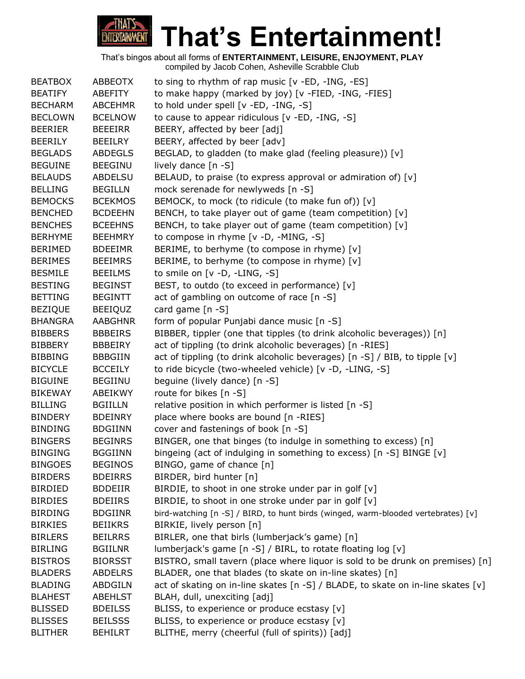

| <b>BEATBOX</b> | ABBEOTX        | to sing to rhythm of rap music $[v - ED, -ING, -ES]$                              |
|----------------|----------------|-----------------------------------------------------------------------------------|
| <b>BEATIFY</b> | ABEFITY        | to make happy (marked by joy) [v -FIED, -ING, -FIES]                              |
| <b>BECHARM</b> | <b>ABCEHMR</b> | to hold under spell [v -ED, -ING, -S]                                             |
| <b>BECLOWN</b> | <b>BCELNOW</b> | to cause to appear ridiculous [v -ED, -ING, -S]                                   |
| <b>BEERIER</b> | BEEEIRR        | BEERY, affected by beer [adj]                                                     |
| <b>BEERILY</b> | <b>BEEILRY</b> | BEERY, affected by beer [adv]                                                     |
| <b>BEGLADS</b> | <b>ABDEGLS</b> | BEGLAD, to gladden (to make glad (feeling pleasure)) [v]                          |
| <b>BEGUINE</b> | <b>BEEGINU</b> | lively dance [n -S]                                                               |
| <b>BELAUDS</b> | <b>ABDELSU</b> | BELAUD, to praise (to express approval or admiration of) [v]                      |
| <b>BELLING</b> | <b>BEGILLN</b> | mock serenade for newlyweds [n -S]                                                |
| <b>BEMOCKS</b> | <b>BCEKMOS</b> | BEMOCK, to mock (to ridicule (to make fun of)) [v]                                |
| <b>BENCHED</b> | <b>BCDEEHN</b> | BENCH, to take player out of game (team competition) [v]                          |
| <b>BENCHES</b> | <b>BCEEHNS</b> | BENCH, to take player out of game (team competition) [v]                          |
| <b>BERHYME</b> | <b>BEEHMRY</b> | to compose in rhyme [v -D, -MING, -S]                                             |
| <b>BERIMED</b> | <b>BDEEIMR</b> | BERIME, to berhyme (to compose in rhyme) [v]                                      |
| <b>BERIMES</b> | <b>BEEIMRS</b> | BERIME, to berhyme (to compose in rhyme) [v]                                      |
| <b>BESMILE</b> | <b>BEEILMS</b> | to smile on [v -D, -LING, -S]                                                     |
| <b>BESTING</b> | <b>BEGINST</b> | BEST, to outdo (to exceed in performance) [v]                                     |
| <b>BETTING</b> | <b>BEGINTT</b> | act of gambling on outcome of race [n -S]                                         |
| <b>BEZIQUE</b> | <b>BEEIQUZ</b> | card game [n -S]                                                                  |
| <b>BHANGRA</b> | <b>AABGHNR</b> | form of popular Punjabi dance music [n -S]                                        |
| <b>BIBBERS</b> | <b>BBBEIRS</b> | BIBBER, tippler (one that tipples (to drink alcoholic beverages)) [n]             |
| <b>BIBBERY</b> | BBBEIRY        | act of tippling (to drink alcoholic beverages) [n -RIES]                          |
| <b>BIBBING</b> | <b>BBBGIIN</b> | act of tippling (to drink alcoholic beverages) [n -S] / BIB, to tipple [v]        |
| <b>BICYCLE</b> | <b>BCCEILY</b> | to ride bicycle (two-wheeled vehicle) [v -D, -LING, -S]                           |
| <b>BIGUINE</b> | <b>BEGIINU</b> | beguine (lively dance) [n -S]                                                     |
| <b>BIKEWAY</b> | ABEIKWY        | route for bikes [n -S]                                                            |
| <b>BILLING</b> | <b>BGIILLN</b> | relative position in which performer is listed [n -S]                             |
| <b>BINDERY</b> | <b>BDEINRY</b> | place where books are bound [n -RIES]                                             |
| <b>BINDING</b> | <b>BDGIINN</b> | cover and fastenings of book [n -S]                                               |
| <b>BINGERS</b> | <b>BEGINRS</b> | BINGER, one that binges (to indulge in something to excess) [n]                   |
| <b>BINGING</b> | <b>BGGIINN</b> | bingeing (act of indulging in something to excess) [n -S] BINGE [v]               |
| <b>BINGOES</b> | <b>BEGINOS</b> | BINGO, game of chance [n]                                                         |
| <b>BIRDERS</b> | <b>BDEIRRS</b> | BIRDER, bird hunter [n]                                                           |
| <b>BIRDIED</b> | <b>BDDEIIR</b> | BIRDIE, to shoot in one stroke under par in golf [v]                              |
| <b>BIRDIES</b> | <b>BDEIIRS</b> | BIRDIE, to shoot in one stroke under par in golf [v]                              |
| <b>BIRDING</b> | <b>BDGIINR</b> | bird-watching [n -S] / BIRD, to hunt birds (winged, warm-blooded vertebrates) [v] |
| <b>BIRKIES</b> | <b>BEIIKRS</b> | BIRKIE, lively person [n]                                                         |
| <b>BIRLERS</b> | <b>BEILRRS</b> | BIRLER, one that birls (lumberjack's game) [n]                                    |
| <b>BIRLING</b> | <b>BGIILNR</b> | lumberjack's game [n -S] / BIRL, to rotate floating log [v]                       |
| <b>BISTROS</b> | <b>BIORSST</b> | BISTRO, small tavern (place where liquor is sold to be drunk on premises) [n]     |
| <b>BLADERS</b> | <b>ABDELRS</b> | BLADER, one that blades (to skate on in-line skates) [n]                          |
| <b>BLADING</b> | <b>ABDGILN</b> | act of skating on in-line skates [n -S] / BLADE, to skate on in-line skates [v]   |
| <b>BLAHEST</b> | <b>ABEHLST</b> | BLAH, dull, unexciting [adj]                                                      |
| <b>BLISSED</b> | <b>BDEILSS</b> | BLISS, to experience or produce ecstasy [v]                                       |
| <b>BLISSES</b> | <b>BEILSSS</b> | BLISS, to experience or produce ecstasy [v]                                       |
| <b>BLITHER</b> | <b>BEHILRT</b> | BLITHE, merry (cheerful (full of spirits)) [adj]                                  |
|                |                |                                                                                   |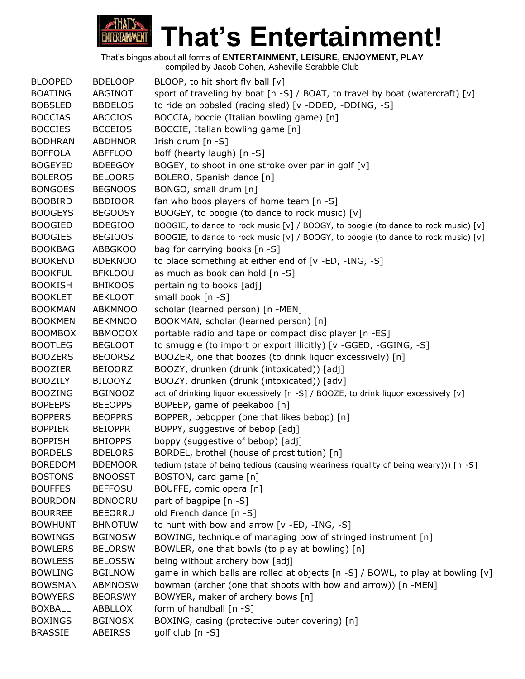

| sport of traveling by boat $[n -S]$ / BOAT, to travel by boat (watercraft) $[v]$<br>to ride on bobsled (racing sled) [v -DDED, -DDING, -S]<br>BOCCIA, boccie (Italian bowling game) [n] |
|-----------------------------------------------------------------------------------------------------------------------------------------------------------------------------------------|
|                                                                                                                                                                                         |
|                                                                                                                                                                                         |
|                                                                                                                                                                                         |
| BOCCIE, Italian bowling game [n]                                                                                                                                                        |
|                                                                                                                                                                                         |
| boff (hearty laugh) [n -S]                                                                                                                                                              |
| BOGEY, to shoot in one stroke over par in golf [v]                                                                                                                                      |
| BOLERO, Spanish dance [n]                                                                                                                                                               |
|                                                                                                                                                                                         |
| fan who boos players of home team [n -S]                                                                                                                                                |
| BOOGEY, to boogie (to dance to rock music) [v]                                                                                                                                          |
| BOOGIE, to dance to rock music [v] / BOOGY, to boogie (to dance to rock music) [v]                                                                                                      |
| BOOGIE, to dance to rock music [v] / BOOGY, to boogie (to dance to rock music) [v]                                                                                                      |
| bag for carrying books [n -S]                                                                                                                                                           |
| to place something at either end of [v -ED, -ING, -S]                                                                                                                                   |
| as much as book can hold [n -S]                                                                                                                                                         |
|                                                                                                                                                                                         |
|                                                                                                                                                                                         |
| scholar (learned person) [n -MEN]                                                                                                                                                       |
| BOOKMAN, scholar (learned person) [n]                                                                                                                                                   |
| portable radio and tape or compact disc player [n -ES]                                                                                                                                  |
| to smuggle (to import or export illicitly) [v -GGED, -GGING, -S]                                                                                                                        |
| BOOZER, one that boozes (to drink liquor excessively) [n]                                                                                                                               |
| BOOZY, drunken (drunk (intoxicated)) [adj]                                                                                                                                              |
| BOOZY, drunken (drunk (intoxicated)) [adv]                                                                                                                                              |
| act of drinking liquor excessively [n -S] / BOOZE, to drink liquor excessively [v]                                                                                                      |
| BOPEEP, game of peekaboo [n]                                                                                                                                                            |
| BOPPER, bebopper (one that likes bebop) [n]                                                                                                                                             |
| BOPPY, suggestive of bebop [adj]                                                                                                                                                        |
| boppy (suggestive of bebop) [adj]                                                                                                                                                       |
| BORDEL, brothel (house of prostitution) [n]                                                                                                                                             |
| tedium (state of being tedious (causing weariness (quality of being weary))) [n -S]                                                                                                     |
|                                                                                                                                                                                         |
| BOUFFE, comic opera [n]                                                                                                                                                                 |
|                                                                                                                                                                                         |
|                                                                                                                                                                                         |
| to hunt with bow and arrow [v -ED, -ING, -S]                                                                                                                                            |
| BOWING, technique of managing bow of stringed instrument [n]                                                                                                                            |
| BOWLER, one that bowls (to play at bowling) [n]                                                                                                                                         |
| being without archery bow [adj]                                                                                                                                                         |
| game in which balls are rolled at objects [n -S] / BOWL, to play at bowling [v]                                                                                                         |
| bowman (archer (one that shoots with bow and arrow)) [n -MEN]                                                                                                                           |
| BOWYER, maker of archery bows [n]                                                                                                                                                       |
|                                                                                                                                                                                         |
| BOXING, casing (protective outer covering) [n]                                                                                                                                          |
|                                                                                                                                                                                         |
| pertaining to books [adj]                                                                                                                                                               |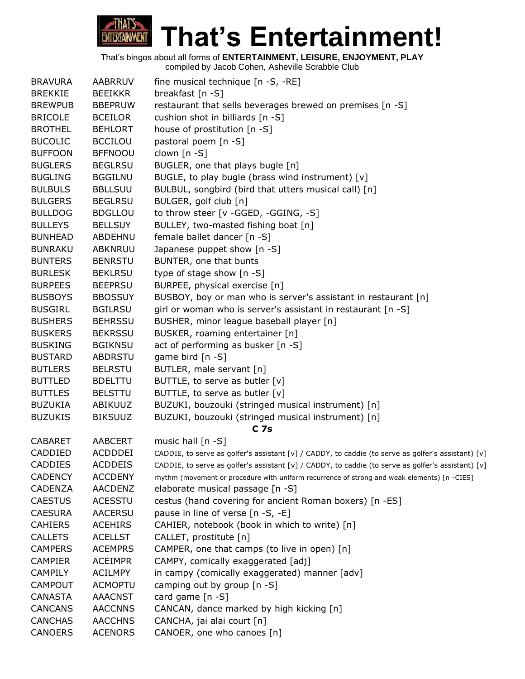

| <b>BRAVURA</b> | <b>AABRRUV</b> | fine musical technique [n -S, -RE]                                                                 |
|----------------|----------------|----------------------------------------------------------------------------------------------------|
| <b>BREKKIE</b> | <b>BEEIKKR</b> | breakfast [n -S]                                                                                   |
| <b>BREWPUB</b> | <b>BBEPRUW</b> | restaurant that sells beverages brewed on premises [n -S]                                          |
| <b>BRICOLE</b> | <b>BCEILOR</b> | cushion shot in billiards [n -S]                                                                   |
| <b>BROTHEL</b> | <b>BEHLORT</b> | house of prostitution [n -S]                                                                       |
| <b>BUCOLIC</b> | <b>BCCILOU</b> | pastoral poem [n -S]                                                                               |
| <b>BUFFOON</b> | <b>BFFNOOU</b> | clown [n -S]                                                                                       |
| <b>BUGLERS</b> | <b>BEGLRSU</b> | BUGLER, one that plays bugle [n]                                                                   |
| <b>BUGLING</b> | <b>BGGILNU</b> | BUGLE, to play bugle (brass wind instrument) [v]                                                   |
| <b>BULBULS</b> | <b>BBLLSUU</b> | BULBUL, songbird (bird that utters musical call) [n]                                               |
| <b>BULGERS</b> | <b>BEGLRSU</b> | BULGER, golf club [n]                                                                              |
| <b>BULLDOG</b> | <b>BDGLLOU</b> | to throw steer [v -GGED, -GGING, -S]                                                               |
| <b>BULLEYS</b> | <b>BELLSUY</b> | BULLEY, two-masted fishing boat [n]                                                                |
| <b>BUNHEAD</b> | ABDEHNU        | female ballet dancer [n -S]                                                                        |
| <b>BUNRAKU</b> | ABKNRUU        | Japanese puppet show [n -S]                                                                        |
| <b>BUNTERS</b> | <b>BENRSTU</b> | BUNTER, one that bunts                                                                             |
| <b>BURLESK</b> | <b>BEKLRSU</b> | type of stage show [n -S]                                                                          |
| <b>BURPEES</b> | <b>BEEPRSU</b> | BURPEE, physical exercise [n]                                                                      |
| <b>BUSBOYS</b> | <b>BBOSSUY</b> | BUSBOY, boy or man who is server's assistant in restaurant [n]                                     |
| <b>BUSGIRL</b> | <b>BGILRSU</b> | girl or woman who is server's assistant in restaurant [n -S]                                       |
| <b>BUSHERS</b> | <b>BEHRSSU</b> | BUSHER, minor league baseball player [n]                                                           |
| <b>BUSKERS</b> | <b>BEKRSSU</b> | BUSKER, roaming entertainer [n]                                                                    |
| <b>BUSKING</b> | <b>BGIKNSU</b> | act of performing as busker [n -S]                                                                 |
| <b>BUSTARD</b> | ABDRSTU        | game bird [n -S]                                                                                   |
| <b>BUTLERS</b> | <b>BELRSTU</b> | BUTLER, male servant [n]                                                                           |
| <b>BUTTLED</b> | <b>BDELTTU</b> | BUTTLE, to serve as butler [v]                                                                     |
| <b>BUTTLES</b> | <b>BELSTTU</b> | BUTTLE, to serve as butler [v]                                                                     |
| <b>BUZUKIA</b> | ABIKUUZ        | BUZUKI, bouzouki (stringed musical instrument) [n]                                                 |
| <b>BUZUKIS</b> | <b>BIKSUUZ</b> | BUZUKI, bouzouki (stringed musical instrument) [n]                                                 |
|                |                | C <sub>7s</sub>                                                                                    |
| <b>CABARET</b> | <b>AABCERT</b> | music hall [n -S]                                                                                  |
| CADDIED        | <b>ACDDDEI</b> | CADDIE, to serve as golfer's assistant [v] / CADDY, to caddie (to serve as golfer's assistant) [v] |
| <b>CADDIES</b> | <b>ACDDEIS</b> | CADDIE, to serve as golfer's assistant [v] / CADDY, to caddie (to serve as golfer's assistant) [v] |
| <b>CADENCY</b> | <b>ACCDENY</b> | rhythm (movement or procedure with uniform recurrence of strong and weak elements) [n -CIES]       |
| <b>CADENZA</b> | <b>AACDENZ</b> | elaborate musical passage [n -S]                                                                   |
| <b>CAESTUS</b> | <b>ACESSTU</b> | cestus (hand covering for ancient Roman boxers) [n -ES]                                            |
| <b>CAESURA</b> | <b>AACERSU</b> | pause in line of verse [n -S, -E]                                                                  |
| <b>CAHIERS</b> | <b>ACEHIRS</b> | CAHIER, notebook (book in which to write) [n]                                                      |
| <b>CALLETS</b> | <b>ACELLST</b> | CALLET, prostitute [n]                                                                             |
| <b>CAMPERS</b> | <b>ACEMPRS</b> | CAMPER, one that camps (to live in open) [n]                                                       |
| <b>CAMPIER</b> | <b>ACEIMPR</b> | CAMPY, comically exaggerated [adj]                                                                 |
| <b>CAMPILY</b> | <b>ACILMPY</b> | in campy (comically exaggerated) manner [adv]                                                      |
| <b>CAMPOUT</b> | <b>ACMOPTU</b> | camping out by group [n -S]                                                                        |
| CANASTA        | <b>AAACNST</b> | card game $[n - S]$                                                                                |
| <b>CANCANS</b> | <b>AACCNNS</b> | CANCAN, dance marked by high kicking [n]                                                           |
| <b>CANCHAS</b> | <b>AACCHNS</b> | CANCHA, jai alai court [n]                                                                         |
| <b>CANOERS</b> | <b>ACENORS</b> | CANOER, one who canoes [n]                                                                         |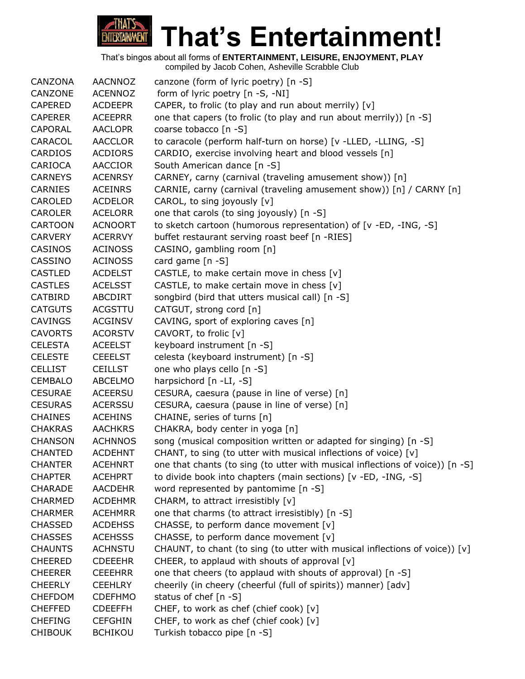

| CANZONA        | <b>AACNNOZ</b> | canzone (form of lyric poetry) [n -S]                                         |
|----------------|----------------|-------------------------------------------------------------------------------|
| CANZONE        | <b>ACENNOZ</b> | form of lyric poetry [n -S, -NI]                                              |
| <b>CAPERED</b> | <b>ACDEEPR</b> | CAPER, to frolic (to play and run about merrily) [v]                          |
| <b>CAPERER</b> | <b>ACEEPRR</b> | one that capers (to frolic (to play and run about merrily)) [n -S]            |
| <b>CAPORAL</b> | <b>AACLOPR</b> | coarse tobacco [n -S]                                                         |
| CARACOL        | <b>AACCLOR</b> | to caracole (perform half-turn on horse) [v -LLED, -LLING, -S]                |
| CARDIOS        | <b>ACDIORS</b> | CARDIO, exercise involving heart and blood vessels [n]                        |
| CARIOCA        | <b>AACCIOR</b> | South American dance [n -S]                                                   |
| <b>CARNEYS</b> | <b>ACENRSY</b> | CARNEY, carny (carnival (traveling amusement show)) [n]                       |
| <b>CARNIES</b> | <b>ACEINRS</b> | CARNIE, carny (carnival (traveling amusement show)) [n] / CARNY [n]           |
| <b>CAROLED</b> | <b>ACDELOR</b> | CAROL, to sing joyously [v]                                                   |
| <b>CAROLER</b> | <b>ACELORR</b> | one that carols (to sing joyously) [n -S]                                     |
| <b>CARTOON</b> | <b>ACNOORT</b> | to sketch cartoon (humorous representation) of [v -ED, -ING, -S]              |
| <b>CARVERY</b> | <b>ACERRVY</b> | buffet restaurant serving roast beef [n -RIES]                                |
| <b>CASINOS</b> | <b>ACINOSS</b> | CASINO, gambling room [n]                                                     |
| CASSINO        | <b>ACINOSS</b> | card game [n -S]                                                              |
| <b>CASTLED</b> | <b>ACDELST</b> | CASTLE, to make certain move in chess [v]                                     |
| <b>CASTLES</b> | <b>ACELSST</b> | CASTLE, to make certain move in chess [v]                                     |
| CATBIRD        | ABCDIRT        | songbird (bird that utters musical call) [n -S]                               |
| <b>CATGUTS</b> | <b>ACGSTTU</b> | CATGUT, strong cord [n]                                                       |
| <b>CAVINGS</b> | <b>ACGINSV</b> | CAVING, sport of exploring caves [n]                                          |
| <b>CAVORTS</b> | <b>ACORSTV</b> | CAVORT, to frolic [v]                                                         |
| <b>CELESTA</b> | <b>ACEELST</b> | keyboard instrument [n -S]                                                    |
| <b>CELESTE</b> | <b>CEEELST</b> | celesta (keyboard instrument) [n -S]                                          |
| <b>CELLIST</b> | <b>CEILLST</b> | one who plays cello [n -S]                                                    |
| <b>CEMBALO</b> | <b>ABCELMO</b> | harpsichord [n -LI, -S]                                                       |
| <b>CESURAE</b> | <b>ACEERSU</b> | CESURA, caesura (pause in line of verse) [n]                                  |
| <b>CESURAS</b> | <b>ACERSSU</b> | CESURA, caesura (pause in line of verse) [n]                                  |
| <b>CHAINES</b> | <b>ACEHINS</b> | CHAINE, series of turns [n]                                                   |
| <b>CHAKRAS</b> | <b>AACHKRS</b> | CHAKRA, body center in yoga [n]                                               |
| <b>CHANSON</b> | <b>ACHNNOS</b> | song (musical composition written or adapted for singing) [n -S]              |
| <b>CHANTED</b> | <b>ACDEHNT</b> | CHANT, to sing (to utter with musical inflections of voice) [v]               |
| <b>CHANTER</b> | <b>ACEHNRT</b> | one that chants (to sing (to utter with musical inflections of voice)) [n -S] |
| <b>CHAPTER</b> | <b>ACEHPRT</b> | to divide book into chapters (main sections) [v -ED, -ING, -S]                |
| <b>CHARADE</b> | <b>AACDEHR</b> | word represented by pantomime [n -S]                                          |
| <b>CHARMED</b> | <b>ACDEHMR</b> | CHARM, to attract irresistibly [v]                                            |
| <b>CHARMER</b> | <b>ACEHMRR</b> | one that charms (to attract irresistibly) [n -S]                              |
| <b>CHASSED</b> | <b>ACDEHSS</b> | CHASSE, to perform dance movement [v]                                         |
| <b>CHASSES</b> | <b>ACEHSSS</b> | CHASSE, to perform dance movement [v]                                         |
| <b>CHAUNTS</b> | <b>ACHNSTU</b> | CHAUNT, to chant (to sing (to utter with musical inflections of voice)) [v]   |
| <b>CHEERED</b> | <b>CDEEEHR</b> | CHEER, to applaud with shouts of approval [v]                                 |
| <b>CHEERER</b> | <b>CEEEHRR</b> | one that cheers (to applaud with shouts of approval) [n -S]                   |
| <b>CHEERLY</b> | <b>CEEHLRY</b> | cheerily (in cheery (cheerful (full of spirits)) manner) [adv]                |
| <b>CHEFDOM</b> | <b>CDEFHMO</b> | status of chef [n -S]                                                         |
| <b>CHEFFED</b> | <b>CDEEFFH</b> | CHEF, to work as chef (chief cook) [v]                                        |
| <b>CHEFING</b> | <b>CEFGHIN</b> | CHEF, to work as chef (chief cook) [v]                                        |
| <b>CHIBOUK</b> | <b>BCHIKOU</b> | Turkish tobacco pipe [n -S]                                                   |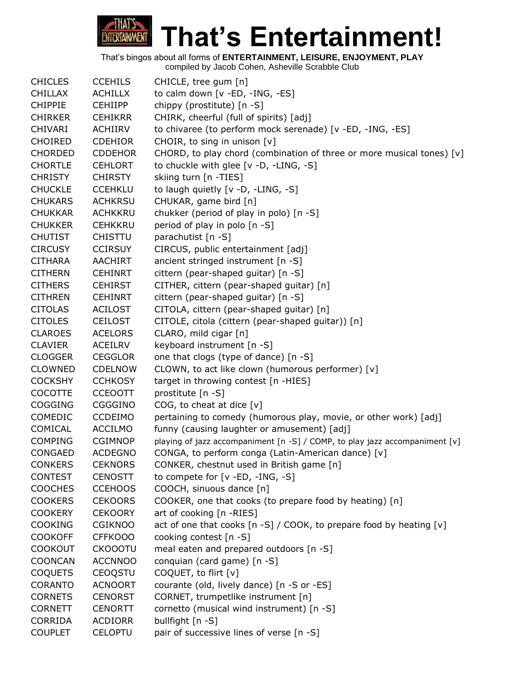# **That's Entertainment! ENTERTAINMENT**

That's bingos about all forms of **ENTERTAINMENT, LEISURE, ENJOYMENT, PLAY**

| <b>CHICLES</b> | <b>CCEHILS</b> | CHICLE, tree gum [n]                                                        |
|----------------|----------------|-----------------------------------------------------------------------------|
| <b>CHILLAX</b> | <b>ACHILLX</b> | to calm down [v -ED, -ING, -ES]                                             |
| <b>CHIPPIE</b> | <b>CEHIIPP</b> | chippy (prostitute) [n -S]                                                  |
| <b>CHIRKER</b> | <b>CEHIKRR</b> | CHIRK, cheerful (full of spirits) [adj]                                     |
| <b>CHIVARI</b> | ACHIIRV        | to chivaree (to perform mock serenade) [v -ED, -ING, -ES]                   |
| <b>CHOIRED</b> | <b>CDEHIOR</b> | CHOIR, to sing in unison [v]                                                |
| <b>CHORDED</b> | <b>CDDEHOR</b> | CHORD, to play chord (combination of three or more musical tones) [v]       |
| <b>CHORTLE</b> | <b>CEHLORT</b> | to chuckle with glee [v -D, -LING, -S]                                      |
| <b>CHRISTY</b> | <b>CHIRSTY</b> | skiing turn [n -TIES]                                                       |
| <b>CHUCKLE</b> | <b>CCEHKLU</b> | to laugh quietly [v -D, -LING, -S]                                          |
| <b>CHUKARS</b> | <b>ACHKRSU</b> | CHUKAR, game bird [n]                                                       |
| <b>CHUKKAR</b> | <b>ACHKKRU</b> | chukker (period of play in polo) [n -S]                                     |
| <b>CHUKKER</b> | <b>CEHKKRU</b> | period of play in polo [n -S]                                               |
| <b>CHUTIST</b> | <b>CHISTTU</b> | parachutist [n -S]                                                          |
| <b>CIRCUSY</b> | <b>CCIRSUY</b> | CIRCUS, public entertainment [adj]                                          |
| <b>CITHARA</b> | <b>AACHIRT</b> | ancient stringed instrument [n -S]                                          |
| <b>CITHERN</b> | <b>CEHINRT</b> | cittern (pear-shaped guitar) [n -S]                                         |
| <b>CITHERS</b> | <b>CEHIRST</b> | CITHER, cittern (pear-shaped guitar) [n]                                    |
| <b>CITHREN</b> | <b>CEHINRT</b> | cittern (pear-shaped guitar) [n -S]                                         |
| <b>CITOLAS</b> | <b>ACILOST</b> | CITOLA, cittern (pear-shaped guitar) [n]                                    |
| <b>CITOLES</b> | <b>CEILOST</b> | CITOLE, citola (cittern (pear-shaped guitar)) [n]                           |
| <b>CLAROES</b> | <b>ACELORS</b> | CLARO, mild cigar [n]                                                       |
| <b>CLAVIER</b> | ACEILRV        | keyboard instrument [n -S]                                                  |
| <b>CLOGGER</b> | <b>CEGGLOR</b> | one that clogs (type of dance) [n -S]                                       |
| <b>CLOWNED</b> | <b>CDELNOW</b> | CLOWN, to act like clown (humorous performer) [v]                           |
| <b>COCKSHY</b> | <b>CCHKOSY</b> | target in throwing contest [n -HIES]                                        |
| <b>COCOTTE</b> | <b>CCEOOTT</b> | prostitute [n -S]                                                           |
| <b>COGGING</b> | CGGGINO        | COG, to cheat at dice $[v]$                                                 |
| <b>COMEDIC</b> | <b>CCDEIMO</b> | pertaining to comedy (humorous play, movie, or other work) [adj]            |
| COMICAL        | <b>ACCILMO</b> | funny (causing laughter or amusement) [adj]                                 |
| <b>COMPING</b> | <b>CGIMNOP</b> | playing of jazz accompaniment [n -S] / COMP, to play jazz accompaniment [v] |
| <b>CONGAED</b> | <b>ACDEGNO</b> | CONGA, to perform conga (Latin-American dance) [v]                          |
| <b>CONKERS</b> | <b>CEKNORS</b> | CONKER, chestnut used in British game [n]                                   |
| <b>CONTEST</b> | <b>CENOSTT</b> | to compete for [v -ED, -ING, -S]                                            |
| <b>COOCHES</b> | <b>CCEHOOS</b> | COOCH, sinuous dance [n]                                                    |
| <b>COOKERS</b> | <b>CEKOORS</b> | COOKER, one that cooks (to prepare food by heating) [n]                     |
| <b>COOKERY</b> | <b>CEKOORY</b> | art of cooking [n -RIES]                                                    |
| <b>COOKING</b> | <b>CGIKNOO</b> | act of one that cooks [n -S] / COOK, to prepare food by heating [v]         |
| <b>COOKOFF</b> | <b>CFFKOOO</b> | cooking contest [n -S]                                                      |
| <b>COOKOUT</b> | <b>CKOOOTU</b> | meal eaten and prepared outdoors [n -S]                                     |
| <b>COONCAN</b> | <b>ACCNNOO</b> | conquian (card game) [n -S]                                                 |
| <b>COQUETS</b> | <b>CEOQSTU</b> | COQUET, to flirt [v]                                                        |
| <b>CORANTO</b> | <b>ACNOORT</b> | courante (old, lively dance) [n -S or -ES]                                  |
| <b>CORNETS</b> | <b>CENORST</b> | CORNET, trumpetlike instrument [n]                                          |
| <b>CORNETT</b> | <b>CENORTT</b> | cornetto (musical wind instrument) [n -S]                                   |
| CORRIDA        | <b>ACDIORR</b> | bullfight [n -S]                                                            |
| <b>COUPLET</b> | <b>CELOPTU</b> | pair of successive lines of verse [n -S]                                    |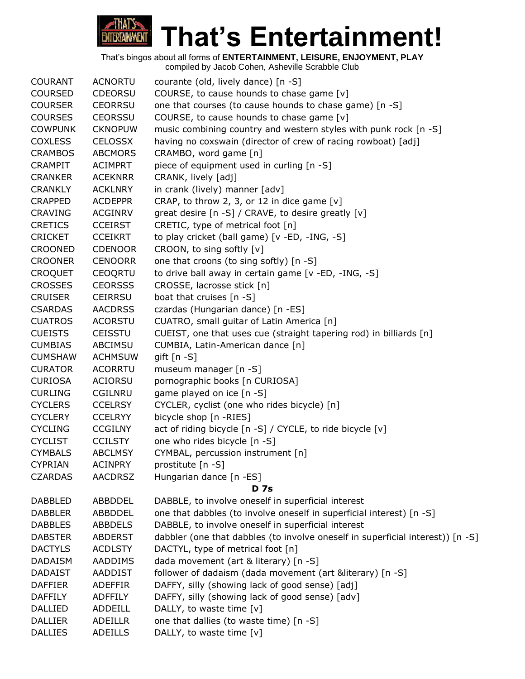

| <b>COURANT</b> | <b>ACNORTU</b> | courante (old, lively dance) [n -S]                                            |
|----------------|----------------|--------------------------------------------------------------------------------|
| <b>COURSED</b> | <b>CDEORSU</b> | COURSE, to cause hounds to chase game [v]                                      |
| <b>COURSER</b> | <b>CEORRSU</b> | one that courses (to cause hounds to chase game) [n -S]                        |
| <b>COURSES</b> | <b>CEORSSU</b> | COURSE, to cause hounds to chase game [v]                                      |
| <b>COWPUNK</b> | <b>CKNOPUW</b> | music combining country and western styles with punk rock [n -S]               |
| <b>COXLESS</b> | <b>CELOSSX</b> | having no coxswain (director of crew of racing rowboat) [adj]                  |
| <b>CRAMBOS</b> | <b>ABCMORS</b> | CRAMBO, word game [n]                                                          |
| <b>CRAMPIT</b> | <b>ACIMPRT</b> | piece of equipment used in curling [n -S]                                      |
| <b>CRANKER</b> | <b>ACEKNRR</b> | CRANK, lively [adj]                                                            |
| <b>CRANKLY</b> | <b>ACKLNRY</b> | in crank (lively) manner [adv]                                                 |
| <b>CRAPPED</b> | <b>ACDEPPR</b> | CRAP, to throw 2, 3, or 12 in dice game $[v]$                                  |
| <b>CRAVING</b> | <b>ACGINRV</b> | great desire [n -S] / CRAVE, to desire greatly [v]                             |
| <b>CRETICS</b> | <b>CCEIRST</b> | CRETIC, type of metrical foot [n]                                              |
| <b>CRICKET</b> | <b>CCEIKRT</b> | to play cricket (ball game) [v -ED, -ING, -S]                                  |
| <b>CROONED</b> | <b>CDENOOR</b> | CROON, to sing softly [v]                                                      |
| <b>CROONER</b> | <b>CENOORR</b> | one that croons (to sing softly) [n -S]                                        |
| <b>CROQUET</b> | <b>CEOQRTU</b> | to drive ball away in certain game [v -ED, -ING, -S]                           |
| <b>CROSSES</b> | <b>CEORSSS</b> | CROSSE, lacrosse stick [n]                                                     |
| <b>CRUISER</b> | <b>CEIRRSU</b> | boat that cruises [n -S]                                                       |
| <b>CSARDAS</b> | <b>AACDRSS</b> | czardas (Hungarian dance) [n -ES]                                              |
| <b>CUATROS</b> | <b>ACORSTU</b> | CUATRO, small guitar of Latin America [n]                                      |
| <b>CUEISTS</b> | <b>CEISSTU</b> | CUEIST, one that uses cue (straight tapering rod) in billiards [n]             |
| <b>CUMBIAS</b> | ABCIMSU        | CUMBIA, Latin-American dance [n]                                               |
| <b>CUMSHAW</b> | <b>ACHMSUW</b> | gift $[n - S]$                                                                 |
| <b>CURATOR</b> | <b>ACORRTU</b> | museum manager [n -S]                                                          |
| <b>CURIOSA</b> | <b>ACIORSU</b> | pornographic books [n CURIOSA]                                                 |
| <b>CURLING</b> | <b>CGILNRU</b> | game played on ice [n -S]                                                      |
| <b>CYCLERS</b> | <b>CCELRSY</b> | CYCLER, cyclist (one who rides bicycle) [n]                                    |
| <b>CYCLERY</b> | <b>CCELRYY</b> | bicycle shop [n -RIES]                                                         |
| <b>CYCLING</b> | <b>CCGILNY</b> | act of riding bicycle [n -S] / CYCLE, to ride bicycle [v]                      |
| <b>CYCLIST</b> | <b>CCILSTY</b> | one who rides bicycle [n -S]                                                   |
| <b>CYMBALS</b> | <b>ABCLMSY</b> | CYMBAL, percussion instrument [n]                                              |
| <b>CYPRIAN</b> | <b>ACINPRY</b> | prostitute [n -S]                                                              |
| <b>CZARDAS</b> | <b>AACDRSZ</b> | Hungarian dance [n -ES]                                                        |
|                |                | <b>D</b> 7s                                                                    |
| <b>DABBLED</b> | ABBDDEL        | DABBLE, to involve oneself in superficial interest                             |
| <b>DABBLER</b> | ABBDDEL        | one that dabbles (to involve oneself in superficial interest) [n -S]           |
| <b>DABBLES</b> | <b>ABBDELS</b> | DABBLE, to involve oneself in superficial interest                             |
| <b>DABSTER</b> | <b>ABDERST</b> | dabbler (one that dabbles (to involve oneself in superficial interest)) [n -S] |
| <b>DACTYLS</b> | <b>ACDLSTY</b> | DACTYL, type of metrical foot [n]                                              |
| <b>DADAISM</b> | AADDIMS        | dada movement (art & literary) [n -S]                                          |
| <b>DADAIST</b> | AADDIST        | follower of dadaism (dada movement (art &literary) [n -S]                      |
| <b>DAFFIER</b> | <b>ADEFFIR</b> | DAFFY, silly (showing lack of good sense) [adj]                                |
| <b>DAFFILY</b> | <b>ADFFILY</b> | DAFFY, silly (showing lack of good sense) [adv]                                |
| DALLIED        | ADDEILL        | DALLY, to waste time [v]                                                       |
| <b>DALLIER</b> | <b>ADEILLR</b> | one that dallies (to waste time) [n -S]                                        |
| <b>DALLIES</b> | <b>ADEILLS</b> | DALLY, to waste time [v]                                                       |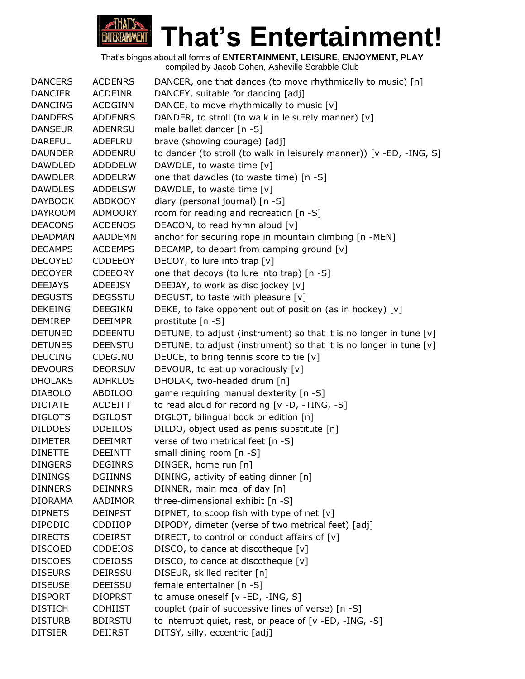

| <b>DANCERS</b> | <b>ACDENRS</b> | DANCER, one that dances (to move rhythmically to music) [n]          |
|----------------|----------------|----------------------------------------------------------------------|
| <b>DANCIER</b> | <b>ACDEINR</b> | DANCEY, suitable for dancing [adj]                                   |
| <b>DANCING</b> | <b>ACDGINN</b> | DANCE, to move rhythmically to music [v]                             |
| <b>DANDERS</b> | <b>ADDENRS</b> | DANDER, to stroll (to walk in leisurely manner) [v]                  |
| <b>DANSEUR</b> | <b>ADENRSU</b> | male ballet dancer [n -S]                                            |
| <b>DAREFUL</b> | ADEFLRU        | brave (showing courage) [adj]                                        |
| <b>DAUNDER</b> | ADDENRU        | to dander (to stroll (to walk in leisurely manner)) [v -ED, -ING, S] |
| <b>DAWDLED</b> | <b>ADDDELW</b> | DAWDLE, to waste time [v]                                            |
| <b>DAWDLER</b> | <b>ADDELRW</b> | one that dawdles (to waste time) [n -S]                              |
| <b>DAWDLES</b> | <b>ADDELSW</b> | DAWDLE, to waste time [v]                                            |
| <b>DAYBOOK</b> | <b>ABDKOOY</b> | diary (personal journal) [n -S]                                      |
| <b>DAYROOM</b> | <b>ADMOORY</b> | room for reading and recreation [n -S]                               |
| <b>DEACONS</b> | <b>ACDENOS</b> | DEACON, to read hymn aloud [v]                                       |
| DEADMAN        | <b>AADDEMN</b> | anchor for securing rope in mountain climbing [n -MEN]               |
| <b>DECAMPS</b> | <b>ACDEMPS</b> | DECAMP, to depart from camping ground [v]                            |
| <b>DECOYED</b> | <b>CDDEEOY</b> | DECOY, to lure into trap [v]                                         |
| <b>DECOYER</b> | <b>CDEEORY</b> | one that decoys (to lure into trap) [n -S]                           |
| <b>DEEJAYS</b> | ADEEJSY        | DEEJAY, to work as disc jockey [v]                                   |
| <b>DEGUSTS</b> | <b>DEGSSTU</b> | DEGUST, to taste with pleasure [v]                                   |
| <b>DEKEING</b> | <b>DEEGIKN</b> | DEKE, to fake opponent out of position (as in hockey) [v]            |
| <b>DEMIREP</b> | <b>DEEIMPR</b> | prostitute [n -S]                                                    |
| <b>DETUNED</b> | <b>DDEENTU</b> | DETUNE, to adjust (instrument) so that it is no longer in tune $[v]$ |
| <b>DETUNES</b> | <b>DEENSTU</b> | DETUNE, to adjust (instrument) so that it is no longer in tune [v]   |
| <b>DEUCING</b> | CDEGINU        | DEUCE, to bring tennis score to tie [v]                              |
| <b>DEVOURS</b> | <b>DEORSUV</b> | DEVOUR, to eat up voraciously [v]                                    |
| <b>DHOLAKS</b> | <b>ADHKLOS</b> | DHOLAK, two-headed drum [n]                                          |
| <b>DIABOLO</b> | ABDILOO        | game requiring manual dexterity [n -S]                               |
| <b>DICTATE</b> | <b>ACDEITT</b> | to read aloud for recording [v -D, -TING, -S]                        |
| <b>DIGLOTS</b> | <b>DGILOST</b> | DIGLOT, bilingual book or edition [n]                                |
| <b>DILDOES</b> | <b>DDEILOS</b> | DILDO, object used as penis substitute [n]                           |
| <b>DIMETER</b> | <b>DEEIMRT</b> | verse of two metrical feet [n -S]                                    |
| <b>DINETTE</b> | <b>DEEINTT</b> | small dining room [n -S]                                             |
| <b>DINGERS</b> | <b>DEGINRS</b> | DINGER, home run [n]                                                 |
| <b>DININGS</b> | <b>DGIINNS</b> | DINING, activity of eating dinner [n]                                |
| <b>DINNERS</b> | <b>DEINNRS</b> | DINNER, main meal of day [n]                                         |
| <b>DIORAMA</b> | AADIMOR        | three-dimensional exhibit [n -S]                                     |
| <b>DIPNETS</b> | <b>DEINPST</b> | DIPNET, to scoop fish with type of net [v]                           |
| <b>DIPODIC</b> | CDDIIOP        | DIPODY, dimeter (verse of two metrical feet) [adj]                   |
| <b>DIRECTS</b> | <b>CDEIRST</b> | DIRECT, to control or conduct affairs of [v]                         |
| <b>DISCOED</b> | <b>CDDEIOS</b> | DISCO, to dance at discotheque [v]                                   |
| <b>DISCOES</b> | <b>CDEIOSS</b> | DISCO, to dance at discotheque [v]                                   |
| <b>DISEURS</b> | <b>DEIRSSU</b> | DISEUR, skilled reciter [n]                                          |
| <b>DISEUSE</b> | <b>DEEISSU</b> | female entertainer [n -S]                                            |
| <b>DISPORT</b> | <b>DIOPRST</b> | to amuse oneself [v -ED, -ING, S]                                    |
| <b>DISTICH</b> | <b>CDHIIST</b> | couplet (pair of successive lines of verse) [n -S]                   |
| <b>DISTURB</b> | <b>BDIRSTU</b> | to interrupt quiet, rest, or peace of [v -ED, -ING, -S]              |
| <b>DITSIER</b> | DEIIRST        | DITSY, silly, eccentric [adj]                                        |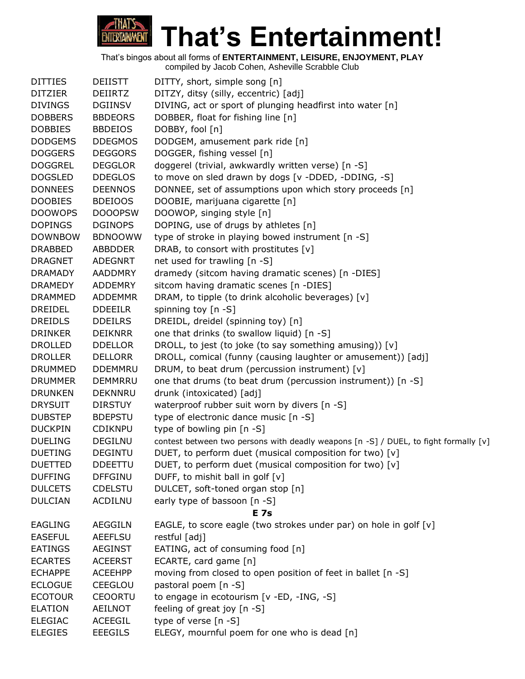

| <b>DITTIES</b> | <b>DEIISTT</b> | DITTY, short, simple song [n]                                                        |
|----------------|----------------|--------------------------------------------------------------------------------------|
| <b>DITZIER</b> | <b>DEIIRTZ</b> | DITZY, ditsy (silly, eccentric) [adj]                                                |
| <b>DIVINGS</b> | <b>DGIINSV</b> | DIVING, act or sport of plunging headfirst into water [n]                            |
| <b>DOBBERS</b> | <b>BBDEORS</b> | DOBBER, float for fishing line [n]                                                   |
| <b>DOBBIES</b> | <b>BBDEIOS</b> | DOBBY, fool [n]                                                                      |
| <b>DODGEMS</b> | <b>DDEGMOS</b> | DODGEM, amusement park ride [n]                                                      |
| <b>DOGGERS</b> | <b>DEGGORS</b> | DOGGER, fishing vessel [n]                                                           |
| <b>DOGGREL</b> | <b>DEGGLOR</b> | doggerel (trivial, awkwardly written verse) [n -S]                                   |
| <b>DOGSLED</b> | <b>DDEGLOS</b> | to move on sled drawn by dogs [v -DDED, -DDING, -S]                                  |
| <b>DONNEES</b> | <b>DEENNOS</b> | DONNEE, set of assumptions upon which story proceeds [n]                             |
| <b>DOOBIES</b> | <b>BDEIOOS</b> | DOOBIE, marijuana cigarette [n]                                                      |
| <b>DOOWOPS</b> | <b>DOOOPSW</b> | DOOWOP, singing style [n]                                                            |
| <b>DOPINGS</b> | <b>DGINOPS</b> | DOPING, use of drugs by athletes [n]                                                 |
| <b>DOWNBOW</b> | <b>BDNOOWW</b> | type of stroke in playing bowed instrument [n -S]                                    |
| <b>DRABBED</b> | <b>ABBDDER</b> | DRAB, to consort with prostitutes [v]                                                |
| <b>DRAGNET</b> | <b>ADEGNRT</b> | net used for trawling [n -S]                                                         |
| <b>DRAMADY</b> | <b>AADDMRY</b> | dramedy (sitcom having dramatic scenes) [n -DIES]                                    |
| <b>DRAMEDY</b> | ADDEMRY        | sitcom having dramatic scenes [n -DIES]                                              |
| <b>DRAMMED</b> | <b>ADDEMMR</b> | DRAM, to tipple (to drink alcoholic beverages) [v]                                   |
| <b>DREIDEL</b> | <b>DDEEILR</b> | spinning toy $[n - S]$                                                               |
| <b>DREIDLS</b> | <b>DDEILRS</b> | DREIDL, dreidel (spinning toy) [n]                                                   |
| <b>DRINKER</b> | <b>DEIKNRR</b> | one that drinks (to swallow liquid) [n -S]                                           |
| <b>DROLLED</b> | <b>DDELLOR</b> | DROLL, to jest (to joke (to say something amusing)) [v]                              |
| <b>DROLLER</b> | <b>DELLORR</b> | DROLL, comical (funny (causing laughter or amusement)) [adj]                         |
| <b>DRUMMED</b> | <b>DDEMMRU</b> | DRUM, to beat drum (percussion instrument) [v]                                       |
| <b>DRUMMER</b> | <b>DEMMRRU</b> | one that drums (to beat drum (percussion instrument)) [n -S]                         |
| <b>DRUNKEN</b> | <b>DEKNNRU</b> | drunk (intoxicated) [adj]                                                            |
| <b>DRYSUIT</b> | <b>DIRSTUY</b> | waterproof rubber suit worn by divers [n -S]                                         |
| <b>DUBSTEP</b> | <b>BDEPSTU</b> | type of electronic dance music [n -S]                                                |
| <b>DUCKPIN</b> | <b>CDIKNPU</b> | type of bowling pin [n -S]                                                           |
| <b>DUELING</b> | <b>DEGILNU</b> | contest between two persons with deadly weapons [n -S] / DUEL, to fight formally [v] |
| <b>DUETING</b> | <b>DEGINTU</b> | DUET, to perform duet (musical composition for two) [v]                              |
| <b>DUETTED</b> | <b>DDEETTU</b> | DUET, to perform duet (musical composition for two) [v]                              |
| <b>DUFFING</b> | <b>DFFGINU</b> | DUFF, to mishit ball in golf [v]                                                     |
| <b>DULCETS</b> | <b>CDELSTU</b> | DULCET, soft-toned organ stop [n]                                                    |
| <b>DULCIAN</b> | <b>ACDILNU</b> | early type of bassoon [n -S]                                                         |
|                |                | <b>E</b> 7s                                                                          |
| <b>EAGLING</b> | <b>AEGGILN</b> | EAGLE, to score eagle (two strokes under par) on hole in golf [v]                    |
| <b>EASEFUL</b> | <b>AEEFLSU</b> | restful [adj]                                                                        |
| <b>EATINGS</b> | <b>AEGINST</b> | EATING, act of consuming food [n]                                                    |
| <b>ECARTES</b> | <b>ACEERST</b> | ECARTE, card game [n]                                                                |
| <b>ECHAPPE</b> | <b>ACEEHPP</b> | moving from closed to open position of feet in ballet [n -S]                         |
| <b>ECLOGUE</b> | CEEGLOU        | pastoral poem [n -S]                                                                 |
| <b>ECOTOUR</b> | <b>CEOORTU</b> | to engage in ecotourism [v -ED, -ING, -S]                                            |
| <b>ELATION</b> | AEILNOT        | feeling of great joy [n -S]                                                          |
| <b>ELEGIAC</b> | ACEEGIL        | type of verse [n -S]                                                                 |
| <b>ELEGIES</b> | <b>EEEGILS</b> | ELEGY, mournful poem for one who is dead [n]                                         |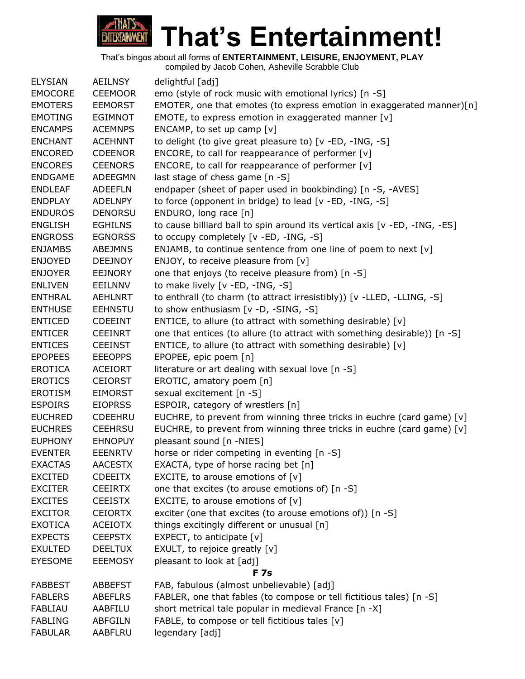

| <b>ELYSIAN</b> | <b>AEILNSY</b> | delightful [adj]                                                           |
|----------------|----------------|----------------------------------------------------------------------------|
| <b>EMOCORE</b> | <b>CEEMOOR</b> | emo (style of rock music with emotional lyrics) [n -S]                     |
| <b>EMOTERS</b> | <b>EEMORST</b> | EMOTER, one that emotes (to express emotion in exaggerated manner)[n]      |
| <b>EMOTING</b> | <b>EGIMNOT</b> | EMOTE, to express emotion in exaggerated manner [v]                        |
| <b>ENCAMPS</b> | <b>ACEMNPS</b> | ENCAMP, to set up camp $[v]$                                               |
| <b>ENCHANT</b> | <b>ACEHNNT</b> | to delight (to give great pleasure to) [v -ED, -ING, -S]                   |
| <b>ENCORED</b> | <b>CDEENOR</b> | ENCORE, to call for reappearance of performer [v]                          |
| <b>ENCORES</b> | <b>CEENORS</b> | ENCORE, to call for reappearance of performer [v]                          |
| <b>ENDGAME</b> | ADEEGMN        | last stage of chess game [n -S]                                            |
| <b>ENDLEAF</b> | <b>ADEEFLN</b> | endpaper (sheet of paper used in bookbinding) [n -S, -AVES]                |
| <b>ENDPLAY</b> | <b>ADELNPY</b> | to force (opponent in bridge) to lead [v -ED, -ING, -S]                    |
| <b>ENDUROS</b> | <b>DENORSU</b> | ENDURO, long race [n]                                                      |
| <b>ENGLISH</b> | <b>EGHILNS</b> | to cause billiard ball to spin around its vertical axis [v -ED, -ING, -ES] |
| <b>ENGROSS</b> | <b>EGNORSS</b> | to occupy completely [v -ED, -ING, -S]                                     |
| <b>ENJAMBS</b> | <b>ABEJMNS</b> | ENJAMB, to continue sentence from one line of poem to next [v]             |
| <b>ENJOYED</b> | <b>DEEJNOY</b> | ENJOY, to receive pleasure from [v]                                        |
| <b>ENJOYER</b> | <b>EEJNORY</b> | one that enjoys (to receive pleasure from) [n -S]                          |
| <b>ENLIVEN</b> | EEILNNV        | to make lively [v -ED, -ING, -S]                                           |
| <b>ENTHRAL</b> | <b>AEHLNRT</b> | to enthrall (to charm (to attract irresistibly)) [v -LLED, -LLING, -S]     |
| <b>ENTHUSE</b> | <b>EEHNSTU</b> | to show enthusiasm [v -D, -SING, -S]                                       |
| <b>ENTICED</b> | <b>CDEEINT</b> | ENTICE, to allure (to attract with something desirable) [v]                |
| <b>ENTICER</b> | <b>CEEINRT</b> | one that entices (to allure (to attract with something desirable)) [n -S]  |
| <b>ENTICES</b> | <b>CEEINST</b> | ENTICE, to allure (to attract with something desirable) [v]                |
| <b>EPOPEES</b> | <b>EEEOPPS</b> | EPOPEE, epic poem [n]                                                      |
| <b>EROTICA</b> | <b>ACEIORT</b> | literature or art dealing with sexual love [n -S]                          |
| <b>EROTICS</b> | <b>CEIORST</b> | EROTIC, amatory poem [n]                                                   |
| <b>EROTISM</b> | <b>EIMORST</b> | sexual excitement [n -S]                                                   |
| <b>ESPOIRS</b> | <b>EIOPRSS</b> | ESPOIR, category of wrestlers [n]                                          |
| <b>EUCHRED</b> | <b>CDEEHRU</b> | EUCHRE, to prevent from winning three tricks in euchre (card game) [v]     |
| <b>EUCHRES</b> | <b>CEEHRSU</b> | EUCHRE, to prevent from winning three tricks in euchre (card game) [v]     |
| <b>EUPHONY</b> | <b>EHNOPUY</b> | pleasant sound [n -NIES]                                                   |
| <b>EVENTER</b> | <b>EEENRTV</b> | horse or rider competing in eventing [n -S]                                |
| <b>EXACTAS</b> | <b>AACESTX</b> | EXACTA, type of horse racing bet [n]                                       |
| <b>EXCITED</b> | <b>CDEEITX</b> | EXCITE, to arouse emotions of $[v]$                                        |
| <b>EXCITER</b> | <b>CEEIRTX</b> | one that excites (to arouse emotions of) [n -S]                            |
| <b>EXCITES</b> | <b>CEEISTX</b> | EXCITE, to arouse emotions of $[v]$                                        |
| <b>EXCITOR</b> | <b>CEIORTX</b> | exciter (one that excites (to arouse emotions of)) [n -S]                  |
| <b>EXOTICA</b> | <b>ACEIOTX</b> | things excitingly different or unusual [n]                                 |
| <b>EXPECTS</b> | <b>CEEPSTX</b> | EXPECT, to anticipate $[v]$                                                |
| <b>EXULTED</b> | <b>DEELTUX</b> | EXULT, to rejoice greatly [v]                                              |
| <b>EYESOME</b> | <b>EEEMOSY</b> | pleasant to look at [adj]                                                  |
|                |                | <b>F</b> 7s                                                                |
| <b>FABBEST</b> | <b>ABBEFST</b> | FAB, fabulous (almost unbelievable) [adj]                                  |
| <b>FABLERS</b> | <b>ABEFLRS</b> | FABLER, one that fables (to compose or tell fictitious tales) [n -S]       |
| <b>FABLIAU</b> | AABFILU        | short metrical tale popular in medieval France [n -X]                      |
| <b>FABLING</b> | <b>ABFGILN</b> | FABLE, to compose or tell fictitious tales [v]                             |
| <b>FABULAR</b> | AABFLRU        | legendary [adj]                                                            |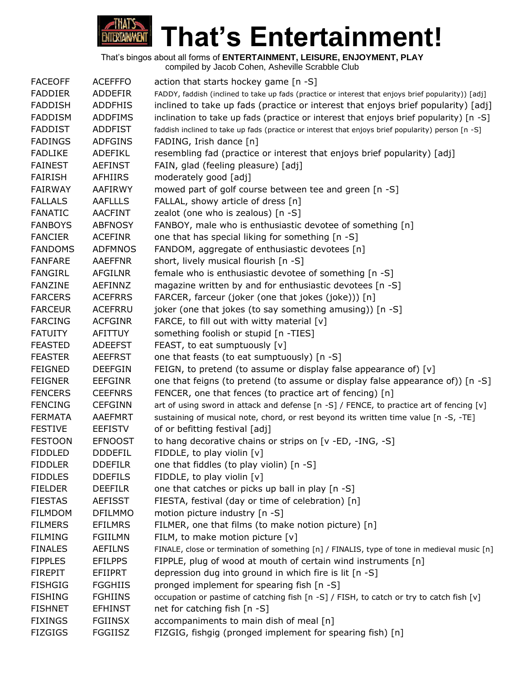

| <b>FACEOFF</b> | <b>ACEFFFO</b> | action that starts hockey game [n -S]                                                               |
|----------------|----------------|-----------------------------------------------------------------------------------------------------|
| <b>FADDIER</b> | ADDEFIR        | FADDY, faddish (inclined to take up fads (practice or interest that enjoys brief popularity)) [adj] |
| <b>FADDISH</b> | <b>ADDFHIS</b> | inclined to take up fads (practice or interest that enjoys brief popularity) [adj]                  |
| <b>FADDISM</b> | <b>ADDFIMS</b> | inclination to take up fads (practice or interest that enjoys brief popularity) [n -S]              |
| <b>FADDIST</b> | <b>ADDFIST</b> | faddish inclined to take up fads (practice or interest that enjoys brief popularity) person [n -S]  |
| <b>FADINGS</b> | <b>ADFGINS</b> | FADING, Irish dance [n]                                                                             |
| <b>FADLIKE</b> | ADEFIKL        | resembling fad (practice or interest that enjoys brief popularity) [adj]                            |
| <b>FAINEST</b> | <b>AEFINST</b> | FAIN, glad (feeling pleasure) [adj]                                                                 |
| <b>FAIRISH</b> | <b>AFHIIRS</b> | moderately good [adj]                                                                               |
| <b>FAIRWAY</b> | AAFIRWY        | mowed part of golf course between tee and green [n -S]                                              |
| <b>FALLALS</b> | <b>AAFLLLS</b> | FALLAL, showy article of dress [n]                                                                  |
| <b>FANATIC</b> | AACFINT        | zealot (one who is zealous) [n -S]                                                                  |
| <b>FANBOYS</b> | <b>ABFNOSY</b> | FANBOY, male who is enthusiastic devotee of something [n]                                           |
| <b>FANCIER</b> | <b>ACEFINR</b> | one that has special liking for something [n -S]                                                    |
| <b>FANDOMS</b> | <b>ADFMNOS</b> | FANDOM, aggregate of enthusiastic devotees [n]                                                      |
| <b>FANFARE</b> | <b>AAEFFNR</b> | short, lively musical flourish [n -S]                                                               |
| <b>FANGIRL</b> | <b>AFGILNR</b> | female who is enthusiastic devotee of something [n -S]                                              |
| <b>FANZINE</b> | AEFINNZ        | magazine written by and for enthusiastic devotees [n -S]                                            |
| <b>FARCERS</b> | <b>ACEFRRS</b> | FARCER, farceur (joker (one that jokes (joke))) [n]                                                 |
| <b>FARCEUR</b> | <b>ACEFRRU</b> | joker (one that jokes (to say something amusing)) [n -S]                                            |
| <b>FARCING</b> | <b>ACFGINR</b> | FARCE, to fill out with witty material [v]                                                          |
| <b>FATUITY</b> | AFITTUY        | something foolish or stupid [n -TIES]                                                               |
| <b>FEASTED</b> | <b>ADEEFST</b> | FEAST, to eat sumptuously [v]                                                                       |
| <b>FEASTER</b> | <b>AEEFRST</b> | one that feasts (to eat sumptuously) [n -S]                                                         |
| <b>FEIGNED</b> | <b>DEEFGIN</b> | FEIGN, to pretend (to assume or display false appearance of) [v]                                    |
| <b>FEIGNER</b> | <b>EEFGINR</b> | one that feigns (to pretend (to assume or display false appearance of)) $[n -S]$                    |
| <b>FENCERS</b> | <b>CEEFNRS</b> | FENCER, one that fences (to practice art of fencing) [n]                                            |
| <b>FENCING</b> | <b>CEFGINN</b> | art of using sword in attack and defense [n -S] / FENCE, to practice art of fencing [v]             |
| <b>FERMATA</b> | <b>AAEFMRT</b> | sustaining of musical note, chord, or rest beyond its written time value [n -S, -TE]                |
| <b>FESTIVE</b> | <b>EEFISTV</b> | of or befitting festival [adj]                                                                      |
| <b>FESTOON</b> | <b>EFNOOST</b> | to hang decorative chains or strips on [v -ED, -ING, -S]                                            |
| <b>FIDDLED</b> | <b>DDDEFIL</b> | FIDDLE, to play violin [v]                                                                          |
| <b>FIDDLER</b> | <b>DDEFILR</b> | one that fiddles (to play violin) [n -S]                                                            |
| <b>FIDDLES</b> | <b>DDEFILS</b> | FIDDLE, to play violin [v]                                                                          |
| <b>FIELDER</b> | <b>DEEFILR</b> | one that catches or picks up ball in play [n -S]                                                    |
| <b>FIESTAS</b> | <b>AEFISST</b> | FIESTA, festival (day or time of celebration) [n]                                                   |
| <b>FILMDOM</b> | <b>DFILMMO</b> | motion picture industry [n -S]                                                                      |
| <b>FILMERS</b> | <b>EFILMRS</b> | FILMER, one that films (to make notion picture) [n]                                                 |
| <b>FILMING</b> | <b>FGIILMN</b> | FILM, to make motion picture [v]                                                                    |
| <b>FINALES</b> | <b>AEFILNS</b> | FINALE, close or termination of something [n] / FINALIS, type of tone in medieval music [n]         |
| <b>FIPPLES</b> | <b>EFILPPS</b> | FIPPLE, plug of wood at mouth of certain wind instruments [n]                                       |
| <b>FIREPIT</b> | EFIIPRT        | depression dug into ground in which fire is lit [n -S]                                              |
| <b>FISHGIG</b> | <b>FGGHIIS</b> | pronged implement for spearing fish [n -S]                                                          |
| <b>FISHING</b> | <b>FGHIINS</b> | occupation or pastime of catching fish [n -S] / FISH, to catch or try to catch fish [v]             |
| <b>FISHNET</b> | <b>EFHINST</b> | net for catching fish [n -S]                                                                        |
| <b>FIXINGS</b> | <b>FGIINSX</b> | accompaniments to main dish of meal [n]                                                             |
| <b>FIZGIGS</b> | <b>FGGIISZ</b> | FIZGIG, fishgig (pronged implement for spearing fish) [n]                                           |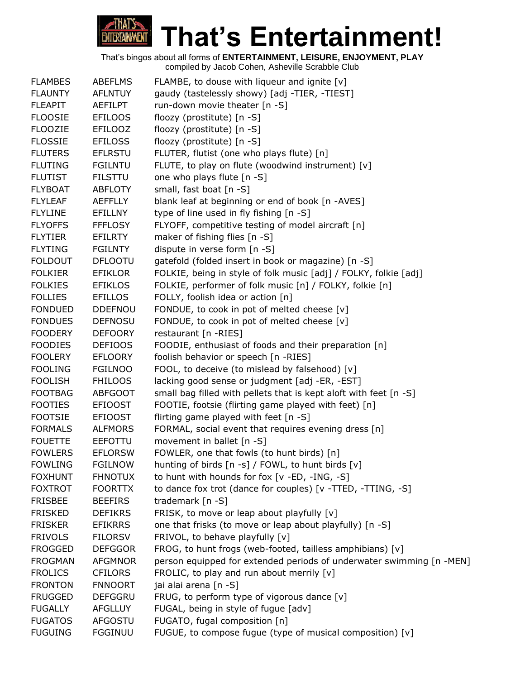

| <b>FLAMBES</b> | <b>ABEFLMS</b> | FLAMBE, to douse with liqueur and ignite $[v]$                       |
|----------------|----------------|----------------------------------------------------------------------|
| <b>FLAUNTY</b> | <b>AFLNTUY</b> | gaudy (tastelessly showy) [adj -TIER, -TIEST]                        |
| <b>FLEAPIT</b> | AEFILPT        | run-down movie theater [n -S]                                        |
| <b>FLOOSIE</b> | <b>EFILOOS</b> | floozy (prostitute) [n -S]                                           |
| <b>FLOOZIE</b> | EFILOOZ        | floozy (prostitute) [n -S]                                           |
| <b>FLOSSIE</b> | <b>EFILOSS</b> | floozy (prostitute) [n -S]                                           |
| <b>FLUTERS</b> | <b>EFLRSTU</b> | FLUTER, flutist (one who plays flute) [n]                            |
| <b>FLUTING</b> | <b>FGILNTU</b> | FLUTE, to play on flute (woodwind instrument) $[v]$                  |
| <b>FLUTIST</b> | <b>FILSTTU</b> | one who plays flute [n -S]                                           |
| <b>FLYBOAT</b> | <b>ABFLOTY</b> | small, fast boat [n -S]                                              |
| <b>FLYLEAF</b> | <b>AEFFLLY</b> | blank leaf at beginning or end of book [n -AVES]                     |
| <b>FLYLINE</b> | <b>EFILLNY</b> | type of line used in fly fishing [n -S]                              |
| <b>FLYOFFS</b> | <b>FFFLOSY</b> | FLYOFF, competitive testing of model aircraft [n]                    |
| <b>FLYTIER</b> | EFILRTY        | maker of fishing flies $[n -S]$                                      |
| <b>FLYTING</b> | <b>FGILNTY</b> | dispute in verse form [n -S]                                         |
| <b>FOLDOUT</b> | <b>DFLOOTU</b> | gatefold (folded insert in book or magazine) [n -S]                  |
| <b>FOLKIER</b> | <b>EFIKLOR</b> | FOLKIE, being in style of folk music [adj] / FOLKY, folkie [adj]     |
| <b>FOLKIES</b> | <b>EFIKLOS</b> | FOLKIE, performer of folk music [n] / FOLKY, folkie [n]              |
| <b>FOLLIES</b> | <b>EFILLOS</b> | FOLLY, foolish idea or action [n]                                    |
| <b>FONDUED</b> | <b>DDEFNOU</b> | FONDUE, to cook in pot of melted cheese [v]                          |
| <b>FONDUES</b> | <b>DEFNOSU</b> | FONDUE, to cook in pot of melted cheese [v]                          |
| <b>FOODERY</b> | <b>DEFOORY</b> | restaurant [n -RIES]                                                 |
| <b>FOODIES</b> | <b>DEFIOOS</b> | FOODIE, enthusiast of foods and their preparation [n]                |
| <b>FOOLERY</b> | <b>EFLOORY</b> | foolish behavior or speech [n -RIES]                                 |
| <b>FOOLING</b> | <b>FGILNOO</b> | FOOL, to deceive (to mislead by falsehood) [v]                       |
| <b>FOOLISH</b> | <b>FHILOOS</b> | lacking good sense or judgment [adj -ER, -EST]                       |
| <b>FOOTBAG</b> | <b>ABFGOOT</b> | small bag filled with pellets that is kept aloft with feet [n -S]    |
| <b>FOOTIES</b> | <b>EFIOOST</b> | FOOTIE, footsie (flirting game played with feet) [n]                 |
| <b>FOOTSIE</b> | <b>EFIOOST</b> | flirting game played with feet [n -S]                                |
| <b>FORMALS</b> | <b>ALFMORS</b> | FORMAL, social event that requires evening dress [n]                 |
| <b>FOUETTE</b> | <b>EEFOTTU</b> | movement in ballet [n -S]                                            |
| <b>FOWLERS</b> | <b>EFLORSW</b> | FOWLER, one that fowls (to hunt birds) [n]                           |
| <b>FOWLING</b> | <b>FGILNOW</b> | hunting of birds [n -s] / FOWL, to hunt birds [v]                    |
| <b>FOXHUNT</b> | <b>FHNOTUX</b> | to hunt with hounds for fox [v -ED, -ING, -S]                        |
| <b>FOXTROT</b> | <b>FOORTTX</b> | to dance fox trot (dance for couples) [v -TTED, -TTING, -S]          |
| <b>FRISBEE</b> | <b>BEEFIRS</b> | trademark $[n -S]$                                                   |
| <b>FRISKED</b> | <b>DEFIKRS</b> | FRISK, to move or leap about playfully [v]                           |
| <b>FRISKER</b> | <b>EFIKRRS</b> | one that frisks (to move or leap about playfully) [n -S]             |
| <b>FRIVOLS</b> | <b>FILORSV</b> | FRIVOL, to behave playfully [v]                                      |
| <b>FROGGED</b> | <b>DEFGGOR</b> | FROG, to hunt frogs (web-footed, tailless amphibians) [v]            |
| <b>FROGMAN</b> | <b>AFGMNOR</b> | person equipped for extended periods of underwater swimming [n -MEN] |
| <b>FROLICS</b> | <b>CFILORS</b> | FROLIC, to play and run about merrily [v]                            |
| <b>FRONTON</b> | <b>FNNOORT</b> | jai alai arena [n -S]                                                |
| <b>FRUGGED</b> | <b>DEFGGRU</b> | FRUG, to perform type of vigorous dance [v]                          |
| <b>FUGALLY</b> | <b>AFGLLUY</b> | FUGAL, being in style of fugue [adv]                                 |
| <b>FUGATOS</b> | AFGOSTU        | FUGATO, fugal composition [n]                                        |
| <b>FUGUING</b> | <b>FGGINUU</b> | FUGUE, to compose fugue (type of musical composition) [v]            |
|                |                |                                                                      |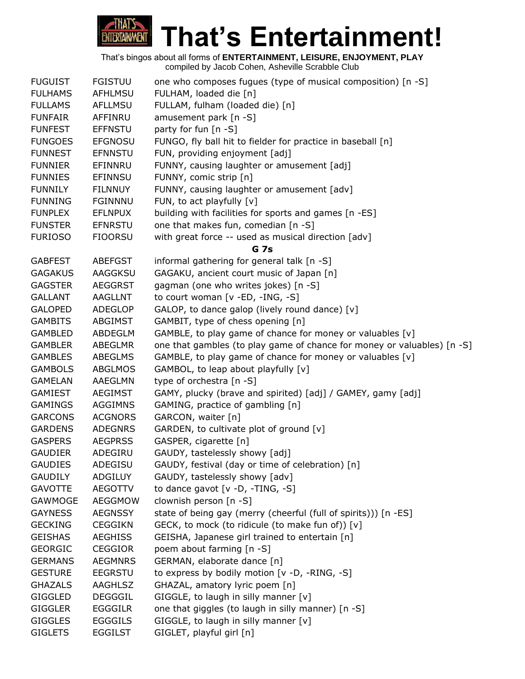# **That's Entertainment! ENTERTAINMENT**

| <b>FUGUIST</b> | <b>FGISTUU</b> | one who composes fugues (type of musical composition) [n -S]            |
|----------------|----------------|-------------------------------------------------------------------------|
| <b>FULHAMS</b> | <b>AFHLMSU</b> | FULHAM, loaded die [n]                                                  |
| <b>FULLAMS</b> | <b>AFLLMSU</b> | FULLAM, fulham (loaded die) [n]                                         |
| <b>FUNFAIR</b> | AFFINRU        | amusement park [n -S]                                                   |
| <b>FUNFEST</b> | <b>EFFNSTU</b> | party for fun [n -S]                                                    |
| <b>FUNGOES</b> | <b>EFGNOSU</b> | FUNGO, fly ball hit to fielder for practice in baseball [n]             |
| <b>FUNNEST</b> | <b>EFNNSTU</b> | FUN, providing enjoyment [adj]                                          |
| <b>FUNNIER</b> | EFINNRU        | FUNNY, causing laughter or amusement [adj]                              |
| <b>FUNNIES</b> | <b>EFINNSU</b> | FUNNY, comic strip [n]                                                  |
| <b>FUNNILY</b> | <b>FILNNUY</b> | FUNNY, causing laughter or amusement [adv]                              |
| <b>FUNNING</b> | <b>FGINNNU</b> | FUN, to act playfully [v]                                               |
| <b>FUNPLEX</b> | <b>EFLNPUX</b> | building with facilities for sports and games [n -ES]                   |
| <b>FUNSTER</b> | <b>EFNRSTU</b> | one that makes fun, comedian [n -S]                                     |
| <b>FURIOSO</b> | <b>FIOORSU</b> | with great force -- used as musical direction [adv]                     |
|                |                | <b>G</b> 7s                                                             |
| <b>GABFEST</b> | <b>ABEFGST</b> | informal gathering for general talk [n -S]                              |
| <b>GAGAKUS</b> | <b>AAGGKSU</b> | GAGAKU, ancient court music of Japan [n]                                |
| <b>GAGSTER</b> | <b>AEGGRST</b> | gagman (one who writes jokes) [n -S]                                    |
| <b>GALLANT</b> | <b>AAGLLNT</b> | to court woman [v -ED, -ING, -S]                                        |
| <b>GALOPED</b> | <b>ADEGLOP</b> | GALOP, to dance galop (lively round dance) [v]                          |
| <b>GAMBITS</b> | ABGIMST        | GAMBIT, type of chess opening [n]                                       |
| <b>GAMBLED</b> | <b>ABDEGLM</b> | GAMBLE, to play game of chance for money or valuables [v]               |
| <b>GAMBLER</b> | ABEGLMR        | one that gambles (to play game of chance for money or valuables) [n -S] |
| <b>GAMBLES</b> | <b>ABEGLMS</b> | GAMBLE, to play game of chance for money or valuables [v]               |
| <b>GAMBOLS</b> | <b>ABGLMOS</b> | GAMBOL, to leap about playfully [v]                                     |
| <b>GAMELAN</b> | AAEGLMN        | type of orchestra [n -S]                                                |
| <b>GAMIEST</b> | <b>AEGIMST</b> | GAMY, plucky (brave and spirited) [adj] / GAMEY, gamy [adj]             |
| <b>GAMINGS</b> | <b>AGGIMNS</b> | GAMING, practice of gambling [n]                                        |
| <b>GARCONS</b> | <b>ACGNORS</b> | GARCON, waiter [n]                                                      |
| <b>GARDENS</b> | <b>ADEGNRS</b> | GARDEN, to cultivate plot of ground [v]                                 |
| <b>GASPERS</b> | <b>AEGPRSS</b> | GASPER, cigarette [n]                                                   |
| <b>GAUDIER</b> | ADEGIRU        | GAUDY, tastelessly showy [adj]                                          |
| <b>GAUDIES</b> | ADEGISU        | GAUDY, festival (day or time of celebration) [n]                        |
| <b>GAUDILY</b> | <b>ADGILUY</b> | GAUDY, tastelessly showy [adv]                                          |
| <b>GAVOTTE</b> | <b>AEGOTTV</b> | to dance gavot $[v -D, -TING, -S]$                                      |
| GAWMOGE        | <b>AEGGMOW</b> | clownish person [n -S]                                                  |
| <b>GAYNESS</b> | <b>AEGNSSY</b> | state of being gay (merry (cheerful (full of spirits))) [n -ES]         |
| <b>GECKING</b> | <b>CEGGIKN</b> | GECK, to mock (to ridicule (to make fun of)) [v]                        |
| <b>GEISHAS</b> | <b>AEGHISS</b> | GEISHA, Japanese girl trained to entertain [n]                          |
| <b>GEORGIC</b> | <b>CEGGIOR</b> | poem about farming [n -S]                                               |
| <b>GERMANS</b> | <b>AEGMNRS</b> | GERMAN, elaborate dance [n]                                             |
| <b>GESTURE</b> | <b>EEGRSTU</b> | to express by bodily motion [v -D, -RING, -S]                           |
| <b>GHAZALS</b> | AAGHLSZ        | GHAZAL, amatory lyric poem [n]                                          |
| <b>GIGGLED</b> | <b>DEGGGIL</b> | GIGGLE, to laugh in silly manner $[v]$                                  |
| <b>GIGGLER</b> | <b>EGGGILR</b> | one that giggles (to laugh in silly manner) [n -S]                      |
| <b>GIGGLES</b> | <b>EGGGILS</b> | GIGGLE, to laugh in silly manner [v]                                    |
| <b>GIGLETS</b> | <b>EGGILST</b> | GIGLET, playful girl [n]                                                |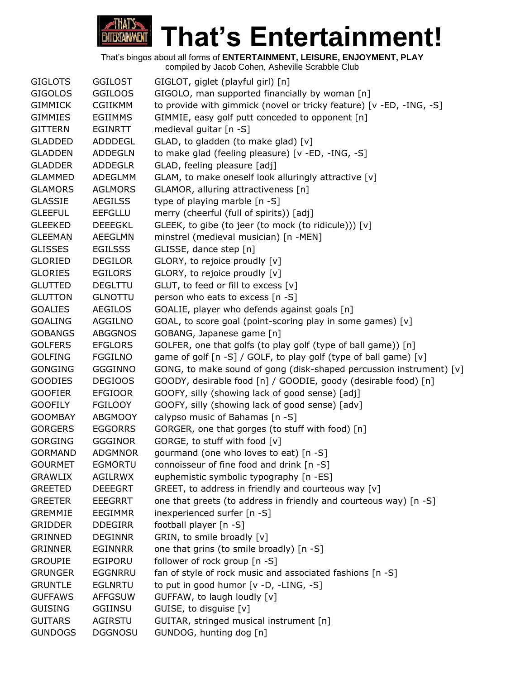

GIGLOTS GGILOST GIGLOT, giglet (playful girl) [n] GIGOLOS GGILOOS GIGOLO, man supported financially by woman [n] GIMMICK CGIIKMM to provide with gimmick (novel or tricky feature) [v -ED, -ING, -S] GIMMIES EGIIMMS GIMMIE, easy golf putt conceded to opponent [n] GITTERN EGINRTT medieval guitar [n -S] GLADDED ADDDEGL GLAD, to gladden (to make glad) [v] GLADDEN ADDEGLN to make glad (feeling pleasure) [v -ED, -ING, -S] GLADDER ADDEGLR GLAD, feeling pleasure [adj] GLAMMED ADEGLMM GLAM, to make oneself look alluringly attractive [v] GLAMORS AGLMORS GLAMOR, alluring attractiveness [n] GLASSIE AEGILSS type of playing marble [n -S] GLEEFUL EEFGLLU merry (cheerful (full of spirits)) [adj] GLEEKED DEEEGKL GLEEK, to gibe (to jeer (to mock (to ridicule))) [v] GLEEMAN AEEGLMN minstrel (medieval musician) [n -MEN] GLISSES EGILSSS GLISSE, dance step [n] GLORIED DEGILOR GLORY, to rejoice proudly [v] GLORIES EGILORS GLORY, to rejoice proudly [v] GLUTTED DEGLTTU GLUT, to feed or fill to excess [v] GLUTTON GLNOTTU person who eats to excess [n -S] GOALIES AEGILOS GOALIE, player who defends against goals [n] GOALING AGGILNO GOAL, to score goal (point-scoring play in some games) [v] GOBANGS ABGGNOS GOBANG, Japanese game [n] GOLFERS EFGLORS GOLFER, one that golfs (to play golf (type of ball game)) [n] GOLFING FGGILNO game of golf [n -S] / GOLF, to play golf (type of ball game) [v] GONGING GGGINNO GONG, to make sound of gong (disk-shaped percussion instrument) [v] GOODIES DEGIOOS GOODY, desirable food [n] / GOODIE, goody (desirable food) [n] GOOFIER EFGIOOR GOOFY, silly (showing lack of good sense) [adj] GOOFILY FGILOOY GOOFY, silly (showing lack of good sense) [adv] GOOMBAY ABGMOOY calypso music of Bahamas [n -S] GORGERS EGGORRS GORGER, one that gorges (to stuff with food) [n] GORGING GGGINOR GORGE, to stuff with food [v] GORMAND ADGMNOR gourmand (one who loves to eat) [n -S] GOURMET EGMORTU connoisseur of fine food and drink [n -S] GRAWLIX AGILRWX euphemistic symbolic typography [n -ES] GREETED DEEEGRT GREET, to address in friendly and courteous way [v] GREETER EEEGRRT one that greets (to address in friendly and courteous way) [n -S] GREMMIE EEGIMMR inexperienced surfer [n -S] GRIDDER DDEGIRR football player [n -S] GRINNED DEGINNR GRIN, to smile broadly [v] GRINNER EGINNRR one that grins (to smile broadly) [n -S] GROUPIE EGIPORU follower of rock group [n -S] GRUNGER EGGNRRU fan of style of rock music and associated fashions [n -S] GRUNTLE EGLNRTU to put in good humor [v -D, -LING, -S] GUFFAWS AFFGSUW GUFFAW, to laugh loudly [v] GUISING GGIINSU GUISE, to disguise [v] GUITARS AGIRSTU GUITAR, stringed musical instrument [n] GUNDOGS DGGNOSU GUNDOG, hunting dog [n]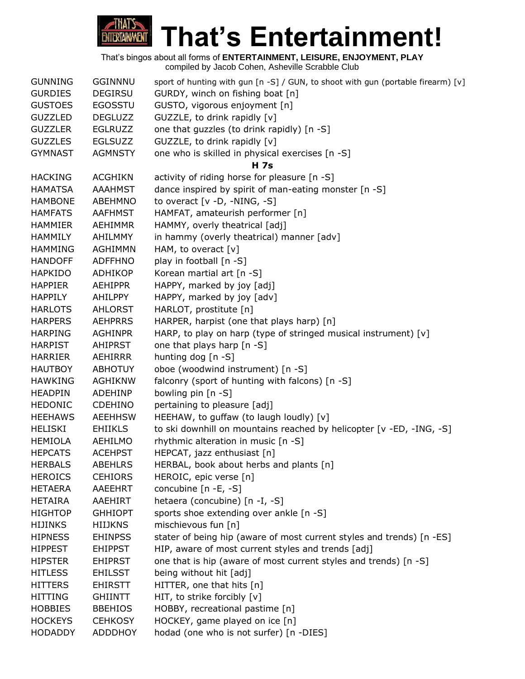

| <b>GUNNING</b> | <b>GGINNNU</b> | sport of hunting with gun [n -S] / GUN, to shoot with gun (portable firearm) [v] |
|----------------|----------------|----------------------------------------------------------------------------------|
| <b>GURDIES</b> | <b>DEGIRSU</b> | GURDY, winch on fishing boat [n]                                                 |
| <b>GUSTOES</b> | <b>EGOSSTU</b> | GUSTO, vigorous enjoyment [n]                                                    |
| <b>GUZZLED</b> | <b>DEGLUZZ</b> | GUZZLE, to drink rapidly [v]                                                     |
| <b>GUZZLER</b> | <b>EGLRUZZ</b> | one that guzzles (to drink rapidly) [n -S]                                       |
| <b>GUZZLES</b> | <b>EGLSUZZ</b> | GUZZLE, to drink rapidly [v]                                                     |
| <b>GYMNAST</b> | <b>AGMNSTY</b> | one who is skilled in physical exercises [n -S]                                  |
|                |                | <b>H</b> 7s                                                                      |
| <b>HACKING</b> | <b>ACGHIKN</b> | activity of riding horse for pleasure [n -S]                                     |
| <b>HAMATSA</b> | <b>AAAHMST</b> | dance inspired by spirit of man-eating monster [n -S]                            |
| <b>HAMBONE</b> | ABEHMNO        | to overact $[v -D, -NING, -S]$                                                   |
| <b>HAMFATS</b> | <b>AAFHMST</b> | HAMFAT, amateurish performer [n]                                                 |
| <b>HAMMIER</b> | <b>AEHIMMR</b> | HAMMY, overly theatrical [adj]                                                   |
| <b>HAMMILY</b> | AHILMMY        | in hammy (overly theatrical) manner [adv]                                        |
| <b>HAMMING</b> | <b>AGHIMMN</b> | HAM, to overact [v]                                                              |
| <b>HANDOFF</b> | <b>ADFFHNO</b> | play in football [n -S]                                                          |
| <b>HAPKIDO</b> | ADHIKOP        | Korean martial art [n -S]                                                        |
| <b>HAPPIER</b> | <b>AEHIPPR</b> | HAPPY, marked by joy [adj]                                                       |
| <b>HAPPILY</b> | AHILPPY        | HAPPY, marked by joy [adv]                                                       |
| <b>HARLOTS</b> | <b>AHLORST</b> | HARLOT, prostitute [n]                                                           |
| <b>HARPERS</b> | <b>AEHPRRS</b> | HARPER, harpist (one that plays harp) [n]                                        |
| <b>HARPING</b> | <b>AGHINPR</b> | HARP, to play on harp (type of stringed musical instrument) [v]                  |
| <b>HARPIST</b> | AHIPRST        | one that plays harp [n -S]                                                       |
| <b>HARRIER</b> | AEHIRRR        | hunting dog [n -S]                                                               |
| <b>HAUTBOY</b> | <b>ABHOTUY</b> | oboe (woodwind instrument) [n -S]                                                |
| <b>HAWKING</b> | <b>AGHIKNW</b> | falconry (sport of hunting with falcons) [n -S]                                  |
| <b>HEADPIN</b> | <b>ADEHINP</b> | bowling pin [n -S]                                                               |
| <b>HEDONIC</b> | <b>CDEHINO</b> | pertaining to pleasure [adj]                                                     |
| <b>HEEHAWS</b> | <b>AEEHHSW</b> | HEEHAW, to guffaw (to laugh loudly) [v]                                          |
| <b>HELISKI</b> | <b>EHIIKLS</b> | to ski downhill on mountains reached by helicopter [v -ED, -ING, -S]             |
| <b>HEMIOLA</b> | <b>AEHILMO</b> | rhythmic alteration in music [n -S]                                              |
| <b>HEPCATS</b> | <b>ACEHPST</b> | HEPCAT, jazz enthusiast [n]                                                      |
| <b>HERBALS</b> | <b>ABEHLRS</b> | HERBAL, book about herbs and plants [n]                                          |
| <b>HEROICS</b> | <b>CEHIORS</b> | HEROIC, epic verse [n]                                                           |
| <b>HETAERA</b> | AAEEHRT        | concubine [n -E, -S]                                                             |
| <b>HETAIRA</b> | AAEHIRT        | hetaera (concubine) [n -I, -S]                                                   |
| <b>HIGHTOP</b> | <b>GHHIOPT</b> | sports shoe extending over ankle [n -S]                                          |
| <b>HIJINKS</b> | <b>HIIJKNS</b> | mischievous fun [n]                                                              |
| <b>HIPNESS</b> | <b>EHINPSS</b> | stater of being hip (aware of most current styles and trends) [n -ES]            |
| <b>HIPPEST</b> | <b>EHIPPST</b> | HIP, aware of most current styles and trends [adj]                               |
| <b>HIPSTER</b> | <b>EHIPRST</b> | one that is hip (aware of most current styles and trends) [n -S]                 |
| <b>HITLESS</b> | <b>EHILSST</b> | being without hit [adj]                                                          |
| <b>HITTERS</b> | <b>EHIRSTT</b> | HITTER, one that hits [n]                                                        |
| <b>HITTING</b> | <b>GHIINTT</b> | HIT, to strike forcibly [v]                                                      |
| <b>HOBBIES</b> | <b>BBEHIOS</b> | HOBBY, recreational pastime [n]                                                  |
| <b>HOCKEYS</b> | <b>CEHKOSY</b> | HOCKEY, game played on ice [n]                                                   |
| <b>HODADDY</b> | <b>ADDDHOY</b> | hodad (one who is not surfer) [n -DIES]                                          |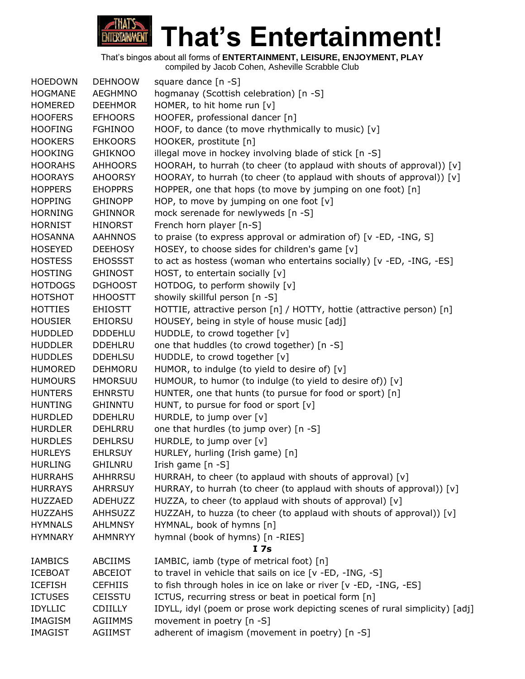

| <b>HOEDOWN</b> | <b>DEHNOOW</b> | square dance $[n - S]$                                                      |
|----------------|----------------|-----------------------------------------------------------------------------|
| <b>HOGMANE</b> | AEGHMNO        | hogmanay (Scottish celebration) [n -S]                                      |
| <b>HOMERED</b> | <b>DEEHMOR</b> | HOMER, to hit home run [v]                                                  |
| <b>HOOFERS</b> | <b>EFHOORS</b> | HOOFER, professional dancer [n]                                             |
| <b>HOOFING</b> | <b>FGHINOO</b> | HOOF, to dance (to move rhythmically to music) $[v]$                        |
| <b>HOOKERS</b> | <b>EHKOORS</b> | HOOKER, prostitute [n]                                                      |
| <b>HOOKING</b> | <b>GHIKNOO</b> | illegal move in hockey involving blade of stick [n -S]                      |
| <b>HOORAHS</b> | <b>AHHOORS</b> | HOORAH, to hurrah (to cheer (to applaud with shouts of approval)) [v]       |
| <b>HOORAYS</b> | <b>AHOORSY</b> | HOORAY, to hurrah (to cheer (to applaud with shouts of approval)) [v]       |
| <b>HOPPERS</b> | <b>EHOPPRS</b> | HOPPER, one that hops (to move by jumping on one foot) [n]                  |
| <b>HOPPING</b> | <b>GHINOPP</b> | HOP, to move by jumping on one foot $[v]$                                   |
| <b>HORNING</b> | <b>GHINNOR</b> | mock serenade for newlyweds [n -S]                                          |
| <b>HORNIST</b> | <b>HINORST</b> | French horn player [n-S]                                                    |
| <b>HOSANNA</b> | <b>AAHNNOS</b> | to praise (to express approval or admiration of) [v -ED, -ING, S]           |
| <b>HOSEYED</b> | <b>DEEHOSY</b> | HOSEY, to choose sides for children's game [v]                              |
| <b>HOSTESS</b> | <b>EHOSSST</b> | to act as hostess (woman who entertains socially) [v -ED, -ING, -ES]        |
| <b>HOSTING</b> | <b>GHINOST</b> | HOST, to entertain socially [v]                                             |
| <b>HOTDOGS</b> | <b>DGHOOST</b> | HOTDOG, to perform showily [v]                                              |
| <b>HOTSHOT</b> | <b>HHOOSTT</b> | showily skillful person [n -S]                                              |
| <b>HOTTIES</b> | <b>EHIOSTT</b> | HOTTIE, attractive person [n] / HOTTY, hottie (attractive person) [n]       |
| <b>HOUSIER</b> | <b>EHIORSU</b> | HOUSEY, being in style of house music [adj]                                 |
| <b>HUDDLED</b> | <b>DDDEHLU</b> | HUDDLE, to crowd together [v]                                               |
| <b>HUDDLER</b> | <b>DDEHLRU</b> | one that huddles (to crowd together) [n -S]                                 |
| <b>HUDDLES</b> | <b>DDEHLSU</b> | HUDDLE, to crowd together [v]                                               |
| <b>HUMORED</b> | <b>DEHMORU</b> | HUMOR, to indulge (to yield to desire of) [v]                               |
| <b>HUMOURS</b> | <b>HMORSUU</b> | HUMOUR, to humor (to indulge (to yield to desire of)) [v]                   |
| <b>HUNTERS</b> | <b>EHNRSTU</b> | HUNTER, one that hunts (to pursue for food or sport) [n]                    |
| <b>HUNTING</b> | <b>GHINNTU</b> | HUNT, to pursue for food or sport [v]                                       |
| <b>HURDLED</b> | <b>DDEHLRU</b> | HURDLE, to jump over [v]                                                    |
| <b>HURDLER</b> | DEHLRRU        | one that hurdles (to jump over) [n -S]                                      |
| <b>HURDLES</b> | <b>DEHLRSU</b> | HURDLE, to jump over [v]                                                    |
| <b>HURLEYS</b> | <b>EHLRSUY</b> | HURLEY, hurling (Irish game) [n]                                            |
| <b>HURLING</b> | <b>GHILNRU</b> | Irish game [n -S]                                                           |
| <b>HURRAHS</b> | <b>AHHRRSU</b> | HURRAH, to cheer (to applaud with shouts of approval) [v]                   |
| <b>HURRAYS</b> | <b>AHRRSUY</b> | HURRAY, to hurrah (to cheer (to applaud with shouts of approval)) [v]       |
| <b>HUZZAED</b> | <b>ADEHUZZ</b> | HUZZA, to cheer (to applaud with shouts of approval) [v]                    |
| <b>HUZZAHS</b> | <b>AHHSUZZ</b> | HUZZAH, to huzza (to cheer (to applaud with shouts of approval)) [v]        |
| <b>HYMNALS</b> | <b>AHLMNSY</b> | HYMNAL, book of hymns [n]                                                   |
| <b>HYMNARY</b> | <b>AHMNRYY</b> | hymnal (book of hymns) [n -RIES]                                            |
|                |                | I <sub>7s</sub>                                                             |
| <b>IAMBICS</b> | <b>ABCIIMS</b> | IAMBIC, iamb (type of metrical foot) [n]                                    |
| <b>ICEBOAT</b> | ABCEIOT        | to travel in vehicle that sails on ice [v -ED, -ING, -S]                    |
| <b>ICEFISH</b> | <b>CEFHIIS</b> | to fish through holes in ice on lake or river [v -ED, -ING, -ES]            |
| <b>ICTUSES</b> | <b>CEISSTU</b> | ICTUS, recurring stress or beat in poetical form [n]                        |
| <b>IDYLLIC</b> | <b>CDIILLY</b> | IDYLL, idyl (poem or prose work depicting scenes of rural simplicity) [adj] |
| <b>IMAGISM</b> | <b>AGIIMMS</b> | movement in poetry [n -S]                                                   |
| <b>IMAGIST</b> | <b>AGIIMST</b> | adherent of imagism (movement in poetry) [n -S]                             |
|                |                |                                                                             |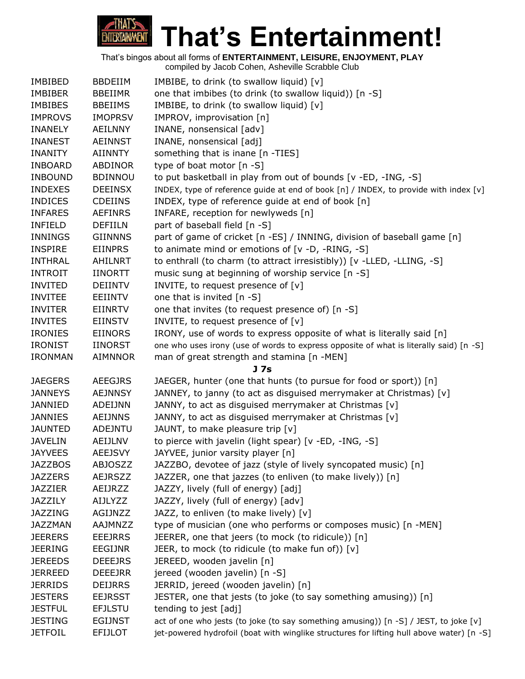

| <b>IMBIBED</b> | <b>BBDEIIM</b> | IMBIBE, to drink (to swallow liquid) [v]                                                  |
|----------------|----------------|-------------------------------------------------------------------------------------------|
| <b>IMBIBER</b> | <b>BBEIIMR</b> | one that imbibes (to drink (to swallow liquid)) [n -S]                                    |
| <b>IMBIBES</b> | <b>BBEIIMS</b> | IMBIBE, to drink (to swallow liquid) [v]                                                  |
| <b>IMPROVS</b> | <b>IMOPRSV</b> | IMPROV, improvisation [n]                                                                 |
| <b>INANELY</b> | <b>AEILNNY</b> | INANE, nonsensical [adv]                                                                  |
| <b>INANEST</b> | <b>AEINNST</b> | INANE, nonsensical [adj]                                                                  |
| <b>INANITY</b> | <b>AIINNTY</b> | something that is inane [n -TIES]                                                         |
| <b>INBOARD</b> | <b>ABDINOR</b> | type of boat motor [n -S]                                                                 |
| <b>INBOUND</b> | <b>BDINNOU</b> | to put basketball in play from out of bounds [v -ED, -ING, -S]                            |
| <b>INDEXES</b> | <b>DEEINSX</b> | INDEX, type of reference guide at end of book [n] / INDEX, to provide with index [v]      |
| <b>INDICES</b> | <b>CDEIINS</b> | INDEX, type of reference guide at end of book [n]                                         |
| <b>INFARES</b> | <b>AEFINRS</b> | INFARE, reception for newlyweds [n]                                                       |
| <b>INFIELD</b> | DEFIILN        | part of baseball field [n -S]                                                             |
| <b>INNINGS</b> | <b>GIINNNS</b> | part of game of cricket [n -ES] / INNING, division of baseball game [n]                   |
| <b>INSPIRE</b> | <b>EIINPRS</b> | to animate mind or emotions of [v -D, -RING, -S]                                          |
| <b>INTHRAL</b> | AHILNRT        | to enthrall (to charm (to attract irresistibly)) [v -LLED, -LLING, -S]                    |
| <b>INTROIT</b> | <b>IINORTT</b> | music sung at beginning of worship service [n -S]                                         |
| <b>INVITED</b> | <b>DEIINTV</b> | INVITE, to request presence of [v]                                                        |
| <b>INVITEE</b> | EEIINTV        | one that is invited [n -S]                                                                |
| <b>INVITER</b> | <b>EIINRTV</b> | one that invites (to request presence of) [n -S]                                          |
| <b>INVITES</b> | <b>EIINSTV</b> | INVITE, to request presence of [v]                                                        |
| <b>IRONIES</b> | <b>EIINORS</b> | IRONY, use of words to express opposite of what is literally said [n]                     |
| <b>IRONIST</b> | <b>IINORST</b> | one who uses irony (use of words to express opposite of what is literally said) [n -S]    |
| <b>IRONMAN</b> | <b>AIMNNOR</b> | man of great strength and stamina [n -MEN]                                                |
|                |                | J 7s                                                                                      |
| <b>JAEGERS</b> | <b>AEEGJRS</b> | JAEGER, hunter (one that hunts (to pursue for food or sport)) [n]                         |
| <b>JANNEYS</b> | <b>AEJNNSY</b> | JANNEY, to janny (to act as disguised merrymaker at Christmas) [v]                        |
| JANNIED        | ADEIJNN        | JANNY, to act as disguised merrymaker at Christmas [v]                                    |
| <b>JANNIES</b> | <b>AEIJNNS</b> | JANNY, to act as disguised merrymaker at Christmas [v]                                    |
| JAUNTED        | <b>ADEJNTU</b> | JAUNT, to make pleasure trip [v]                                                          |
| <b>JAVELIN</b> | AEIJLNV        | to pierce with javelin (light spear) [v -ED, -ING, -S]                                    |
| <b>JAYVEES</b> | <b>AEEJSVY</b> | JAYVEE, junior varsity player [n]                                                         |
| <b>JAZZBOS</b> | <b>ABJOSZZ</b> | JAZZBO, devotee of jazz (style of lively syncopated music) [n]                            |
| <b>JAZZERS</b> | <b>AEJRSZZ</b> | JAZZER, one that jazzes (to enliven (to make lively)) [n]                                 |
| <b>JAZZIER</b> | AEIJRZZ        | JAZZY, lively (full of energy) [adj]                                                      |
| JAZZILY        | <b>AIJLYZZ</b> | JAZZY, lively (full of energy) [adv]                                                      |
| JAZZING        | AGIJNZZ        | JAZZ, to enliven (to make lively) [v]                                                     |
| <b>JAZZMAN</b> | AAJMNZZ        | type of musician (one who performs or composes music) [n -MEN]                            |
| <b>JEERERS</b> | <b>EEEJRRS</b> | JEERER, one that jeers (to mock (to ridicule)) [n]                                        |
| <b>JEERING</b> | EEGIJNR        | JEER, to mock (to ridicule (to make fun of)) [v]                                          |
| <b>JEREEDS</b> | <b>DEEEJRS</b> | JEREED, wooden javelin [n]                                                                |
| <b>JERREED</b> | <b>DEEEJRR</b> | jereed (wooden javelin) [n -S]                                                            |
| <b>JERRIDS</b> | <b>DEIJRRS</b> | JERRID, jereed (wooden javelin) [n]                                                       |
| <b>JESTERS</b> | <b>EEJRSST</b> | JESTER, one that jests (to joke (to say something amusing)) [n]                           |
| <b>JESTFUL</b> | <b>EFJLSTU</b> | tending to jest [adj]                                                                     |
| <b>JESTING</b> | <b>EGIJNST</b> | act of one who jests (to joke (to say something amusing)) [n -S] / JEST, to joke [v]      |
| <b>JETFOIL</b> | <b>EFIJLOT</b> | jet-powered hydrofoil (boat with winglike structures for lifting hull above water) [n -S] |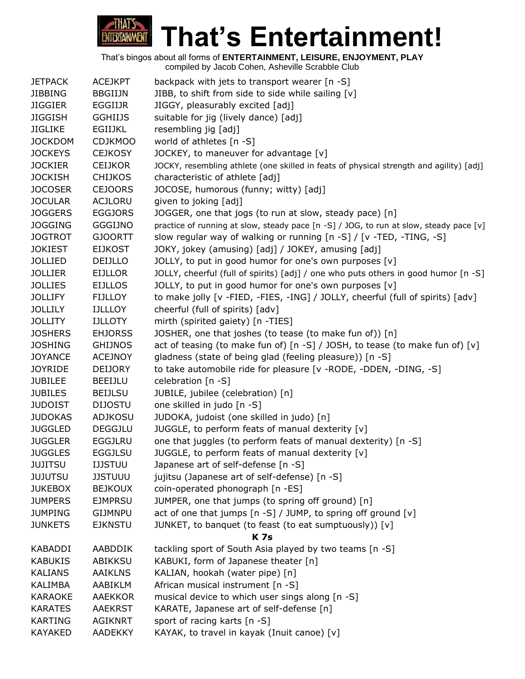

| <b>JETPACK</b> | <b>ACEJKPT</b> | backpack with jets to transport wearer [n -S]                                           |
|----------------|----------------|-----------------------------------------------------------------------------------------|
| <b>JIBBING</b> | <b>BBGIIJN</b> | JIBB, to shift from side to side while sailing [v]                                      |
| <b>JIGGIER</b> | EGGIIJR        | JIGGY, pleasurably excited [adj]                                                        |
| <b>JIGGISH</b> | <b>GGHIIJS</b> | suitable for jig (lively dance) [adj]                                                   |
| <b>JIGLIKE</b> | <b>EGIIJKL</b> | resembling jig [adj]                                                                    |
| <b>JOCKDOM</b> | <b>CDJKMOO</b> | world of athletes [n -S]                                                                |
| <b>JOCKEYS</b> | <b>CEJKOSY</b> | JOCKEY, to maneuver for advantage [v]                                                   |
| <b>JOCKIER</b> | <b>CEIJKOR</b> | JOCKY, resembling athlete (one skilled in feats of physical strength and agility) [adj] |
| <b>JOCKISH</b> | <b>CHIJKOS</b> | characteristic of athlete [adj]                                                         |
| <b>JOCOSER</b> | <b>CEJOORS</b> | JOCOSE, humorous (funny; witty) [adj]                                                   |
| <b>JOCULAR</b> | <b>ACJLORU</b> | given to joking [adj]                                                                   |
| <b>JOGGERS</b> | <b>EGGJORS</b> | JOGGER, one that jogs (to run at slow, steady pace) [n]                                 |
| <b>JOGGING</b> | <b>GGGIJNO</b> | practice of running at slow, steady pace [n -S] / JOG, to run at slow, steady pace [v]  |
| <b>JOGTROT</b> | <b>GJOORTT</b> | slow regular way of walking or running [n -S] / [v -TED, -TING, -S]                     |
| <b>JOKIEST</b> | <b>EIJKOST</b> | JOKY, jokey (amusing) [adj] / JOKEY, amusing [adj]                                      |
| <b>JOLLIED</b> | DEIJLLO        | JOLLY, to put in good humor for one's own purposes [v]                                  |
| <b>JOLLIER</b> | <b>EIJLLOR</b> | JOLLY, cheerful (full of spirits) [adj] / one who puts others in good humor [n -S]      |
| <b>JOLLIES</b> | <b>EIJLLOS</b> | JOLLY, to put in good humor for one's own purposes [v]                                  |
| <b>JOLLIFY</b> | <b>FIJLLOY</b> | to make jolly [v -FIED, -FIES, -ING] / JOLLY, cheerful (full of spirits) [adv]          |
| <b>JOLLILY</b> | <b>IJLLLOY</b> | cheerful (full of spirits) [adv]                                                        |
| <b>JOLLITY</b> | <b>IJLLOTY</b> | mirth (spirited gaiety) [n -TIES]                                                       |
| <b>JOSHERS</b> | <b>EHJORSS</b> | JOSHER, one that joshes (to tease (to make fun of)) [n]                                 |
| <b>JOSHING</b> | <b>GHIJNOS</b> | act of teasing (to make fun of) [n -S] / JOSH, to tease (to make fun of) [v]            |
| <b>JOYANCE</b> | <b>ACEJNOY</b> | gladness (state of being glad (feeling pleasure)) [n -S]                                |
| <b>JOYRIDE</b> | <b>DEIJORY</b> | to take automobile ride for pleasure [v - RODE, -DDEN, -DING, -S]                       |
| <b>JUBILEE</b> | <b>BEEIJLU</b> | celebration [n -S]                                                                      |
| <b>JUBILES</b> | <b>BEIJLSU</b> | JUBILE, jubilee (celebration) [n]                                                       |
| <b>JUDOIST</b> | <b>DIJOSTU</b> | one skilled in judo [n -S]                                                              |
| <b>JUDOKAS</b> | <b>ADJKOSU</b> | JUDOKA, judoist (one skilled in judo) [n]                                               |
| <b>JUGGLED</b> | <b>DEGGJLU</b> | JUGGLE, to perform feats of manual dexterity [v]                                        |
| <b>JUGGLER</b> | <b>EGGJLRU</b> | one that juggles (to perform feats of manual dexterity) [n -S]                          |
| <b>JUGGLES</b> | <b>EGGJLSU</b> | JUGGLE, to perform feats of manual dexterity [v]                                        |
| <b>JUJITSU</b> | <b>IJJSTUU</b> | Japanese art of self-defense [n -S]                                                     |
| <b>JUJUTSU</b> | <b>JJSTUUU</b> | jujitsu (Japanese art of self-defense) [n -S]                                           |
| <b>JUKEBOX</b> | <b>BEJKOUX</b> | coin-operated phonograph [n -ES]                                                        |
| <b>JUMPERS</b> | <b>EJMPRSU</b> | JUMPER, one that jumps (to spring off ground) [n]                                       |
| <b>JUMPING</b> | <b>GIJMNPU</b> | act of one that jumps [n -S] / JUMP, to spring off ground [v]                           |
| <b>JUNKETS</b> | <b>EJKNSTU</b> | JUNKET, to banquet (to feast (to eat sumptuously)) [v]                                  |
|                |                | <b>K7s</b>                                                                              |
| KABADDI        | AABDDIK        | tackling sport of South Asia played by two teams [n -S]                                 |
| <b>KABUKIS</b> | <b>ABIKKSU</b> | KABUKI, form of Japanese theater [n]                                                    |
| <b>KALIANS</b> | <b>AAIKLNS</b> | KALIAN, hookah (water pipe) [n]                                                         |
| KALIMBA        | AABIKLM        | African musical instrument [n -S]                                                       |
| <b>KARAOKE</b> | <b>AAEKKOR</b> | musical device to which user sings along [n -S]                                         |
| <b>KARATES</b> | <b>AAEKRST</b> | KARATE, Japanese art of self-defense [n]                                                |
| <b>KARTING</b> | <b>AGIKNRT</b> | sport of racing karts [n -S]                                                            |
| <b>KAYAKED</b> | <b>AADEKKY</b> | KAYAK, to travel in kayak (Inuit canoe) [v]                                             |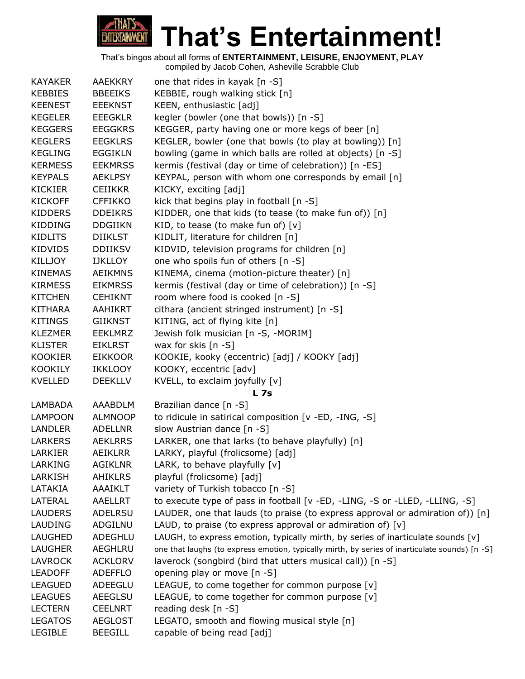

| <b>KAYAKER</b> | <b>AAEKKRY</b> | one that rides in kayak [n -S]                                                                 |
|----------------|----------------|------------------------------------------------------------------------------------------------|
| <b>KEBBIES</b> | <b>BBEEIKS</b> | KEBBIE, rough walking stick [n]                                                                |
| <b>KEENEST</b> | <b>EEEKNST</b> | KEEN, enthusiastic [adj]                                                                       |
| <b>KEGELER</b> | <b>EEEGKLR</b> | kegler (bowler (one that bowls)) [n -S]                                                        |
| <b>KEGGERS</b> | <b>EEGGKRS</b> | KEGGER, party having one or more kegs of beer [n]                                              |
| <b>KEGLERS</b> | <b>EEGKLRS</b> | KEGLER, bowler (one that bowls (to play at bowling)) [n]                                       |
| <b>KEGLING</b> | <b>EGGIKLN</b> | bowling (game in which balls are rolled at objects) [n -S]                                     |
| <b>KERMESS</b> | <b>EEKMRSS</b> | kermis (festival (day or time of celebration)) [n -ES]                                         |
| <b>KEYPALS</b> | <b>AEKLPSY</b> | KEYPAL, person with whom one corresponds by email [n]                                          |
| <b>KICKIER</b> | <b>CEIIKKR</b> | KICKY, exciting [adj]                                                                          |
| <b>KICKOFF</b> | <b>CFFIKKO</b> | kick that begins play in football [n -S]                                                       |
| <b>KIDDERS</b> | <b>DDEIKRS</b> | KIDDER, one that kids (to tease (to make fun of)) [n]                                          |
| KIDDING        | <b>DDGIIKN</b> | KID, to tease (to make fun of) $[v]$                                                           |
| <b>KIDLITS</b> | <b>DIIKLST</b> | KIDLIT, literature for children [n]                                                            |
| KIDVIDS        | <b>DDIIKSV</b> | KIDVID, television programs for children [n]                                                   |
| <b>KILLJOY</b> | <b>IJKLLOY</b> | one who spoils fun of others [n -S]                                                            |
| <b>KINEMAS</b> | <b>AEIKMNS</b> | KINEMA, cinema (motion-picture theater) [n]                                                    |
| <b>KIRMESS</b> | <b>EIKMRSS</b> | kermis (festival (day or time of celebration)) [n -S]                                          |
| <b>KITCHEN</b> | <b>CEHIKNT</b> | room where food is cooked [n -S]                                                               |
| <b>KITHARA</b> | AAHIKRT        | cithara (ancient stringed instrument) [n -S]                                                   |
| <b>KITINGS</b> | <b>GIIKNST</b> | KITING, act of flying kite [n]                                                                 |
| <b>KLEZMER</b> | <b>EEKLMRZ</b> | Jewish folk musician [n -S, -MORIM]                                                            |
| <b>KLISTER</b> | <b>EIKLRST</b> | wax for skis [n -S]                                                                            |
| <b>KOOKIER</b> | <b>EIKKOOR</b> | KOOKIE, kooky (eccentric) [adj] / KOOKY [adj]                                                  |
| <b>KOOKILY</b> | <b>IKKLOOY</b> | KOOKY, eccentric [adv]                                                                         |
| <b>KVELLED</b> | <b>DEEKLLV</b> | KVELL, to exclaim joyfully [v]                                                                 |
|                |                | L <sub>7s</sub>                                                                                |
| <b>LAMBADA</b> | AAABDLM        | Brazilian dance [n -S]                                                                         |
| <b>LAMPOON</b> | <b>ALMNOOP</b> | to ridicule in satirical composition [v -ED, -ING, -S]                                         |
| <b>LANDLER</b> | <b>ADELLNR</b> | slow Austrian dance [n -S]                                                                     |
| <b>LARKERS</b> | <b>AEKLRRS</b> | LARKER, one that larks (to behave playfully) [n]                                               |
| <b>LARKIER</b> | <b>AEIKLRR</b> | LARKY, playful (frolicsome) [adj]                                                              |
| LARKING        | <b>AGIKLNR</b> | LARK, to behave playfully [v]                                                                  |
| LARKISH        | <b>AHIKLRS</b> | playful (frolicsome) [adj]                                                                     |
| LATAKIA        | AAAIKLT        | variety of Turkish tobacco [n -S]                                                              |
| LATERAL        | <b>AAELLRT</b> | to execute type of pass in football [v -ED, -LING, -S or -LLED, -LLING, -S]                    |
| <b>LAUDERS</b> | ADELRSU        | LAUDER, one that lauds (to praise (to express approval or admiration of)) $[n]$                |
| LAUDING        | ADGILNU        | LAUD, to praise (to express approval or admiration of) $[v]$                                   |
| <b>LAUGHED</b> | ADEGHLU        | LAUGH, to express emotion, typically mirth, by series of inarticulate sounds [v]               |
| LAUGHER        | AEGHLRU        | one that laughs (to express emotion, typically mirth, by series of inarticulate sounds) [n -S] |
| <b>LAVROCK</b> | <b>ACKLORV</b> | laverock (songbird (bird that utters musical call)) [n -S]                                     |
| <b>LEADOFF</b> | <b>ADEFFLO</b> | opening play or move [n -S]                                                                    |
| <b>LEAGUED</b> | ADEEGLU        | LEAGUE, to come together for common purpose [v]                                                |
| <b>LEAGUES</b> | <b>AEEGLSU</b> | LEAGUE, to come together for common purpose [v]                                                |
| <b>LECTERN</b> | <b>CEELNRT</b> | reading desk [n -S]                                                                            |
| <b>LEGATOS</b> | <b>AEGLOST</b> | LEGATO, smooth and flowing musical style [n]                                                   |
| <b>LEGIBLE</b> | <b>BEEGILL</b> | capable of being read [adj]                                                                    |
|                |                |                                                                                                |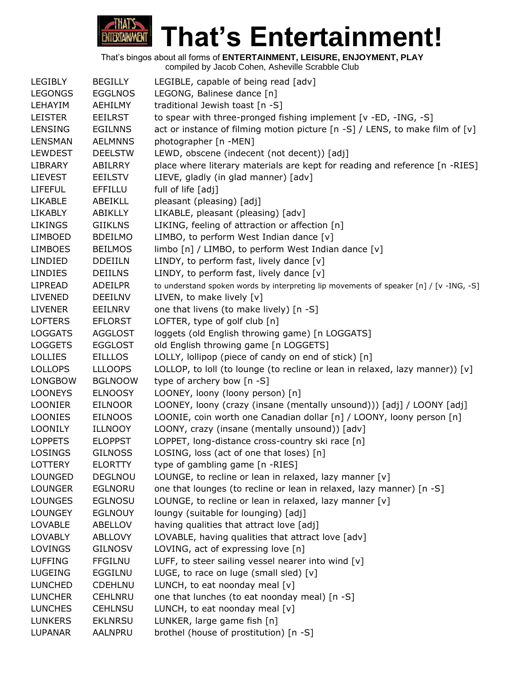

|                |                | complica by caced Concil, Actioning Corabbic Clab                                      |
|----------------|----------------|----------------------------------------------------------------------------------------|
| <b>LEGIBLY</b> | <b>BEGILLY</b> | LEGIBLE, capable of being read [adv]                                                   |
| <b>LEGONGS</b> | <b>EGGLNOS</b> | LEGONG, Balinese dance [n]                                                             |
| LEHAYIM        | <b>AEHILMY</b> | traditional Jewish toast [n -S]                                                        |
| <b>LEISTER</b> | <b>EEILRST</b> | to spear with three-pronged fishing implement [v -ED, -ING, -S]                        |
| <b>LENSING</b> | <b>EGILNNS</b> | act or instance of filming motion picture [n -S] / LENS, to make film of [v]           |
| LENSMAN        | <b>AELMNNS</b> | photographer [n -MEN]                                                                  |
| <b>LEWDEST</b> | <b>DEELSTW</b> | LEWD, obscene (indecent (not decent)) [adj]                                            |
| <b>LIBRARY</b> | ABILRRY        | place where literary materials are kept for reading and reference [n -RIES]            |
| <b>LIEVEST</b> | <b>EEILSTV</b> | LIEVE, gladly (in glad manner) [adv]                                                   |
| <b>LIFEFUL</b> | <b>EFFILLU</b> | full of life [adj]                                                                     |
| <b>LIKABLE</b> | ABEIKLL        | pleasant (pleasing) [adj]                                                              |
| <b>LIKABLY</b> | ABIKLLY        | LIKABLE, pleasant (pleasing) [adv]                                                     |
| <b>LIKINGS</b> | <b>GIIKLNS</b> | LIKING, feeling of attraction or affection [n]                                         |
| <b>LIMBOED</b> | <b>BDEILMO</b> | LIMBO, to perform West Indian dance [v]                                                |
| <b>LIMBOES</b> | <b>BEILMOS</b> | limbo [n] / LIMBO, to perform West Indian dance [v]                                    |
| LINDIED        | <b>DDEIILN</b> | LINDY, to perform fast, lively dance [v]                                               |
| <b>LINDIES</b> | <b>DEIILNS</b> | LINDY, to perform fast, lively dance [v]                                               |
| <b>LIPREAD</b> | <b>ADEILPR</b> | to understand spoken words by interpreting lip movements of speaker [n] / [v -ING, -S] |
| <b>LIVENED</b> | <b>DEEILNV</b> | LIVEN, to make lively [v]                                                              |
| <b>LIVENER</b> | <b>EEILNRV</b> | one that livens (to make lively) [n -S]                                                |
| <b>LOFTERS</b> | <b>EFLORST</b> | LOFTER, type of golf club [n]                                                          |
| <b>LOGGATS</b> | <b>AGGLOST</b> | loggets (old English throwing game) [n LOGGATS]                                        |
| <b>LOGGETS</b> | <b>EGGLOST</b> | old English throwing game [n LOGGETS]                                                  |
| <b>LOLLIES</b> | <b>EILLLOS</b> | LOLLY, lollipop (piece of candy on end of stick) [n]                                   |
| <b>LOLLOPS</b> | <b>LLLOOPS</b> | LOLLOP, to loll (to lounge (to recline or lean in relaxed, lazy manner)) [v]           |
| <b>LONGBOW</b> | <b>BGLNOOW</b> | type of archery bow [n -S]                                                             |
| <b>LOONEYS</b> | <b>ELNOOSY</b> | LOONEY, loony (loony person) [n]                                                       |
| <b>LOONIER</b> | <b>EILNOOR</b> | LOONEY, loony (crazy (insane (mentally unsound))) [adj] / LOONY [adj]                  |
| <b>LOONIES</b> | <b>EILNOOS</b> | LOONIE, coin worth one Canadian dollar [n] / LOONY, loony person [n]                   |
| <b>LOONILY</b> | <b>ILLNOOY</b> | LOONY, crazy (insane (mentally unsound)) [adv]                                         |
| <b>LOPPETS</b> | <b>ELOPPST</b> | LOPPET, long-distance cross-country ski race [n]                                       |
| <b>LOSINGS</b> | <b>GILNOSS</b> | LOSING, loss (act of one that loses) [n]                                               |
| LOTTERY        | <b>ELORTTY</b> | type of gambling game [n -RIES]                                                        |
| <b>LOUNGED</b> | DEGLNOU        | LOUNGE, to recline or lean in relaxed, lazy manner [v]                                 |
| <b>LOUNGER</b> | <b>EGLNORU</b> | one that lounges (to recline or lean in relaxed, lazy manner) [n -S]                   |
| <b>LOUNGES</b> | <b>EGLNOSU</b> | LOUNGE, to recline or lean in relaxed, lazy manner [v]                                 |
| <b>LOUNGEY</b> | <b>EGLNOUY</b> | loungy (suitable for lounging) [adj]                                                   |
| <b>LOVABLE</b> | ABELLOV        | having qualities that attract love [adj]                                               |
| <b>LOVABLY</b> | <b>ABLLOVY</b> | LOVABLE, having qualities that attract love [adv]                                      |
| LOVINGS        | <b>GILNOSV</b> | LOVING, act of expressing love [n]                                                     |
| <b>LUFFING</b> | <b>FFGILNU</b> | LUFF, to steer sailing vessel nearer into wind [v]                                     |
| <b>LUGEING</b> | EGGILNU        | LUGE, to race on luge (small sled) $[v]$                                               |
| <b>LUNCHED</b> | <b>CDEHLNU</b> | LUNCH, to eat noonday meal $[v]$                                                       |
| <b>LUNCHER</b> | <b>CEHLNRU</b> | one that lunches (to eat noonday meal) [n -S]                                          |
| <b>LUNCHES</b> | <b>CEHLNSU</b> | LUNCH, to eat noonday meal [v]                                                         |
| <b>LUNKERS</b> | <b>EKLNRSU</b> | LUNKER, large game fish [n]                                                            |
| <b>LUPANAR</b> | AALNPRU        | brothel (house of prostitution) [n -S]                                                 |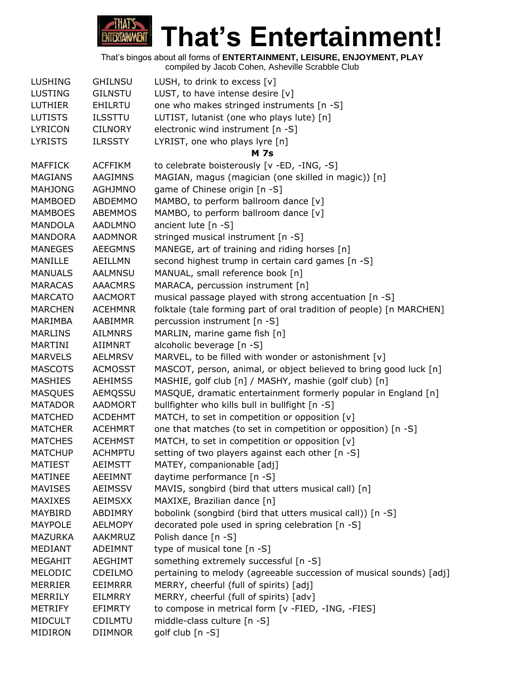

| <b>LUSHING</b> | <b>GHILNSU</b> | LUSH, to drink to excess $[v]$                                       |
|----------------|----------------|----------------------------------------------------------------------|
| <b>LUSTING</b> | <b>GILNSTU</b> | LUST, to have intense desire $[v]$                                   |
| <b>LUTHIER</b> | <b>EHILRTU</b> | one who makes stringed instruments [n -S]                            |
| <b>LUTISTS</b> | <b>ILSSTTU</b> | LUTIST, lutanist (one who plays lute) [n]                            |
| <b>LYRICON</b> | <b>CILNORY</b> | electronic wind instrument [n -S]                                    |
| <b>LYRISTS</b> | <b>ILRSSTY</b> | LYRIST, one who plays lyre [n]                                       |
|                |                | <b>M</b> 7s                                                          |
| <b>MAFFICK</b> | <b>ACFFIKM</b> | to celebrate boisterously [v -ED, -ING, -S]                          |
| <b>MAGIANS</b> | AAGIMNS        | MAGIAN, magus (magician (one skilled in magic)) [n]                  |
| <b>MAHJONG</b> | <b>AGHJMNO</b> | game of Chinese origin [n -S]                                        |
| <b>MAMBOED</b> | ABDEMMO        | MAMBO, to perform ballroom dance [v]                                 |
| <b>MAMBOES</b> | <b>ABEMMOS</b> | MAMBO, to perform ballroom dance [v]                                 |
| MANDOLA        | <b>AADLMNO</b> | ancient lute [n -S]                                                  |
| MANDORA        | <b>AADMNOR</b> | stringed musical instrument [n -S]                                   |
| <b>MANEGES</b> | <b>AEEGMNS</b> | MANEGE, art of training and riding horses [n]                        |
| MANILLE        | AEILLMN        | second highest trump in certain card games [n -S]                    |
| <b>MANUALS</b> | <b>AALMNSU</b> | MANUAL, small reference book [n]                                     |
| <b>MARACAS</b> | <b>AAACMRS</b> | MARACA, percussion instrument [n]                                    |
| <b>MARCATO</b> | <b>AACMORT</b> | musical passage played with strong accentuation [n -S]               |
| <b>MARCHEN</b> | <b>ACEHMNR</b> | folktale (tale forming part of oral tradition of people) [n MARCHEN] |
| MARIMBA        | AABIMMR        | percussion instrument [n -S]                                         |
| <b>MARLINS</b> | <b>AILMNRS</b> | MARLIN, marine game fish [n]                                         |
| MARTINI        | AIIMNRT        | alcoholic beverage [n -S]                                            |
| <b>MARVELS</b> | <b>AELMRSV</b> | MARVEL, to be filled with wonder or astonishment [v]                 |
| <b>MASCOTS</b> | <b>ACMOSST</b> | MASCOT, person, animal, or object believed to bring good luck [n]    |
| <b>MASHIES</b> | <b>AEHIMSS</b> | MASHIE, golf club [n] / MASHY, mashie (golf club) [n]                |
| <b>MASQUES</b> | AEMQSSU        | MASQUE, dramatic entertainment formerly popular in England [n]       |
| <b>MATADOR</b> | <b>AADMORT</b> | bullfighter who kills bull in bullfight [n -S]                       |
| <b>MATCHED</b> | <b>ACDEHMT</b> | MATCH, to set in competition or opposition [v]                       |
| <b>MATCHER</b> | <b>ACEHMRT</b> | one that matches (to set in competition or opposition) [n -S]        |
| <b>MATCHES</b> | <b>ACEHMST</b> | MATCH, to set in competition or opposition [v]                       |
| <b>MATCHUP</b> | <b>ACHMPTU</b> | setting of two players against each other [n -S]                     |
| <b>MATIEST</b> | <b>AEIMSTT</b> | MATEY, companionable [adj]                                           |
| <b>MATINEE</b> | AEEIMNT        | daytime performance [n -S]                                           |
| <b>MAVISES</b> | <b>AEIMSSV</b> | MAVIS, songbird (bird that utters musical call) [n]                  |
| <b>MAXIXES</b> | <b>AEIMSXX</b> | MAXIXE, Brazilian dance [n]                                          |
| MAYBIRD        | ABDIMRY        | bobolink (songbird (bird that utters musical call)) [n -S]           |
| <b>MAYPOLE</b> | <b>AELMOPY</b> | decorated pole used in spring celebration [n -S]                     |
| <b>MAZURKA</b> | AAKMRUZ        | Polish dance [n -S]                                                  |
| <b>MEDIANT</b> | ADEIMNT        | type of musical tone [n -S]                                          |
| <b>MEGAHIT</b> | AEGHIMT        | something extremely successful [n -S]                                |
| MELODIC        | CDEILMO        | pertaining to melody (agreeable succession of musical sounds) [adj]  |
| <b>MERRIER</b> | <b>EEIMRRR</b> | MERRY, cheerful (full of spirits) [adj]                              |
| <b>MERRILY</b> | <b>EILMRRY</b> | MERRY, cheerful (full of spirits) [adv]                              |
| <b>METRIFY</b> | EFIMRTY        | to compose in metrical form [v -FIED, -ING, -FIES]                   |
| <b>MIDCULT</b> | <b>CDILMTU</b> | middle-class culture [n -S]                                          |
| MIDIRON        | <b>DIIMNOR</b> | golf club [n -S]                                                     |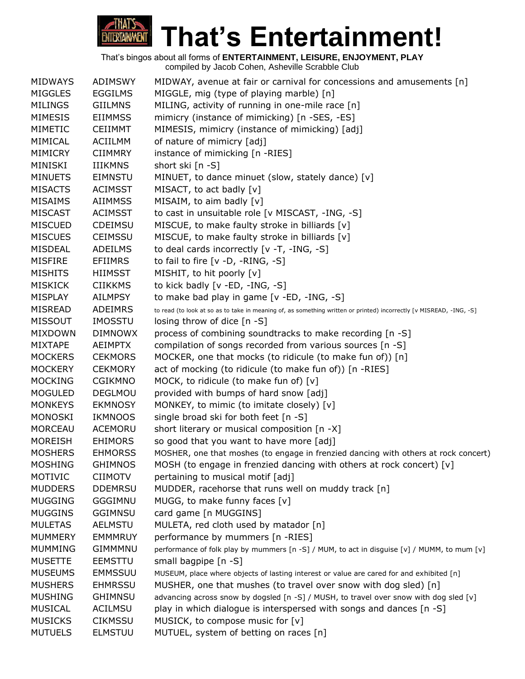

| <b>MIDWAYS</b> | <b>ADIMSWY</b> | MIDWAY, avenue at fair or carnival for concessions and amusements [n]                                               |
|----------------|----------------|---------------------------------------------------------------------------------------------------------------------|
| <b>MIGGLES</b> | <b>EGGILMS</b> | MIGGLE, mig (type of playing marble) [n]                                                                            |
| <b>MILINGS</b> | <b>GIILMNS</b> | MILING, activity of running in one-mile race [n]                                                                    |
| <b>MIMESIS</b> | <b>EIIMMSS</b> | mimicry (instance of mimicking) [n -SES, -ES]                                                                       |
| <b>MIMETIC</b> | <b>CEIIMMT</b> | MIMESIS, mimicry (instance of mimicking) [adj]                                                                      |
| MIMICAL        | <b>ACIILMM</b> | of nature of mimicry [adj]                                                                                          |
| <b>MIMICRY</b> | <b>CIIMMRY</b> | instance of mimicking [n -RIES]                                                                                     |
| MINISKI        | <b>IIIKMNS</b> | short ski [n -S]                                                                                                    |
| <b>MINUETS</b> | <b>EIMNSTU</b> | MINUET, to dance minuet (slow, stately dance) [v]                                                                   |
| <b>MISACTS</b> | <b>ACIMSST</b> | MISACT, to act badly [v]                                                                                            |
| <b>MISAIMS</b> | <b>AIIMMSS</b> | MISAIM, to aim badly [v]                                                                                            |
| <b>MISCAST</b> | <b>ACIMSST</b> | to cast in unsuitable role [v MISCAST, -ING, -S]                                                                    |
| <b>MISCUED</b> | <b>CDEIMSU</b> | MISCUE, to make faulty stroke in billiards [v]                                                                      |
| <b>MISCUES</b> | <b>CEIMSSU</b> | MISCUE, to make faulty stroke in billiards [v]                                                                      |
| <b>MISDEAL</b> | <b>ADEILMS</b> | to deal cards incorrectly [v -T, -ING, -S]                                                                          |
| <b>MISFIRE</b> | <b>EFIIMRS</b> | to fail to fire $[v -D, -RING, -S]$                                                                                 |
| <b>MISHITS</b> | <b>HIIMSST</b> | MISHIT, to hit poorly [v]                                                                                           |
| <b>MISKICK</b> | <b>CIIKKMS</b> | to kick badly [v -ED, -ING, -S]                                                                                     |
| MISPLAY        | <b>AILMPSY</b> | to make bad play in game [v -ED, -ING, -S]                                                                          |
| <b>MISREAD</b> | <b>ADEIMRS</b> | to read (to look at so as to take in meaning of, as something written or printed) incorrectly [v MISREAD, -ING, -S] |
| <b>MISSOUT</b> | IMOSSTU        | losing throw of dice [n -S]                                                                                         |
| <b>MIXDOWN</b> | <b>DIMNOWX</b> | process of combining soundtracks to make recording [n -S]                                                           |
| <b>MIXTAPE</b> | <b>AEIMPTX</b> | compilation of songs recorded from various sources [n -S]                                                           |
| <b>MOCKERS</b> | <b>CEKMORS</b> | MOCKER, one that mocks (to ridicule (to make fun of)) [n]                                                           |
| <b>MOCKERY</b> | <b>CEKMORY</b> | act of mocking (to ridicule (to make fun of)) [n -RIES]                                                             |
| <b>MOCKING</b> | <b>CGIKMNO</b> | MOCK, to ridicule (to make fun of) [v]                                                                              |
| <b>MOGULED</b> | DEGLMOU        | provided with bumps of hard snow [adj]                                                                              |
| <b>MONKEYS</b> | <b>EKMNOSY</b> | MONKEY, to mimic (to imitate closely) [v]                                                                           |
| <b>MONOSKI</b> | <b>IKMNOOS</b> | single broad ski for both feet [n -S]                                                                               |
| <b>MORCEAU</b> | <b>ACEMORU</b> | short literary or musical composition [n -X]                                                                        |
| <b>MOREISH</b> | <b>EHIMORS</b> | so good that you want to have more [adj]                                                                            |
| <b>MOSHERS</b> | <b>EHMORSS</b> | MOSHER, one that moshes (to engage in frenzied dancing with others at rock concert)                                 |
| <b>MOSHING</b> | <b>GHIMNOS</b> | MOSH (to engage in frenzied dancing with others at rock concert) $[v]$                                              |
| MOTIVIC        | <b>CIIMOTV</b> | pertaining to musical motif [adj]                                                                                   |
| <b>MUDDERS</b> | <b>DDEMRSU</b> | MUDDER, racehorse that runs well on muddy track [n]                                                                 |
| <b>MUGGING</b> | <b>GGGIMNU</b> | MUGG, to make funny faces [v]                                                                                       |
| <b>MUGGINS</b> | <b>GGIMNSU</b> | card game [n MUGGINS]                                                                                               |
| <b>MULETAS</b> | <b>AELMSTU</b> | MULETA, red cloth used by matador [n]                                                                               |
| <b>MUMMERY</b> | <b>EMMMRUY</b> | performance by mummers [n -RIES]                                                                                    |
| <b>MUMMING</b> | <b>GIMMMNU</b> | performance of folk play by mummers [n -S] / MUM, to act in disguise [v] / MUMM, to mum [v]                         |
| <b>MUSETTE</b> | <b>EEMSTTU</b> | small bagpipe [n -S]                                                                                                |
| <b>MUSEUMS</b> | <b>EMMSSUU</b> | MUSEUM, place where objects of lasting interest or value are cared for and exhibited [n]                            |
| <b>MUSHERS</b> | <b>EHMRSSU</b> | MUSHER, one that mushes (to travel over snow with dog sled) [n]                                                     |
| <b>MUSHING</b> | <b>GHIMNSU</b> | advancing across snow by dogsled [n -S] / MUSH, to travel over snow with dog sled [v]                               |
| <b>MUSICAL</b> | <b>ACILMSU</b> | play in which dialogue is interspersed with songs and dances [n -S]                                                 |
| <b>MUSICKS</b> | <b>CIKMSSU</b> | MUSICK, to compose music for [v]                                                                                    |
| <b>MUTUELS</b> | <b>ELMSTUU</b> | MUTUEL, system of betting on races [n]                                                                              |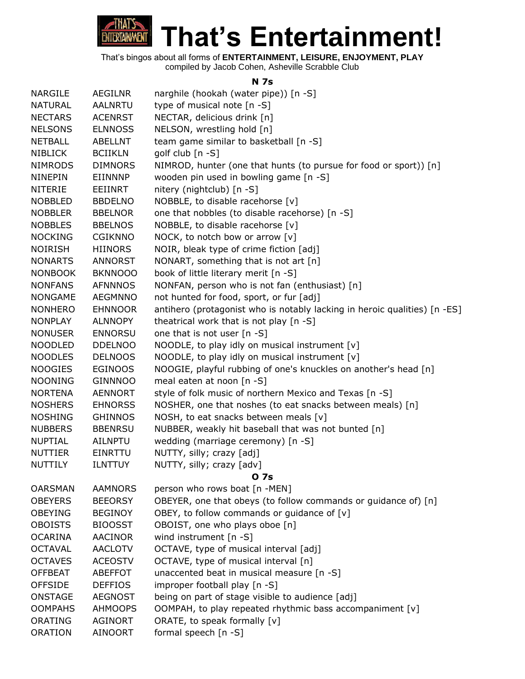

#### **N 7s**

| <b>NARGILE</b> | <b>AEGILNR</b> | narghile (hookah (water pipe)) [n -S]                                     |
|----------------|----------------|---------------------------------------------------------------------------|
| <b>NATURAL</b> | <b>AALNRTU</b> | type of musical note [n -S]                                               |
| <b>NECTARS</b> | <b>ACENRST</b> | NECTAR, delicious drink [n]                                               |
| <b>NELSONS</b> | <b>ELNNOSS</b> | NELSON, wrestling hold [n]                                                |
| <b>NETBALL</b> | <b>ABELLNT</b> | team game similar to basketball [n -S]                                    |
| <b>NIBLICK</b> | <b>BCIIKLN</b> | golf club $[n - S]$                                                       |
| <b>NIMRODS</b> | <b>DIMNORS</b> | NIMROD, hunter (one that hunts (to pursue for food or sport)) [n]         |
| <b>NINEPIN</b> | EIINNNP        | wooden pin used in bowling game [n -S]                                    |
| <b>NITERIE</b> | EEIINRT        | nitery (nightclub) [n -S]                                                 |
| <b>NOBBLED</b> | <b>BBDELNO</b> | NOBBLE, to disable racehorse [v]                                          |
| <b>NOBBLER</b> | <b>BBELNOR</b> | one that nobbles (to disable racehorse) [n -S]                            |
| <b>NOBBLES</b> | <b>BBELNOS</b> | NOBBLE, to disable racehorse [v]                                          |
| <b>NOCKING</b> | <b>CGIKNNO</b> | NOCK, to notch bow or arrow [v]                                           |
| <b>NOIRISH</b> | <b>HIINORS</b> | NOIR, bleak type of crime fiction [adj]                                   |
| <b>NONARTS</b> | <b>ANNORST</b> | NONART, something that is not art [n]                                     |
| <b>NONBOOK</b> | <b>BKNNOOO</b> | book of little literary merit [n -S]                                      |
| <b>NONFANS</b> | <b>AFNNNOS</b> | NONFAN, person who is not fan (enthusiast) [n]                            |
| <b>NONGAME</b> | <b>AEGMNNO</b> | not hunted for food, sport, or fur [adj]                                  |
| <b>NONHERO</b> | <b>EHNNOOR</b> | antihero (protagonist who is notably lacking in heroic qualities) [n -ES] |
| <b>NONPLAY</b> | <b>ALNNOPY</b> | theatrical work that is not play [n -S]                                   |
| <b>NONUSER</b> | <b>ENNORSU</b> | one that is not user [n -S]                                               |
| <b>NOODLED</b> | <b>DDELNOO</b> | NOODLE, to play idly on musical instrument [v]                            |
| <b>NOODLES</b> | <b>DELNOOS</b> | NOODLE, to play idly on musical instrument [v]                            |
| <b>NOOGIES</b> | <b>EGINOOS</b> | NOOGIE, playful rubbing of one's knuckles on another's head [n]           |
| <b>NOONING</b> | <b>GINNNOO</b> | meal eaten at noon [n -S]                                                 |
| <b>NORTENA</b> | <b>AENNORT</b> | style of folk music of northern Mexico and Texas [n -S]                   |
| <b>NOSHERS</b> | <b>EHNORSS</b> | NOSHER, one that noshes (to eat snacks between meals) [n]                 |
| <b>NOSHING</b> | <b>GHINNOS</b> | NOSH, to eat snacks between meals [v]                                     |
| <b>NUBBERS</b> | <b>BBENRSU</b> | NUBBER, weakly hit baseball that was not bunted [n]                       |
| <b>NUPTIAL</b> | AILNPTU        | wedding (marriage ceremony) [n -S]                                        |
| <b>NUTTIER</b> | <b>EINRTTU</b> | NUTTY, silly; crazy [adj]                                                 |
| NUTTILY        | <b>ILNTTUY</b> | NUTTY, silly; crazy [adv]                                                 |
|                |                | 0 7s                                                                      |
| <b>OARSMAN</b> | <b>AAMNORS</b> | person who rows boat [n -MEN]                                             |
| <b>OBEYERS</b> | <b>BEEORSY</b> | OBEYER, one that obeys (to follow commands or guidance of) [n]            |
| <b>OBEYING</b> | <b>BEGINOY</b> | OBEY, to follow commands or guidance of [v]                               |
| <b>OBOISTS</b> | <b>BIOOSST</b> | OBOIST, one who plays oboe [n]                                            |
| <b>OCARINA</b> | <b>AACINOR</b> | wind instrument [n -S]                                                    |
| <b>OCTAVAL</b> | <b>AACLOTV</b> | OCTAVE, type of musical interval [adj]                                    |
| <b>OCTAVES</b> | <b>ACEOSTV</b> | OCTAVE, type of musical interval [n]                                      |
| <b>OFFBEAT</b> | <b>ABEFFOT</b> | unaccented beat in musical measure [n -S]                                 |
| <b>OFFSIDE</b> | <b>DEFFIOS</b> | improper football play [n -S]                                             |
| <b>ONSTAGE</b> | <b>AEGNOST</b> | being on part of stage visible to audience [adj]                          |
| <b>OOMPAHS</b> | <b>AHMOOPS</b> | OOMPAH, to play repeated rhythmic bass accompaniment [v]                  |
| <b>ORATING</b> | AGINORT        | ORATE, to speak formally [v]                                              |
| <b>ORATION</b> | <b>AINOORT</b> | formal speech [n -S]                                                      |
|                |                |                                                                           |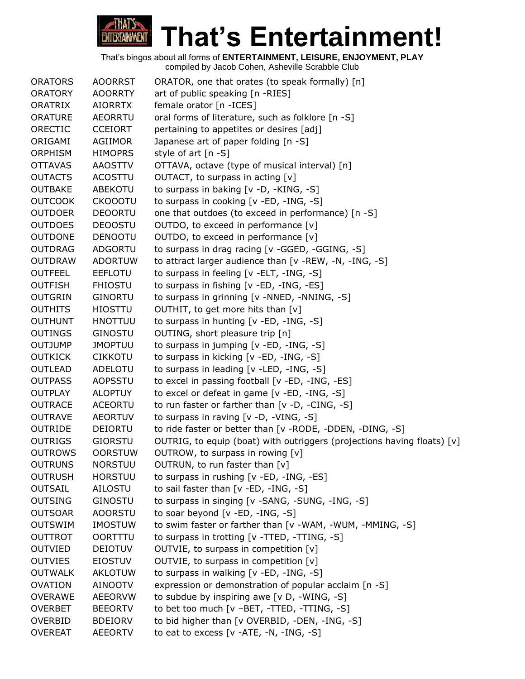

| <b>ORATORS</b> | <b>AOORRST</b> | ORATOR, one that orates (to speak formally) [n]                         |
|----------------|----------------|-------------------------------------------------------------------------|
| <b>ORATORY</b> | <b>AOORRTY</b> | art of public speaking [n -RIES]                                        |
| ORATRIX        | <b>AIORRTX</b> | female orator [n - ICES]                                                |
| <b>ORATURE</b> | <b>AEORRTU</b> | oral forms of literature, such as folklore [n -S]                       |
| ORECTIC        | <b>CCEIORT</b> | pertaining to appetites or desires [adj]                                |
| ORIGAMI        | AGIIMOR        | Japanese art of paper folding [n -S]                                    |
| <b>ORPHISM</b> | <b>HIMOPRS</b> | style of art [n -S]                                                     |
| <b>OTTAVAS</b> | <b>AAOSTTV</b> | OTTAVA, octave (type of musical interval) [n]                           |
| <b>OUTACTS</b> | <b>ACOSTTU</b> | OUTACT, to surpass in acting [v]                                        |
| <b>OUTBAKE</b> | <b>ABEKOTU</b> | to surpass in baking [v -D, -KING, -S]                                  |
| <b>OUTCOOK</b> | <b>CKOOOTU</b> | to surpass in cooking [v -ED, -ING, -S]                                 |
| <b>OUTDOER</b> | <b>DEOORTU</b> | one that outdoes (to exceed in performance) [n -S]                      |
| <b>OUTDOES</b> | <b>DEOOSTU</b> | OUTDO, to exceed in performance $[v]$                                   |
| <b>OUTDONE</b> | <b>DENOOTU</b> | OUTDO, to exceed in performance [v]                                     |
| <b>OUTDRAG</b> | <b>ADGORTU</b> | to surpass in drag racing [v -GGED, -GGING, -S]                         |
| <b>OUTDRAW</b> | <b>ADORTUW</b> | to attract larger audience than [v -REW, -N, -ING, -S]                  |
| <b>OUTFEEL</b> | <b>EEFLOTU</b> | to surpass in feeling [v -ELT, -ING, -S]                                |
| <b>OUTFISH</b> | <b>FHIOSTU</b> | to surpass in fishing [v -ED, -ING, -ES]                                |
| <b>OUTGRIN</b> | <b>GINORTU</b> | to surpass in grinning [v -NNED, -NNING, -S]                            |
| <b>OUTHITS</b> | <b>HIOSTTU</b> | OUTHIT, to get more hits than [v]                                       |
| <b>OUTHUNT</b> | <b>HNOTTUU</b> | to surpass in hunting [v -ED, -ING, -S]                                 |
| <b>OUTINGS</b> | <b>GINOSTU</b> | OUTING, short pleasure trip [n]                                         |
| <b>OUTJUMP</b> | <b>JMOPTUU</b> | to surpass in jumping [v -ED, -ING, -S]                                 |
| <b>OUTKICK</b> | <b>CIKKOTU</b> | to surpass in kicking [v -ED, -ING, -S]                                 |
| <b>OUTLEAD</b> | <b>ADELOTU</b> | to surpass in leading [v -LED, -ING, -S]                                |
| <b>OUTPASS</b> | <b>AOPSSTU</b> | to excel in passing football [v -ED, -ING, -ES]                         |
| <b>OUTPLAY</b> | <b>ALOPTUY</b> | to excel or defeat in game [v -ED, -ING, -S]                            |
| <b>OUTRACE</b> | <b>ACEORTU</b> | to run faster or farther than [v -D, -CING, -S]                         |
| <b>OUTRAVE</b> | <b>AEORTUV</b> | to surpass in raving $[v -D, -VING, -S]$                                |
| <b>OUTRIDE</b> | DEIORTU        | to ride faster or better than [v -RODE, -DDEN, -DING, -S]               |
| <b>OUTRIGS</b> | <b>GIORSTU</b> | OUTRIG, to equip (boat) with outriggers (projections having floats) [v] |
| <b>OUTROWS</b> | <b>OORSTUW</b> | OUTROW, to surpass in rowing [v]                                        |
| <b>OUTRUNS</b> | <b>NORSTUU</b> | OUTRUN, to run faster than [v]                                          |
| <b>OUTRUSH</b> | <b>HORSTUU</b> | to surpass in rushing [v -ED, -ING, -ES]                                |
| <b>OUTSAIL</b> | AILOSTU        | to sail faster than [v -ED, -ING, -S]                                   |
| <b>OUTSING</b> | <b>GINOSTU</b> | to surpass in singing [v -SANG, -SUNG, -ING, -S]                        |
| <b>OUTSOAR</b> | <b>AOORSTU</b> | to soar beyond [v -ED, -ING, -S]                                        |
| <b>OUTSWIM</b> | <b>IMOSTUW</b> | to swim faster or farther than [v -WAM, -WUM, -MMING, -S]               |
| <b>OUTTROT</b> | <b>OORTTTU</b> | to surpass in trotting [v -TTED, -TTING, -S]                            |
| <b>OUTVIED</b> | <b>DEIOTUV</b> | OUTVIE, to surpass in competition [v]                                   |
| <b>OUTVIES</b> | <b>EIOSTUV</b> | OUTVIE, to surpass in competition $[v]$                                 |
| <b>OUTWALK</b> | <b>AKLOTUW</b> | to surpass in walking [v -ED, -ING, -S]                                 |
| <b>OVATION</b> | <b>AINOOTV</b> | expression or demonstration of popular acclaim [n -S]                   |
| <b>OVERAWE</b> | <b>AEEORVW</b> | to subdue by inspiring awe [v D, -WING, -S]                             |
| <b>OVERBET</b> | <b>BEEORTV</b> | to bet too much [v -BET, -TTED, -TTING, -S]                             |
| <b>OVERBID</b> | <b>BDEIORV</b> | to bid higher than [v OVERBID, -DEN, -ING, -S]                          |
| <b>OVEREAT</b> | <b>AEEORTV</b> | to eat to excess [v -ATE, -N, -ING, -S]                                 |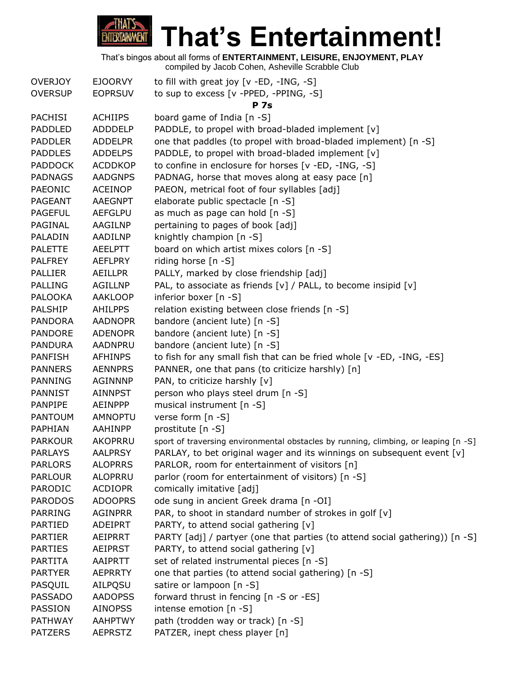

**That's Entertainment!**

That's bingos about all forms of **ENTERTAINMENT, LEISURE, ENJOYMENT, PLAY**

| <b>OVERJOY</b> | <b>EJOORVY</b> | to fill with great joy $[v - ED, -ING, -S]$                                         |
|----------------|----------------|-------------------------------------------------------------------------------------|
| <b>OVERSUP</b> | <b>EOPRSUV</b> | to sup to excess [v -PPED, -PPING, -S]                                              |
|                |                | <b>P</b> 7s                                                                         |
| <b>PACHISI</b> | <b>ACHIIPS</b> | board game of India [n -S]                                                          |
| <b>PADDLED</b> | <b>ADDDELP</b> | PADDLE, to propel with broad-bladed implement [v]                                   |
| <b>PADDLER</b> | <b>ADDELPR</b> | one that paddles (to propel with broad-bladed implement) [n -S]                     |
| <b>PADDLES</b> | <b>ADDELPS</b> | PADDLE, to propel with broad-bladed implement [v]                                   |
| <b>PADDOCK</b> | <b>ACDDKOP</b> | to confine in enclosure for horses [v -ED, -ING, -S]                                |
| <b>PADNAGS</b> | <b>AADGNPS</b> | PADNAG, horse that moves along at easy pace [n]                                     |
| PAEONIC        | <b>ACEINOP</b> | PAEON, metrical foot of four syllables [adj]                                        |
| <b>PAGEANT</b> | <b>AAEGNPT</b> | elaborate public spectacle [n -S]                                                   |
| <b>PAGEFUL</b> | <b>AEFGLPU</b> | as much as page can hold [n -S]                                                     |
| PAGINAL        | AAGILNP        | pertaining to pages of book [adj]                                                   |
| PALADIN        | AADILNP        | knightly champion [n -S]                                                            |
| <b>PALETTE</b> | <b>AEELPTT</b> | board on which artist mixes colors [n -S]                                           |
| <b>PALFREY</b> | <b>AEFLPRY</b> | riding horse [n -S]                                                                 |
| <b>PALLIER</b> | <b>AEILLPR</b> | PALLY, marked by close friendship [adj]                                             |
| <b>PALLING</b> | <b>AGILLNP</b> | PAL, to associate as friends [v] / PALL, to become insipid [v]                      |
| <b>PALOOKA</b> | <b>AAKLOOP</b> | inferior boxer [n -S]                                                               |
| <b>PALSHIP</b> | <b>AHILPPS</b> | relation existing between close friends [n -S]                                      |
| <b>PANDORA</b> | <b>AADNOPR</b> | bandore (ancient lute) [n -S]                                                       |
| <b>PANDORE</b> | <b>ADENOPR</b> | bandore (ancient lute) [n -S]                                                       |
| <b>PANDURA</b> | <b>AADNPRU</b> | bandore (ancient lute) [n -S]                                                       |
| <b>PANFISH</b> | <b>AFHINPS</b> | to fish for any small fish that can be fried whole [v -ED, -ING, -ES]               |
| <b>PANNERS</b> | <b>AENNPRS</b> | PANNER, one that pans (to criticize harshly) [n]                                    |
| <b>PANNING</b> | <b>AGINNNP</b> | PAN, to criticize harshly [v]                                                       |
| PANNIST        | <b>AINNPST</b> | person who plays steel drum [n -S]                                                  |
| PANPIPE        | <b>AEINPPP</b> | musical instrument [n -S]                                                           |
| <b>PANTOUM</b> | <b>AMNOPTU</b> | verse form [n -S]                                                                   |
| PAPHIAN        | AAHINPP        | prostitute [n -S]                                                                   |
| <b>PARKOUR</b> | AKOPRRU        | sport of traversing environmental obstacles by running, climbing, or leaping [n -S] |
| <b>PARLAYS</b> | <b>AALPRSY</b> | PARLAY, to bet original wager and its winnings on subsequent event [v]              |
| <b>PARLORS</b> | <b>ALOPRRS</b> | PARLOR, room for entertainment of visitors [n]                                      |
| <b>PARLOUR</b> | <b>ALOPRRU</b> | parlor (room for entertainment of visitors) [n -S]                                  |
| PARODIC        | <b>ACDIOPR</b> | comically imitative [adj]                                                           |
| <b>PARODOS</b> | <b>ADOOPRS</b> | ode sung in ancient Greek drama [n -OI]                                             |
| <b>PARRING</b> | <b>AGINPRR</b> | PAR, to shoot in standard number of strokes in golf [v]                             |
| <b>PARTIED</b> | <b>ADEIPRT</b> | PARTY, to attend social gathering [v]                                               |
| <b>PARTIER</b> | <b>AEIPRRT</b> | PARTY [adj] / partyer (one that parties (to attend social gathering)) [n -S]        |
| <b>PARTIES</b> | <b>AEIPRST</b> | PARTY, to attend social gathering [v]                                               |
| <b>PARTITA</b> | AAIPRTT        | set of related instrumental pieces [n -S]                                           |
| <b>PARTYER</b> | <b>AEPRRTY</b> | one that parties (to attend social gathering) [n -S]                                |
| PASQUIL        | AILPQSU        | satire or lampoon [n -S]                                                            |
| PASSADO        | <b>AADOPSS</b> | forward thrust in fencing [n -S or -ES]                                             |
| PASSION        | <b>AINOPSS</b> | intense emotion [n -S]                                                              |
| <b>PATHWAY</b> | <b>AAHPTWY</b> | path (trodden way or track) [n -S]                                                  |
| <b>PATZERS</b> | <b>AEPRSTZ</b> | PATZER, inept chess player [n]                                                      |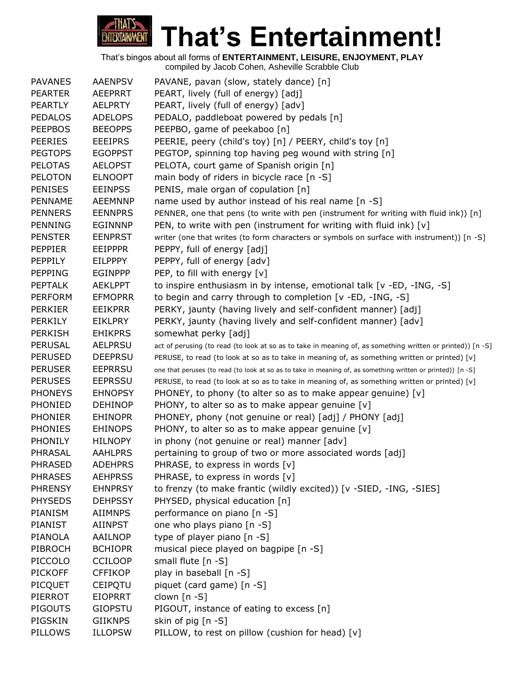

| <b>PAVANES</b> | <b>AAENPSV</b> | PAVANE, pavan (slow, stately dance) [n]                                                                     |
|----------------|----------------|-------------------------------------------------------------------------------------------------------------|
| <b>PEARTER</b> | AEEPRRT        | PEART, lively (full of energy) [adj]                                                                        |
| <b>PEARTLY</b> | <b>AELPRTY</b> | PEART, lively (full of energy) [adv]                                                                        |
| <b>PEDALOS</b> | <b>ADELOPS</b> | PEDALO, paddleboat powered by pedals [n]                                                                    |
| <b>PEEPBOS</b> | <b>BEEOPPS</b> | PEEPBO, game of peekaboo [n]                                                                                |
| <b>PEERIES</b> | <b>EEEIPRS</b> | PEERIE, peery (child's toy) [n] / PEERY, child's toy [n]                                                    |
| <b>PEGTOPS</b> | <b>EGOPPST</b> | PEGTOP, spinning top having peg wound with string [n]                                                       |
| <b>PELOTAS</b> | <b>AELOPST</b> | PELOTA, court game of Spanish origin [n]                                                                    |
| <b>PELOTON</b> | <b>ELNOOPT</b> | main body of riders in bicycle race [n -S]                                                                  |
| <b>PENISES</b> | <b>EEINPSS</b> | PENIS, male organ of copulation [n]                                                                         |
| PENNAME        | <b>AEEMNNP</b> | name used by author instead of his real name [n -S]                                                         |
| <b>PENNERS</b> | <b>EENNPRS</b> | PENNER, one that pens (to write with pen (instrument for writing with fluid ink)) [n]                       |
| <b>PENNING</b> | <b>EGINNNP</b> | PEN, to write with pen (instrument for writing with fluid ink) $[v]$                                        |
| <b>PENSTER</b> | <b>EENPRST</b> | writer (one that writes (to form characters or symbols on surface with instrument)) [n -S]                  |
| <b>PEPPIER</b> | <b>EEIPPPR</b> | PEPPY, full of energy [adj]                                                                                 |
| PEPPILY        | <b>EILPPPY</b> | PEPPY, full of energy [adv]                                                                                 |
| <b>PEPPING</b> | <b>EGINPPP</b> | PEP, to fill with energy [v]                                                                                |
| <b>PEPTALK</b> | <b>AEKLPPT</b> | to inspire enthusiasm in by intense, emotional talk [v -ED, -ING, -S]                                       |
| <b>PERFORM</b> | <b>EFMOPRR</b> | to begin and carry through to completion [v -ED, -ING, -S]                                                  |
| <b>PERKIER</b> | <b>EEIKPRR</b> | PERKY, jaunty (having lively and self-confident manner) [adj]                                               |
| <b>PERKILY</b> | <b>EIKLPRY</b> | PERKY, jaunty (having lively and self-confident manner) [adv]                                               |
| <b>PERKISH</b> | <b>EHIKPRS</b> | somewhat perky [adj]                                                                                        |
| <b>PERUSAL</b> | <b>AELPRSU</b> | act of perusing (to read (to look at so as to take in meaning of, as something written or printed)) [n -S]  |
| <b>PERUSED</b> | <b>DEEPRSU</b> | PERUSE, to read (to look at so as to take in meaning of, as something written or printed) [v]               |
| <b>PERUSER</b> | <b>EEPRRSU</b> | one that peruses (to read (to look at so as to take in meaning of, as something written or printed)) [n -S] |
| <b>PERUSES</b> | <b>EEPRSSU</b> | PERUSE, to read (to look at so as to take in meaning of, as something written or printed) [v]               |
| <b>PHONEYS</b> | <b>EHNOPSY</b> | PHONEY, to phony (to alter so as to make appear genuine) $[v]$                                              |
| PHONIED        | <b>DEHINOP</b> | PHONY, to alter so as to make appear genuine [v]                                                            |
| <b>PHONIER</b> | <b>EHINOPR</b> | PHONEY, phony (not genuine or real) [adj] / PHONY [adj]                                                     |
| <b>PHONIES</b> | <b>EHINOPS</b> | PHONY, to alter so as to make appear genuine $[v]$                                                          |
| <b>PHONILY</b> | <b>HILNOPY</b> | in phony (not genuine or real) manner [adv]                                                                 |
| PHRASAL        | <b>AAHLPRS</b> | pertaining to group of two or more associated words [adj]                                                   |
| <b>PHRASED</b> | <b>ADEHPRS</b> | PHRASE, to express in words [v]                                                                             |
| <b>PHRASES</b> | <b>AEHPRSS</b> | PHRASE, to express in words [v]                                                                             |
| <b>PHRENSY</b> | <b>EHNPRSY</b> | to frenzy (to make frantic (wildly excited)) [v -SIED, -ING, -SIES]                                         |
| <b>PHYSEDS</b> | <b>DEHPSSY</b> | PHYSED, physical education [n]                                                                              |
| PIANISM        | <b>AIIMNPS</b> | performance on piano [n -S]                                                                                 |
| <b>PIANIST</b> | <b>AIINPST</b> | one who plays piano [n -S]                                                                                  |
| <b>PIANOLA</b> | AAILNOP        | type of player piano [n -S]                                                                                 |
| PIBROCH        | <b>BCHIOPR</b> | musical piece played on bagpipe [n -S]                                                                      |
| PICCOLO        | <b>CCILOOP</b> | small flute [n -S]                                                                                          |
| <b>PICKOFF</b> | <b>CFFIKOP</b> | play in baseball [n -S]                                                                                     |
| <b>PICQUET</b> | <b>CEIPQTU</b> | piquet (card game) [n -S]                                                                                   |
| PIERROT        | <b>EIOPRRT</b> | clown $[n - S]$                                                                                             |
| <b>PIGOUTS</b> | <b>GIOPSTU</b> | PIGOUT, instance of eating to excess [n]                                                                    |
| PIGSKIN        | <b>GIIKNPS</b> | skin of pig [n -S]                                                                                          |
| PILLOWS        | <b>ILLOPSW</b> | PILLOW, to rest on pillow (cushion for head) [v]                                                            |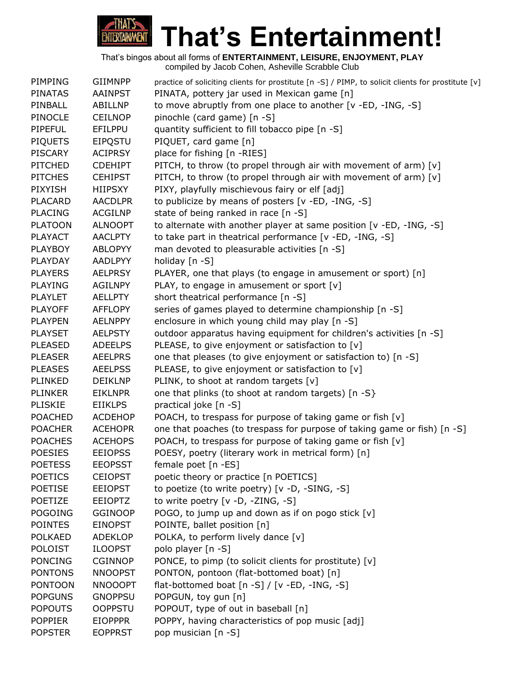

| PIMPING        | <b>GIIMNPP</b> | practice of soliciting clients for prostitute [n -S] / PIMP, to solicit clients for prostitute [v] |
|----------------|----------------|----------------------------------------------------------------------------------------------------|
| <b>PINATAS</b> | AAINPST        | PINATA, pottery jar used in Mexican game [n]                                                       |
| PINBALL        | ABILLNP        | to move abruptly from one place to another [v -ED, -ING, -S]                                       |
| <b>PINOCLE</b> | <b>CEILNOP</b> | pinochle (card game) [n -S]                                                                        |
| <b>PIPEFUL</b> | EFILPPU        | quantity sufficient to fill tobacco pipe [n -S]                                                    |
| <b>PIQUETS</b> | <b>EIPQSTU</b> | PIQUET, card game [n]                                                                              |
| <b>PISCARY</b> | <b>ACIPRSY</b> | place for fishing [n -RIES]                                                                        |
| <b>PITCHED</b> | <b>CDEHIPT</b> | PITCH, to throw (to propel through air with movement of arm) [v]                                   |
| <b>PITCHES</b> | <b>CEHIPST</b> | PITCH, to throw (to propel through air with movement of arm) [v]                                   |
| <b>PIXYISH</b> | <b>HIIPSXY</b> | PIXY, playfully mischievous fairy or elf [adj]                                                     |
| <b>PLACARD</b> | <b>AACDLPR</b> | to publicize by means of posters [v -ED, -ING, -S]                                                 |
| <b>PLACING</b> | <b>ACGILNP</b> | state of being ranked in race [n -S]                                                               |
| <b>PLATOON</b> | <b>ALNOOPT</b> | to alternate with another player at same position [v -ED, -ING, -S]                                |
| <b>PLAYACT</b> | <b>AACLPTY</b> | to take part in theatrical performance [v -ED, -ING, -S]                                           |
| <b>PLAYBOY</b> | <b>ABLOPYY</b> | man devoted to pleasurable activities [n -S]                                                       |
| PLAYDAY        | <b>AADLPYY</b> | holiday [n -S]                                                                                     |
| <b>PLAYERS</b> | <b>AELPRSY</b> | PLAYER, one that plays (to engage in amusement or sport) [n]                                       |
| <b>PLAYING</b> | <b>AGILNPY</b> | PLAY, to engage in amusement or sport [v]                                                          |
| <b>PLAYLET</b> | <b>AELLPTY</b> | short theatrical performance [n -S]                                                                |
| <b>PLAYOFF</b> | <b>AFFLOPY</b> | series of games played to determine championship [n -S]                                            |
| <b>PLAYPEN</b> | <b>AELNPPY</b> | enclosure in which young child may play [n -S]                                                     |
| <b>PLAYSET</b> | <b>AELPSTY</b> | outdoor apparatus having equipment for children's activities [n -S]                                |
| <b>PLEASED</b> | <b>ADEELPS</b> | PLEASE, to give enjoyment or satisfaction to [v]                                                   |
| <b>PLEASER</b> | <b>AEELPRS</b> | one that pleases (to give enjoyment or satisfaction to) [n -S]                                     |
| <b>PLEASES</b> | <b>AEELPSS</b> | PLEASE, to give enjoyment or satisfaction to [v]                                                   |
| PLINKED        | <b>DEIKLNP</b> | PLINK, to shoot at random targets [v]                                                              |
| <b>PLINKER</b> | <b>EIKLNPR</b> | one that plinks (to shoot at random targets) [n -S}                                                |
| <b>PLISKIE</b> | <b>EIIKLPS</b> | practical joke [n -S]                                                                              |
| <b>POACHED</b> | <b>ACDEHOP</b> | POACH, to trespass for purpose of taking game or fish [v]                                          |
| <b>POACHER</b> | <b>ACEHOPR</b> | one that poaches (to trespass for purpose of taking game or fish) [n -S]                           |
| <b>POACHES</b> | <b>ACEHOPS</b> | POACH, to trespass for purpose of taking game or fish [v]                                          |
| <b>POESIES</b> | <b>EEIOPSS</b> | POESY, poetry (literary work in metrical form) [n]                                                 |
| <b>POETESS</b> | <b>EEOPSST</b> | female poet [n -ES]                                                                                |
| <b>POETICS</b> | <b>CEIOPST</b> | poetic theory or practice [n POETICS]                                                              |
| <b>POETISE</b> | <b>EEIOPST</b> | to poetize (to write poetry) [v -D, -SING, -S]                                                     |
| POETIZE        | <b>EEIOPTZ</b> | to write poetry [v -D, -ZING, -S]                                                                  |
| <b>POGOING</b> | <b>GGINOOP</b> | POGO, to jump up and down as if on pogo stick [v]                                                  |
| <b>POINTES</b> | <b>EINOPST</b> | POINTE, ballet position [n]                                                                        |
| <b>POLKAED</b> | <b>ADEKLOP</b> | POLKA, to perform lively dance [v]                                                                 |
| <b>POLOIST</b> | <b>ILOOPST</b> | polo player [n -S]                                                                                 |
| <b>PONCING</b> | <b>CGINNOP</b> | PONCE, to pimp (to solicit clients for prostitute) [v]                                             |
| <b>PONTONS</b> | <b>NNOOPST</b> | PONTON, pontoon (flat-bottomed boat) [n]                                                           |
| <b>PONTOON</b> | <b>NNOOOPT</b> | flat-bottomed boat $[n-S] / [v - ED, -ING, -S]$                                                    |
| <b>POPGUNS</b> | <b>GNOPPSU</b> | POPGUN, toy gun [n]                                                                                |
| <b>POPOUTS</b> | <b>OOPPSTU</b> | POPOUT, type of out in baseball [n]                                                                |
| <b>POPPIER</b> | <b>EIOPPPR</b> | POPPY, having characteristics of pop music [adj]                                                   |
| <b>POPSTER</b> | <b>EOPPRST</b> | pop musician [n -S]                                                                                |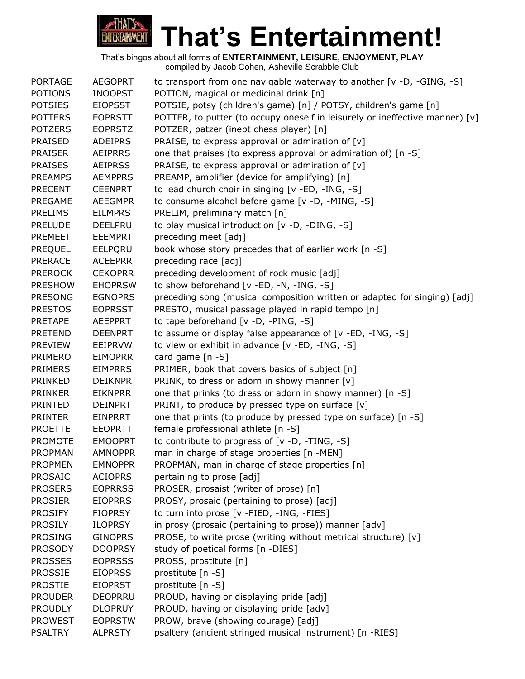

| <b>PORTAGE</b> | <b>AEGOPRT</b> | to transport from one navigable waterway to another [v -D, -GING, -S]        |
|----------------|----------------|------------------------------------------------------------------------------|
| <b>POTIONS</b> | <b>INOOPST</b> | POTION, magical or medicinal drink [n]                                       |
| <b>POTSIES</b> | <b>EIOPSST</b> | POTSIE, potsy (children's game) [n] / POTSY, children's game [n]             |
| <b>POTTERS</b> | <b>EOPRSTT</b> | POTTER, to putter (to occupy oneself in leisurely or ineffective manner) [v] |
| <b>POTZERS</b> | <b>EOPRSTZ</b> | POTZER, patzer (inept chess player) [n]                                      |
| <b>PRAISED</b> | <b>ADEIPRS</b> | PRAISE, to express approval or admiration of $[v]$                           |
| <b>PRAISER</b> | <b>AEIPRRS</b> | one that praises (to express approval or admiration of) [n -S]               |
| <b>PRAISES</b> | <b>AEIPRSS</b> | PRAISE, to express approval or admiration of [v]                             |
| <b>PREAMPS</b> | <b>AEMPPRS</b> | PREAMP, amplifier (device for amplifying) [n]                                |
| <b>PRECENT</b> | <b>CEENPRT</b> | to lead church choir in singing [v -ED, -ING, -S]                            |
| PREGAME        | <b>AEEGMPR</b> | to consume alcohol before game [v -D, -MING, -S]                             |
| <b>PRELIMS</b> | <b>EILMPRS</b> | PRELIM, preliminary match [n]                                                |
| <b>PRELUDE</b> | <b>DEELPRU</b> | to play musical introduction [v -D, -DING, -S]                               |
| <b>PREMEET</b> | <b>EEEMPRT</b> | preceding meet [adj]                                                         |
| <b>PREQUEL</b> | EELPQRU        | book whose story precedes that of earlier work [n -S]                        |
| <b>PRERACE</b> | <b>ACEEPRR</b> | preceding race [adj]                                                         |
| <b>PREROCK</b> | <b>CEKOPRR</b> | preceding development of rock music [adj]                                    |
| <b>PRESHOW</b> | <b>EHOPRSW</b> | to show beforehand [v -ED, -N, -ING, -S]                                     |
| <b>PRESONG</b> | <b>EGNOPRS</b> | preceding song (musical composition written or adapted for singing) [adj]    |
| <b>PRESTOS</b> | <b>EOPRSST</b> | PRESTO, musical passage played in rapid tempo [n]                            |
| <b>PRETAPE</b> | <b>AEEPPRT</b> | to tape beforehand [v -D, -PING, -S]                                         |
| <b>PRETEND</b> | <b>DEENPRT</b> | to assume or display false appearance of [v -ED, -ING, -S]                   |
| <b>PREVIEW</b> | <b>EEIPRVW</b> | to view or exhibit in advance [v -ED, -ING, -S]                              |
| PRIMERO        | <b>EIMOPRR</b> | card game [n -S]                                                             |
| <b>PRIMERS</b> | <b>EIMPRRS</b> | PRIMER, book that covers basics of subject [n]                               |
| PRINKED        | <b>DEIKNPR</b> | PRINK, to dress or adorn in showy manner [v]                                 |
| <b>PRINKER</b> | <b>EIKNPRR</b> | one that prinks (to dress or adorn in showy manner) [n -S]                   |
| <b>PRINTED</b> | <b>DEINPRT</b> | PRINT, to produce by pressed type on surface [v]                             |
| <b>PRINTER</b> | <b>EINPRRT</b> | one that prints (to produce by pressed type on surface) [n -S]               |
| <b>PROETTE</b> | <b>EEOPRTT</b> | female professional athlete [n -S]                                           |
| <b>PROMOTE</b> | <b>EMOOPRT</b> | to contribute to progress of [v -D, -TING, -S]                               |
| <b>PROPMAN</b> | <b>AMNOPPR</b> | man in charge of stage properties [n -MEN]                                   |
| <b>PROPMEN</b> | <b>EMNOPPR</b> | PROPMAN, man in charge of stage properties [n]                               |
| <b>PROSAIC</b> | <b>ACIOPRS</b> | pertaining to prose [adj]                                                    |
| <b>PROSERS</b> | <b>EOPRRSS</b> | PROSER, prosaist (writer of prose) [n]                                       |
| <b>PROSIER</b> | <b>EIOPRRS</b> | PROSY, prosaic (pertaining to prose) [adj]                                   |
| <b>PROSIFY</b> | <b>FIOPRSY</b> | to turn into prose [v -FIED, -ING, -FIES]                                    |
| <b>PROSILY</b> | <b>ILOPRSY</b> | in prosy (prosaic (pertaining to prose)) manner [adv]                        |
| <b>PROSING</b> | <b>GINOPRS</b> | PROSE, to write prose (writing without metrical structure) [v]               |
| <b>PROSODY</b> | <b>DOOPRSY</b> | study of poetical forms [n -DIES]                                            |
| <b>PROSSES</b> | <b>EOPRSSS</b> | PROSS, prostitute [n]                                                        |
| <b>PROSSIE</b> | <b>EIOPRSS</b> | prostitute [n -S]                                                            |
| <b>PROSTIE</b> | <b>EIOPRST</b> | prostitute [n -S]                                                            |
| <b>PROUDER</b> | <b>DEOPRRU</b> | PROUD, having or displaying pride [adj]                                      |
| <b>PROUDLY</b> | <b>DLOPRUY</b> | PROUD, having or displaying pride [adv]                                      |
| <b>PROWEST</b> | <b>EOPRSTW</b> | PROW, brave (showing courage) [adj]                                          |
| <b>PSALTRY</b> | <b>ALPRSTY</b> | psaltery (ancient stringed musical instrument) [n -RIES]                     |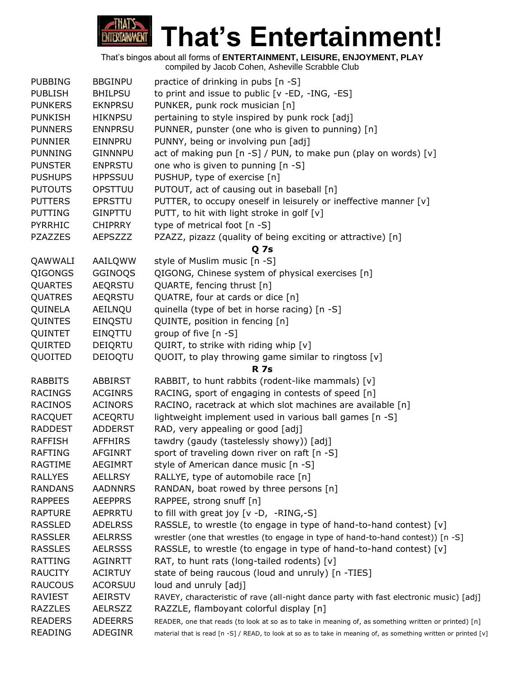

| <b>PUBBING</b> | <b>BBGINPU</b> | practice of drinking in pubs [n -S]                                                                              |
|----------------|----------------|------------------------------------------------------------------------------------------------------------------|
| <b>PUBLISH</b> | <b>BHILPSU</b> | to print and issue to public [v -ED, -ING, -ES]                                                                  |
| <b>PUNKERS</b> | <b>EKNPRSU</b> | PUNKER, punk rock musician [n]                                                                                   |
| <b>PUNKISH</b> | <b>HIKNPSU</b> | pertaining to style inspired by punk rock [adj]                                                                  |
| <b>PUNNERS</b> | <b>ENNPRSU</b> | PUNNER, punster (one who is given to punning) [n]                                                                |
| <b>PUNNIER</b> | EINNPRU        | PUNNY, being or involving pun [adj]                                                                              |
| <b>PUNNING</b> | <b>GINNNPU</b> | act of making pun [n -S] / PUN, to make pun (play on words) [v]                                                  |
| <b>PUNSTER</b> | <b>ENPRSTU</b> | one who is given to punning [n -S]                                                                               |
| <b>PUSHUPS</b> | <b>HPPSSUU</b> | PUSHUP, type of exercise [n]                                                                                     |
| <b>PUTOUTS</b> | OPSTTUU        | PUTOUT, act of causing out in baseball [n]                                                                       |
| <b>PUTTERS</b> | EPRSTTU        | PUTTER, to occupy oneself in leisurely or ineffective manner [v]                                                 |
| <b>PUTTING</b> | <b>GINPTTU</b> | PUTT, to hit with light stroke in golf $[v]$                                                                     |
| <b>PYRRHIC</b> | <b>CHIPRRY</b> | type of metrical foot [n -S]                                                                                     |
| <b>PZAZZES</b> | <b>AEPSZZZ</b> | PZAZZ, pizazz (quality of being exciting or attractive) [n]                                                      |
|                |                | <b>Q</b> 7s                                                                                                      |
| QAWWALI        | AAILQWW        | style of Muslim music [n -S]                                                                                     |
| QIGONGS        | GGINOQS        | QIGONG, Chinese system of physical exercises [n]                                                                 |
| <b>QUARTES</b> | <b>AEQRSTU</b> | QUARTE, fencing thrust [n]                                                                                       |
| QUATRES        | AEQRSTU        | QUATRE, four at cards or dice [n]                                                                                |
| QUINELA        | AEILNQU        | quinella (type of bet in horse racing) [n -S]                                                                    |
| QUINTES        | EINQSTU        | QUINTE, position in fencing [n]                                                                                  |
| QUINTET        | EINQTTU        | group of five [n -S]                                                                                             |
| QUIRTED        | DEIQRTU        | QUIRT, to strike with riding whip [v]                                                                            |
| QUOITED        | DEIOQTU        | QUOIT, to play throwing game similar to ringtoss [v]                                                             |
|                |                | <b>R</b> 7s                                                                                                      |
| <b>RABBITS</b> | <b>ABBIRST</b> | RABBIT, to hunt rabbits (rodent-like mammals) [v]                                                                |
| <b>RACINGS</b> | <b>ACGINRS</b> | RACING, sport of engaging in contests of speed [n]                                                               |
| <b>RACINOS</b> | <b>ACINORS</b> | RACINO, racetrack at which slot machines are available [n]                                                       |
| <b>RACQUET</b> | <b>ACEQRTU</b> | lightweight implement used in various ball games [n -S]                                                          |
| <b>RADDEST</b> | <b>ADDERST</b> | RAD, very appealing or good [adj]                                                                                |
| <b>RAFFISH</b> | <b>AFFHIRS</b> | tawdry (gaudy (tastelessly showy)) [adj]                                                                         |
| <b>RAFTING</b> | <b>AFGINRT</b> | sport of traveling down river on raft [n -S]                                                                     |
| <b>RAGTIME</b> | <b>AEGIMRT</b> | style of American dance music [n -S]                                                                             |
| <b>RALLYES</b> | <b>AELLRSY</b> | RALLYE, type of automobile race [n]                                                                              |
| <b>RANDANS</b> | <b>AADNNRS</b> | RANDAN, boat rowed by three persons [n]                                                                          |
| <b>RAPPEES</b> | <b>AEEPPRS</b> | RAPPEE, strong snuff [n]                                                                                         |
| <b>RAPTURE</b> | <b>AEPRRTU</b> | to fill with great joy $[v -D, -RING, -S]$                                                                       |
| <b>RASSLED</b> | <b>ADELRSS</b> | RASSLE, to wrestle (to engage in type of hand-to-hand contest) [v]                                               |
| <b>RASSLER</b> | <b>AELRRSS</b> | wrestler (one that wrestles (to engage in type of hand-to-hand contest)) [n -S]                                  |
| <b>RASSLES</b> | <b>AELRSSS</b> | RASSLE, to wrestle (to engage in type of hand-to-hand contest) [v]                                               |
| <b>RATTING</b> | <b>AGINRTT</b> | RAT, to hunt rats (long-tailed rodents) [v]                                                                      |
| <b>RAUCITY</b> | <b>ACIRTUY</b> | state of being raucous (loud and unruly) [n -TIES]                                                               |
| <b>RAUCOUS</b> | <b>ACORSUU</b> | loud and unruly [adj]                                                                                            |
| RAVIEST        | <b>AEIRSTV</b> | RAVEY, characteristic of rave (all-night dance party with fast electronic music) [adj]                           |
| <b>RAZZLES</b> | <b>AELRSZZ</b> | RAZZLE, flamboyant colorful display [n]                                                                          |
| <b>READERS</b> | <b>ADEERRS</b> | READER, one that reads (to look at so as to take in meaning of, as something written or printed) [n]             |
| <b>READING</b> | ADEGINR        | material that is read [n -S] / READ, to look at so as to take in meaning of, as something written or printed [v] |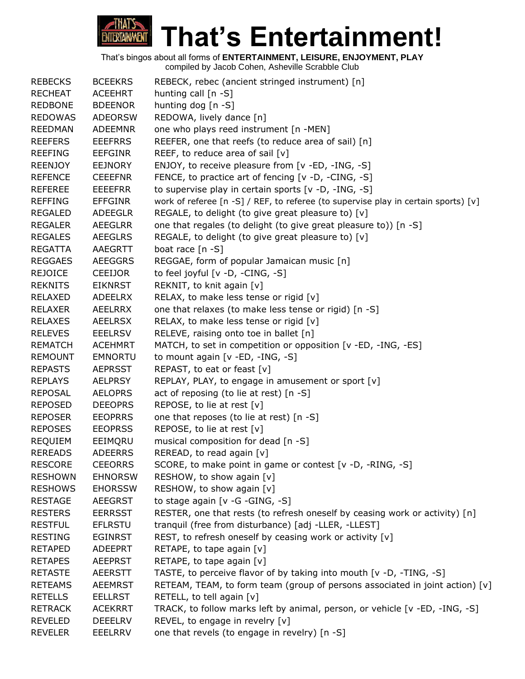# **That's Entertainment!** ENTERTAINMENT

| <b>REBECKS</b> | <b>BCEEKRS</b> | REBECK, rebec (ancient stringed instrument) [n]                                    |
|----------------|----------------|------------------------------------------------------------------------------------|
| <b>RECHEAT</b> | <b>ACEEHRT</b> | hunting call $[n -S]$                                                              |
| <b>REDBONE</b> | <b>BDEENOR</b> | hunting dog [n -S]                                                                 |
| <b>REDOWAS</b> | <b>ADEORSW</b> | REDOWA, lively dance [n]                                                           |
| <b>REEDMAN</b> | <b>ADEEMNR</b> | one who plays reed instrument [n -MEN]                                             |
| <b>REEFERS</b> | <b>EEEFRRS</b> | REEFER, one that reefs (to reduce area of sail) [n]                                |
| <b>REEFING</b> | <b>EEFGINR</b> | REEF, to reduce area of sail [v]                                                   |
| <b>REENJOY</b> | <b>EEJNORY</b> | ENJOY, to receive pleasure from [v -ED, -ING, -S]                                  |
| <b>REFENCE</b> | <b>CEEEFNR</b> | FENCE, to practice art of fencing [v -D, -CING, -S]                                |
| <b>REFEREE</b> | <b>EEEEFRR</b> | to supervise play in certain sports [v -D, -ING, -S]                               |
| <b>REFFING</b> | <b>EFFGINR</b> | work of referee [n -S] / REF, to referee (to supervise play in certain sports) [v] |
| <b>REGALED</b> | ADEEGLR        | REGALE, to delight (to give great pleasure to) [v]                                 |
| <b>REGALER</b> | <b>AEEGLRR</b> | one that regales (to delight (to give great pleasure to)) [n -S]                   |
| <b>REGALES</b> | <b>AEEGLRS</b> | REGALE, to delight (to give great pleasure to) [v]                                 |
| <b>REGATTA</b> | AAEGRTT        | boat race $[n -S]$                                                                 |
| <b>REGGAES</b> | <b>AEEGGRS</b> | REGGAE, form of popular Jamaican music [n]                                         |
| <b>REJOICE</b> | CEEIJOR        | to feel joyful [v -D, -CING, -S]                                                   |
| <b>REKNITS</b> | <b>EIKNRST</b> | REKNIT, to knit again [v]                                                          |
| <b>RELAXED</b> | ADEELRX        | RELAX, to make less tense or rigid [v]                                             |
| <b>RELAXER</b> | AEELRRX        | one that relaxes (to make less tense or rigid) [n -S]                              |
| <b>RELAXES</b> | <b>AEELRSX</b> | RELAX, to make less tense or rigid [v]                                             |
| <b>RELEVES</b> | <b>EEELRSV</b> | RELEVE, raising onto toe in ballet [n]                                             |
| <b>REMATCH</b> | <b>ACEHMRT</b> | MATCH, to set in competition or opposition [v -ED, -ING, -ES]                      |
| <b>REMOUNT</b> | <b>EMNORTU</b> | to mount again [v -ED, -ING, -S]                                                   |
| <b>REPASTS</b> | <b>AEPRSST</b> | REPAST, to eat or feast [v]                                                        |
| <b>REPLAYS</b> | <b>AELPRSY</b> | REPLAY, PLAY, to engage in amusement or sport [v]                                  |
| <b>REPOSAL</b> | <b>AELOPRS</b> | act of reposing (to lie at rest) [n -S]                                            |
| <b>REPOSED</b> | <b>DEEOPRS</b> | REPOSE, to lie at rest [v]                                                         |
| <b>REPOSER</b> | <b>EEOPRRS</b> | one that reposes (to lie at rest) [n -S]                                           |
| <b>REPOSES</b> | <b>EEOPRSS</b> | REPOSE, to lie at rest [v]                                                         |
| <b>REQUIEM</b> | EEIMQRU        | musical composition for dead [n -S]                                                |
| <b>REREADS</b> | <b>ADEERRS</b> | REREAD, to read again [v]                                                          |
| <b>RESCORE</b> | <b>CEEORRS</b> | SCORE, to make point in game or contest [v -D, -RING, -S]                          |
| <b>RESHOWN</b> | <b>EHNORSW</b> | RESHOW, to show again [v]                                                          |
| <b>RESHOWS</b> | <b>EHORSSW</b> | RESHOW, to show again [v]                                                          |
| <b>RESTAGE</b> | <b>AEEGRST</b> | to stage again [v -G -GING, -S]                                                    |
| <b>RESTERS</b> | <b>EERRSST</b> | RESTER, one that rests (to refresh oneself by ceasing work or activity) [n]        |
| <b>RESTFUL</b> | <b>EFLRSTU</b> | tranquil (free from disturbance) [adj -LLER, -LLEST]                               |
| <b>RESTING</b> | <b>EGINRST</b> | REST, to refresh oneself by ceasing work or activity [v]                           |
| <b>RETAPED</b> | <b>ADEEPRT</b> | RETAPE, to tape again [v]                                                          |
| <b>RETAPES</b> | <b>AEEPRST</b> | RETAPE, to tape again [v]                                                          |
| <b>RETASTE</b> | <b>AEERSTT</b> | TASTE, to perceive flavor of by taking into mouth [v -D, -TING, -S]                |
| <b>RETEAMS</b> | <b>AEEMRST</b> | RETEAM, TEAM, to form team (group of persons associated in joint action) [v]       |
| <b>RETELLS</b> | <b>EELLRST</b> | RETELL, to tell again [v]                                                          |
| <b>RETRACK</b> | <b>ACEKRRT</b> | TRACK, to follow marks left by animal, person, or vehicle [v -ED, -ING, -S]        |
| <b>REVELED</b> | <b>DEEELRV</b> | REVEL, to engage in revelry [v]                                                    |
| <b>REVELER</b> | <b>EEELRRV</b> | one that revels (to engage in revelry) [n -S]                                      |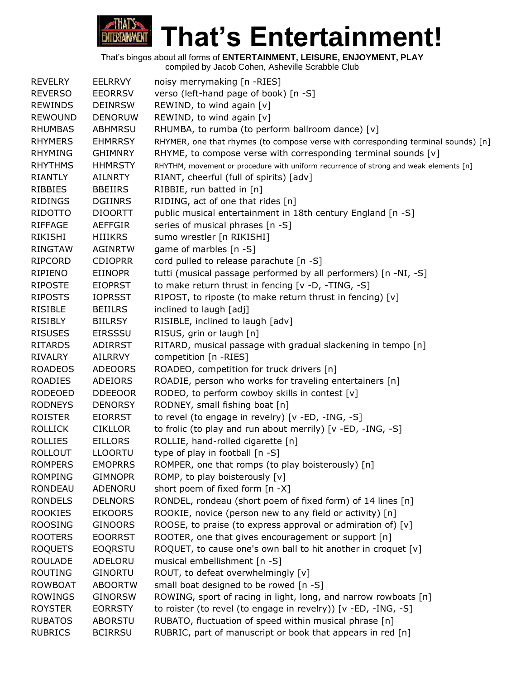

| <b>REVELRY</b> | <b>EELRRVY</b> | noisy merrymaking [n -RIES]                                                           |
|----------------|----------------|---------------------------------------------------------------------------------------|
| <b>REVERSO</b> | <b>EEORRSV</b> | verso (left-hand page of book) [n -S]                                                 |
| <b>REWINDS</b> | <b>DEINRSW</b> | REWIND, to wind again [v]                                                             |
| <b>REWOUND</b> | <b>DENORUW</b> | REWIND, to wind again [v]                                                             |
| <b>RHUMBAS</b> | <b>ABHMRSU</b> | RHUMBA, to rumba (to perform ballroom dance) [v]                                      |
| <b>RHYMERS</b> | <b>EHMRRSY</b> | RHYMER, one that rhymes (to compose verse with corresponding terminal sounds) [n]     |
| <b>RHYMING</b> | <b>GHIMNRY</b> | RHYME, to compose verse with corresponding terminal sounds [v]                        |
| <b>RHYTHMS</b> | <b>HHMRSTY</b> | RHYTHM, movement or procedure with uniform recurrence of strong and weak elements [n] |
| <b>RIANTLY</b> | <b>AILNRTY</b> | RIANT, cheerful (full of spirits) [adv]                                               |
| RIBBIES        | <b>BBEIIRS</b> | RIBBIE, run batted in [n]                                                             |
| <b>RIDINGS</b> | <b>DGIINRS</b> | RIDING, act of one that rides [n]                                                     |
| RIDOTTO        | <b>DIOORTT</b> | public musical entertainment in 18th century England [n -S]                           |
| <b>RIFFAGE</b> | <b>AEFFGIR</b> | series of musical phrases [n -S]                                                      |
| RIKISHI        | <b>HIIIKRS</b> | sumo wrestler [n RIKISHI]                                                             |
| <b>RINGTAW</b> | <b>AGINRTW</b> | game of marbles [n -S]                                                                |
| <b>RIPCORD</b> | <b>CDIOPRR</b> | cord pulled to release parachute [n -S]                                               |
| RIPIENO        | <b>EIINOPR</b> | tutti (musical passage performed by all performers) [n -NI, -S]                       |
| <b>RIPOSTE</b> | <b>EIOPRST</b> | to make return thrust in fencing [v -D, -TING, -S]                                    |
| <b>RIPOSTS</b> | <b>IOPRSST</b> | RIPOST, to riposte (to make return thrust in fencing) [v]                             |
| <b>RISIBLE</b> | <b>BEIILRS</b> | inclined to laugh [adj]                                                               |
| <b>RISIBLY</b> | <b>BIILRSY</b> | RISIBLE, inclined to laugh [adv]                                                      |
| <b>RISUSES</b> | <b>EIRSSSU</b> | RISUS, grin or laugh [n]                                                              |
| <b>RITARDS</b> | <b>ADIRRST</b> | RITARD, musical passage with gradual slackening in tempo [n]                          |
| <b>RIVALRY</b> | AILRRVY        | competition [n -RIES]                                                                 |
| <b>ROADEOS</b> | <b>ADEOORS</b> | ROADEO, competition for truck drivers [n]                                             |
| <b>ROADIES</b> | <b>ADEIORS</b> | ROADIE, person who works for traveling entertainers [n]                               |
| <b>RODEOED</b> | <b>DDEEOOR</b> | RODEO, to perform cowboy skills in contest [v]                                        |
| <b>RODNEYS</b> | <b>DENORSY</b> | RODNEY, small fishing boat [n]                                                        |
| <b>ROISTER</b> | <b>EIORRST</b> | to revel (to engage in revelry) [v -ED, -ING, -S]                                     |
| <b>ROLLICK</b> | <b>CIKLLOR</b> | to frolic (to play and run about merrily) [v -ED, -ING, -S]                           |
| <b>ROLLIES</b> | <b>EILLORS</b> | ROLLIE, hand-rolled cigarette [n]                                                     |
| <b>ROLLOUT</b> | <b>LLOORTU</b> | type of play in football [n -S]                                                       |
| <b>ROMPERS</b> | <b>EMOPRRS</b> | ROMPER, one that romps (to play boisterously) [n]                                     |
| <b>ROMPING</b> | <b>GIMNOPR</b> | ROMP, to play boisterously [v]                                                        |
| <b>RONDEAU</b> | ADENORU        | short poem of fixed form [n -X]                                                       |
| <b>RONDELS</b> | <b>DELNORS</b> | RONDEL, rondeau (short poem of fixed form) of 14 lines [n]                            |
| <b>ROOKIES</b> | <b>EIKOORS</b> | ROOKIE, novice (person new to any field or activity) [n]                              |
| <b>ROOSING</b> | <b>GINOORS</b> | ROOSE, to praise (to express approval or admiration of) $[v]$                         |
| <b>ROOTERS</b> | <b>EOORRST</b> | ROOTER, one that gives encouragement or support [n]                                   |
| <b>ROQUETS</b> | <b>EOQRSTU</b> | ROQUET, to cause one's own ball to hit another in croquet [v]                         |
| <b>ROULADE</b> | ADELORU        | musical embellishment [n -S]                                                          |
| <b>ROUTING</b> | <b>GINORTU</b> | ROUT, to defeat overwhelmingly [v]                                                    |
| <b>ROWBOAT</b> | <b>ABOORTW</b> | small boat designed to be rowed [n -S]                                                |
| <b>ROWINGS</b> | <b>GINORSW</b> | ROWING, sport of racing in light, long, and narrow rowboats [n]                       |
| <b>ROYSTER</b> | <b>EORRSTY</b> | to roister (to revel (to engage in revelry)) [v -ED, -ING, -S]                        |
| <b>RUBATOS</b> | <b>ABORSTU</b> | RUBATO, fluctuation of speed within musical phrase [n]                                |
| <b>RUBRICS</b> | <b>BCIRRSU</b> | RUBRIC, part of manuscript or book that appears in red [n]                            |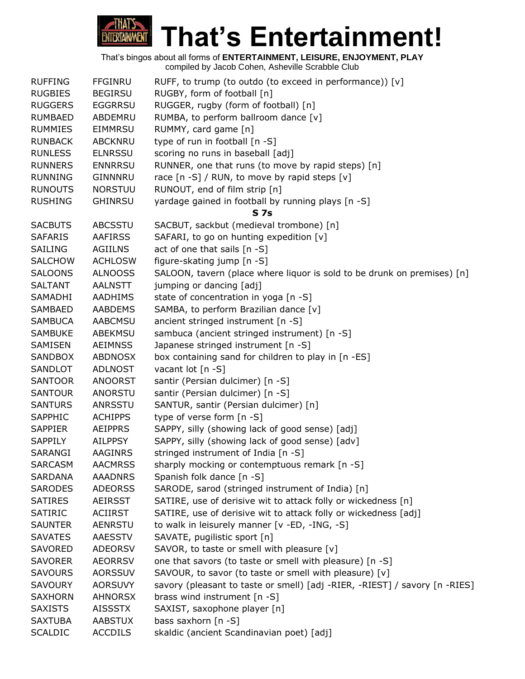

|                |                | That's bingos about all forms of <b>ENTERTAINMENT, LEISURE, ENJOYMENT, PLAY</b><br>compiled by Jacob Cohen, Asheville Scrabble Club |
|----------------|----------------|-------------------------------------------------------------------------------------------------------------------------------------|
| <b>RUFFING</b> | <b>FFGINRU</b> | RUFF, to trump (to outdo (to exceed in performance)) [v]                                                                            |
| <b>RUGBIES</b> | <b>BEGIRSU</b> | RUGBY, form of football [n]                                                                                                         |
| <b>RUGGERS</b> | <b>EGGRRSU</b> | RUGGER, rugby (form of football) [n]                                                                                                |
| <b>RUMBAED</b> | ABDEMRU        | RUMBA, to perform ballroom dance [v]                                                                                                |
| <b>RUMMIES</b> | <b>EIMMRSU</b> | RUMMY, card game [n]                                                                                                                |
| <b>RUNBACK</b> | <b>ABCKNRU</b> | type of run in football [n -S]                                                                                                      |
| <b>RUNLESS</b> | <b>ELNRSSU</b> | scoring no runs in baseball [adj]                                                                                                   |
| <b>RUNNERS</b> | <b>ENNRRSU</b> | RUNNER, one that runs (to move by rapid steps) [n]                                                                                  |
| <b>RUNNING</b> | <b>GINNNRU</b> | race [n -S] / RUN, to move by rapid steps [v]                                                                                       |
| <b>RUNOUTS</b> | <b>NORSTUU</b> | RUNOUT, end of film strip [n]                                                                                                       |
| <b>RUSHING</b> | <b>GHINRSU</b> | yardage gained in football by running plays [n -S]                                                                                  |
|                |                | <b>S</b> 7s                                                                                                                         |
| <b>SACBUTS</b> | <b>ABCSSTU</b> | SACBUT, sackbut (medieval trombone) [n]                                                                                             |
| <b>SAFARIS</b> | <b>AAFIRSS</b> | SAFARI, to go on hunting expedition [v]                                                                                             |
| SAILING        | <b>AGIILNS</b> | act of one that sails [n -S]                                                                                                        |
| <b>SALCHOW</b> | <b>ACHLOSW</b> | figure-skating jump [n -S]                                                                                                          |
| <b>SALOONS</b> | <b>ALNOOSS</b> | SALOON, tavern (place where liquor is sold to be drunk on premises) [n]                                                             |
| <b>SALTANT</b> | <b>AALNSTT</b> | jumping or dancing [adj]                                                                                                            |
| SAMADHI        | AADHIMS        | state of concentration in yoga [n -S]                                                                                               |
| <b>SAMBAED</b> | <b>AABDEMS</b> | SAMBA, to perform Brazilian dance [v]                                                                                               |
| <b>SAMBUCA</b> | <b>AABCMSU</b> | ancient stringed instrument [n -S]                                                                                                  |
| <b>SAMBUKE</b> | ABEKMSU        | sambuca (ancient stringed instrument) [n -S]                                                                                        |
| SAMISEN        | <b>AEIMNSS</b> | Japanese stringed instrument [n -S]                                                                                                 |
| <b>SANDBOX</b> | <b>ABDNOSX</b> | box containing sand for children to play in [n -ES]                                                                                 |
| SANDLOT        | <b>ADLNOST</b> | vacant lot [n -S]                                                                                                                   |
| <b>SANTOOR</b> | <b>ANOORST</b> | santir (Persian dulcimer) [n -S]                                                                                                    |
| <b>SANTOUR</b> | ANORSTU        | santir (Persian dulcimer) [n -S]                                                                                                    |
| <b>SANTURS</b> | ANRSSTU        | SANTUR, santir (Persian dulcimer) [n]                                                                                               |
| SAPPHIC        | <b>ACHIPPS</b> | type of verse form [n -S]                                                                                                           |
| <b>SAPPIER</b> | <b>AEIPPRS</b> | SAPPY, silly (showing lack of good sense) [adj]                                                                                     |
| SAPPILY        | <b>AILPPSY</b> | SAPPY, silly (showing lack of good sense) [adv]                                                                                     |
| SARANGI        | <b>AAGINRS</b> | stringed instrument of India [n -S]                                                                                                 |
| <b>SARCASM</b> | <b>AACMRSS</b> | sharply mocking or contemptuous remark [n -S]                                                                                       |
| <b>SARDANA</b> | <b>AAADNRS</b> | Spanish folk dance [n -S]                                                                                                           |
| <b>SARODES</b> | <b>ADEORSS</b> | SARODE, sarod (stringed instrument of India) [n]                                                                                    |
| <b>SATIRES</b> | AEIRSST        | SATIRE, use of derisive wit to attack folly or wickedness [n]                                                                       |
| <b>SATIRIC</b> | ACIIRST        | SATIRE, use of derisive wit to attack folly or wickedness [adj]                                                                     |
| <b>SAUNTER</b> | <b>AENRSTU</b> | to walk in leisurely manner [v -ED, -ING, -S]                                                                                       |
| <b>SAVATES</b> | AAESSTV        | SAVATE, pugilistic sport [n]                                                                                                        |
| <b>SAVORED</b> | ADEORSV        | SAVOR, to taste or smell with pleasure [v]                                                                                          |
| <b>SAVORER</b> | <b>AEORRSV</b> | one that savors (to taste or smell with pleasure) [n -S]                                                                            |
| <b>SAVOURS</b> | <b>AORSSUV</b> | SAVOUR, to savor (to taste or smell with pleasure) [v]                                                                              |
| <b>SAVOURY</b> | <b>AORSUVY</b> | savory (pleasant to taste or smell) [adj -RIER, -RIEST] / savory [n -RIES]                                                          |
| <b>SAXHORN</b> | <b>AHNORSX</b> | brass wind instrument [n -S]                                                                                                        |
| <b>SAXISTS</b> | AISSSTX        | SAXIST, saxophone player [n]                                                                                                        |
| <b>SAXTUBA</b> | <b>AABSTUX</b> | bass saxhorn [n -S]                                                                                                                 |
| <b>SCALDIC</b> | <b>ACCDILS</b> | skaldic (ancient Scandinavian poet) [adj]                                                                                           |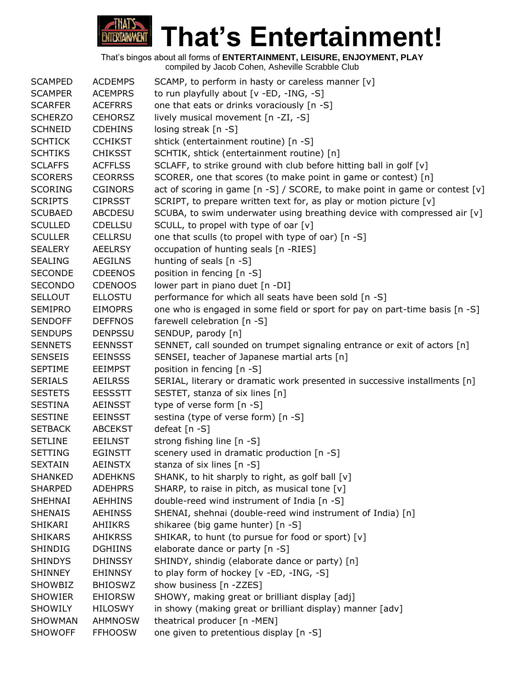

| <b>SCAMPED</b> | <b>ACDEMPS</b> | SCAMP, to perform in hasty or careless manner [v]                           |
|----------------|----------------|-----------------------------------------------------------------------------|
| <b>SCAMPER</b> | <b>ACEMPRS</b> | to run playfully about [v -ED, -ING, -S]                                    |
| <b>SCARFER</b> | <b>ACEFRRS</b> | one that eats or drinks voraciously [n -S]                                  |
| <b>SCHERZO</b> | <b>CEHORSZ</b> | lively musical movement [n -ZI, -S]                                         |
| <b>SCHNEID</b> | <b>CDEHINS</b> | losing streak [n -S]                                                        |
| <b>SCHTICK</b> | <b>CCHIKST</b> | shtick (entertainment routine) [n -S]                                       |
| <b>SCHTIKS</b> | <b>CHIKSST</b> | SCHTIK, shtick (entertainment routine) [n]                                  |
| <b>SCLAFFS</b> | <b>ACFFLSS</b> | SCLAFF, to strike ground with club before hitting ball in golf [v]          |
| <b>SCORERS</b> | <b>CEORRSS</b> | SCORER, one that scores (to make point in game or contest) [n]              |
| <b>SCORING</b> | <b>CGINORS</b> | act of scoring in game [n -S] / SCORE, to make point in game or contest [v] |
| <b>SCRIPTS</b> | <b>CIPRSST</b> | SCRIPT, to prepare written text for, as play or motion picture [v]          |
| <b>SCUBAED</b> | <b>ABCDESU</b> | SCUBA, to swim underwater using breathing device with compressed air [v]    |
| <b>SCULLED</b> | <b>CDELLSU</b> | SCULL, to propel with type of oar [v]                                       |
| <b>SCULLER</b> | <b>CELLRSU</b> | one that sculls (to propel with type of oar) [n -S]                         |
| <b>SEALERY</b> | <b>AEELRSY</b> | occupation of hunting seals [n -RIES]                                       |
| <b>SEALING</b> | <b>AEGILNS</b> | hunting of seals [n -S]                                                     |
| <b>SECONDE</b> | <b>CDEENOS</b> | position in fencing [n -S]                                                  |
| <b>SECONDO</b> | <b>CDENOOS</b> | lower part in piano duet [n -DI]                                            |
| <b>SELLOUT</b> | <b>ELLOSTU</b> | performance for which all seats have been sold [n -S]                       |
| <b>SEMIPRO</b> | <b>EIMOPRS</b> | one who is engaged in some field or sport for pay on part-time basis [n -S] |
| <b>SENDOFF</b> | <b>DEFFNOS</b> | farewell celebration [n -S]                                                 |
| <b>SENDUPS</b> | <b>DENPSSU</b> | SENDUP, parody [n]                                                          |
| <b>SENNETS</b> | <b>EENNSST</b> | SENNET, call sounded on trumpet signaling entrance or exit of actors [n]    |
| <b>SENSEIS</b> | <b>EEINSSS</b> | SENSEI, teacher of Japanese martial arts [n]                                |
| <b>SEPTIME</b> | <b>EEIMPST</b> | position in fencing [n -S]                                                  |
| <b>SERIALS</b> | <b>AEILRSS</b> | SERIAL, literary or dramatic work presented in successive installments [n]  |
| <b>SESTETS</b> | <b>EESSSTT</b> | SESTET, stanza of six lines [n]                                             |
| <b>SESTINA</b> | <b>AEINSST</b> | type of verse form [n -S]                                                   |
| <b>SESTINE</b> | <b>EEINSST</b> | sestina (type of verse form) [n -S]                                         |
| <b>SETBACK</b> | <b>ABCEKST</b> | defeat [n -S]                                                               |
| <b>SETLINE</b> | <b>EEILNST</b> | strong fishing line [n -S]                                                  |
| <b>SETTING</b> | <b>EGINSTT</b> | scenery used in dramatic production [n -S]                                  |
| <b>SEXTAIN</b> | <b>AEINSTX</b> | stanza of six lines [n -S]                                                  |
| <b>SHANKED</b> | <b>ADEHKNS</b> | SHANK, to hit sharply to right, as golf ball [v]                            |
| <b>SHARPED</b> | <b>ADEHPRS</b> | SHARP, to raise in pitch, as musical tone [v]                               |
| <b>SHEHNAI</b> | <b>AEHHINS</b> | double-reed wind instrument of India [n -S]                                 |
| <b>SHENAIS</b> | <b>AEHINSS</b> | SHENAI, shehnai (double-reed wind instrument of India) [n]                  |
| SHIKARI        | <b>AHIIKRS</b> | shikaree (big game hunter) [n -S]                                           |
| <b>SHIKARS</b> | <b>AHIKRSS</b> | SHIKAR, to hunt (to pursue for food or sport) [v]                           |
| SHINDIG        | <b>DGHIINS</b> | elaborate dance or party [n -S]                                             |
| <b>SHINDYS</b> | <b>DHINSSY</b> | SHINDY, shindig (elaborate dance or party) [n]                              |
| <b>SHINNEY</b> | <b>EHINNSY</b> | to play form of hockey [v -ED, -ING, -S]                                    |
| <b>SHOWBIZ</b> | <b>BHIOSWZ</b> | show business [n -ZZES]                                                     |
| <b>SHOWIER</b> | <b>EHIORSW</b> | SHOWY, making great or brilliant display [adj]                              |
| <b>SHOWILY</b> | <b>HILOSWY</b> | in showy (making great or brilliant display) manner [adv]                   |
| <b>SHOWMAN</b> | <b>AHMNOSW</b> | theatrical producer [n -MEN]                                                |
| <b>SHOWOFF</b> | <b>FFHOOSW</b> | one given to pretentious display [n -S]                                     |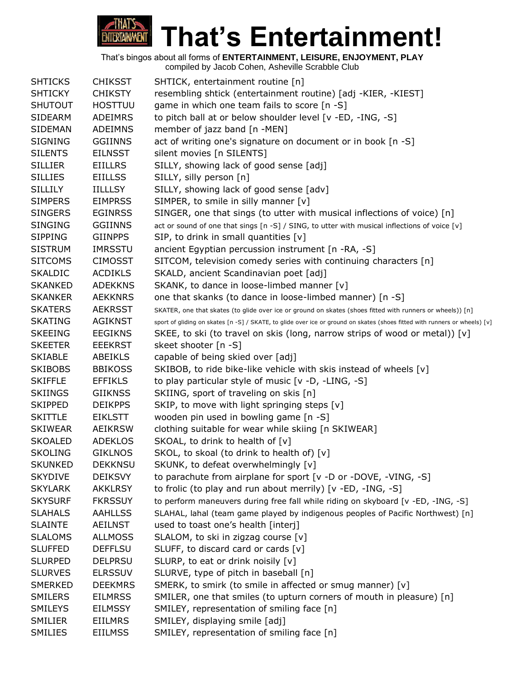

|                |                | complica by cacco concil, noncyllic corabbic clab                                                                          |
|----------------|----------------|----------------------------------------------------------------------------------------------------------------------------|
| <b>SHTICKS</b> | <b>CHIKSST</b> | SHTICK, entertainment routine [n]                                                                                          |
| <b>SHTICKY</b> | <b>CHIKSTY</b> | resembling shtick (entertainment routine) [adj -KIER, -KIEST]                                                              |
| <b>SHUTOUT</b> | <b>HOSTTUU</b> | game in which one team fails to score [n -S]                                                                               |
| <b>SIDEARM</b> | ADEIMRS        | to pitch ball at or below shoulder level [v -ED, -ING, -S]                                                                 |
| <b>SIDEMAN</b> | <b>ADEIMNS</b> | member of jazz band [n -MEN]                                                                                               |
| <b>SIGNING</b> | <b>GGIINNS</b> | act of writing one's signature on document or in book [n -S]                                                               |
| <b>SILENTS</b> | <b>EILNSST</b> | silent movies [n SILENTS]                                                                                                  |
| <b>SILLIER</b> | <b>EIILLRS</b> | SILLY, showing lack of good sense [adj]                                                                                    |
| <b>SILLIES</b> | <b>EIILLSS</b> | SILLY, silly person [n]                                                                                                    |
| <b>SILLILY</b> | <b>IILLLSY</b> | SILLY, showing lack of good sense [adv]                                                                                    |
| <b>SIMPERS</b> | <b>EIMPRSS</b> | SIMPER, to smile in silly manner [v]                                                                                       |
| <b>SINGERS</b> | <b>EGINRSS</b> | SINGER, one that sings (to utter with musical inflections of voice) [n]                                                    |
| <b>SINGING</b> | <b>GGIINNS</b> | act or sound of one that sings [n -S] / SING, to utter with musical inflections of voice [v]                               |
| <b>SIPPING</b> | <b>GIINPPS</b> | SIP, to drink in small quantities [v]                                                                                      |
| <b>SISTRUM</b> | <b>IMRSSTU</b> | ancient Egyptian percussion instrument [n -RA, -S]                                                                         |
| <b>SITCOMS</b> | <b>CIMOSST</b> | SITCOM, television comedy series with continuing characters [n]                                                            |
| <b>SKALDIC</b> | <b>ACDIKLS</b> | SKALD, ancient Scandinavian poet [adj]                                                                                     |
| <b>SKANKED</b> | <b>ADEKKNS</b> | SKANK, to dance in loose-limbed manner [v]                                                                                 |
| <b>SKANKER</b> | <b>AEKKNRS</b> | one that skanks (to dance in loose-limbed manner) [n -S]                                                                   |
| <b>SKATERS</b> | <b>AEKRSST</b> | SKATER, one that skates (to glide over ice or ground on skates (shoes fitted with runners or wheels)) [n]                  |
| <b>SKATING</b> | <b>AGIKNST</b> | sport of gliding on skates [n -S] / SKATE, to glide over ice or ground on skates (shoes fitted with runners or wheels) [v] |
| <b>SKEEING</b> | <b>EEGIKNS</b> | SKEE, to ski (to travel on skis (long, narrow strips of wood or metal)) [v]                                                |
| <b>SKEETER</b> | <b>EEEKRST</b> | skeet shooter [n -S]                                                                                                       |
| <b>SKIABLE</b> | ABEIKLS        | capable of being skied over [adj]                                                                                          |
| <b>SKIBOBS</b> | <b>BBIKOSS</b> | SKIBOB, to ride bike-like vehicle with skis instead of wheels [v]                                                          |
| <b>SKIFFLE</b> | <b>EFFIKLS</b> | to play particular style of music [v -D, -LING, -S]                                                                        |
| <b>SKIINGS</b> | <b>GIIKNSS</b> | SKIING, sport of traveling on skis [n]                                                                                     |
| <b>SKIPPED</b> | <b>DEIKPPS</b> | SKIP, to move with light springing steps [v]                                                                               |
| <b>SKITTLE</b> | <b>EIKLSTT</b> | wooden pin used in bowling game [n -S]                                                                                     |
| <b>SKIWEAR</b> | AEIKRSW        | clothing suitable for wear while skiing [n SKIWEAR]                                                                        |
| <b>SKOALED</b> | <b>ADEKLOS</b> | SKOAL, to drink to health of [v]                                                                                           |
| <b>SKOLING</b> | <b>GIKLNOS</b> | SKOL, to skoal (to drink to health of) [v]                                                                                 |
| <b>SKUNKED</b> | <b>DEKKNSU</b> | SKUNK, to defeat overwhelmingly [v]                                                                                        |
| <b>SKYDIVE</b> | <b>DEIKSVY</b> | to parachute from airplane for sport [v -D or -DOVE, -VING, -S]                                                            |
| <b>SKYLARK</b> | <b>AKKLRSY</b> | to frolic (to play and run about merrily) [v -ED, -ING, -S]                                                                |
| <b>SKYSURF</b> | <b>FKRSSUY</b> | to perform maneuvers during free fall while riding on skyboard [v -ED, -ING, -S]                                           |
| <b>SLAHALS</b> | <b>AAHLLSS</b> | SLAHAL, lahal (team game played by indigenous peoples of Pacific Northwest) [n]                                            |
| <b>SLAINTE</b> | AEILNST        | used to toast one's health [interj]                                                                                        |
| <b>SLALOMS</b> | <b>ALLMOSS</b> | SLALOM, to ski in zigzag course [v]                                                                                        |
| <b>SLUFFED</b> | <b>DEFFLSU</b> | SLUFF, to discard card or cards [v]                                                                                        |
| <b>SLURPED</b> | <b>DELPRSU</b> | SLURP, to eat or drink noisily [v]                                                                                         |
| <b>SLURVES</b> | <b>ELRSSUV</b> | SLURVE, type of pitch in baseball [n]                                                                                      |
| <b>SMERKED</b> | <b>DEEKMRS</b> | SMERK, to smirk (to smile in affected or smug manner) [v]                                                                  |
| <b>SMILERS</b> | <b>EILMRSS</b> | SMILER, one that smiles (to upturn corners of mouth in pleasure) [n]                                                       |
| <b>SMILEYS</b> | <b>EILMSSY</b> | SMILEY, representation of smiling face [n]                                                                                 |
| <b>SMILIER</b> | EIILMRS        | SMILEY, displaying smile [adj]                                                                                             |
| <b>SMILIES</b> | <b>EIILMSS</b> | SMILEY, representation of smiling face [n]                                                                                 |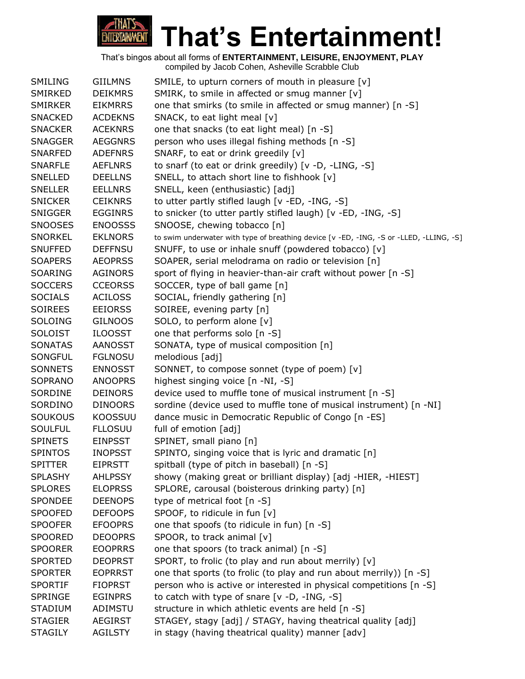

| SMILING        | <b>GIILMNS</b> | SMILE, to upturn corners of mouth in pleasure [v]                                       |
|----------------|----------------|-----------------------------------------------------------------------------------------|
| SMIRKED        | <b>DEIKMRS</b> | SMIRK, to smile in affected or smug manner [v]                                          |
| <b>SMIRKER</b> | <b>EIKMRRS</b> | one that smirks (to smile in affected or smug manner) [n -S]                            |
| <b>SNACKED</b> | <b>ACDEKNS</b> | SNACK, to eat light meal [v]                                                            |
| <b>SNACKER</b> | <b>ACEKNRS</b> | one that snacks (to eat light meal) [n -S]                                              |
| <b>SNAGGER</b> | <b>AEGGNRS</b> | person who uses illegal fishing methods [n -S]                                          |
| SNARFED        | <b>ADEFNRS</b> | SNARF, to eat or drink greedily [v]                                                     |
| <b>SNARFLE</b> | <b>AEFLNRS</b> | to snarf (to eat or drink greedily) [v -D, -LING, -S]                                   |
| <b>SNELLED</b> | <b>DEELLNS</b> | SNELL, to attach short line to fishhook [v]                                             |
| <b>SNELLER</b> | <b>EELLNRS</b> | SNELL, keen (enthusiastic) [adj]                                                        |
| <b>SNICKER</b> | <b>CEIKNRS</b> | to utter partly stifled laugh [v -ED, -ING, -S]                                         |
| <b>SNIGGER</b> | <b>EGGINRS</b> | to snicker (to utter partly stifled laugh) [v -ED, -ING, -S]                            |
| <b>SNOOSES</b> | <b>ENOOSSS</b> | SNOOSE, chewing tobacco [n]                                                             |
| <b>SNORKEL</b> | <b>EKLNORS</b> | to swim underwater with type of breathing device [v -ED, -ING, -S or -LLED, -LLING, -S] |
| <b>SNUFFED</b> | <b>DEFFNSU</b> | SNUFF, to use or inhale snuff (powdered tobacco) [v]                                    |
| <b>SOAPERS</b> | <b>AEOPRSS</b> | SOAPER, serial melodrama on radio or television [n]                                     |
| SOARING        | <b>AGINORS</b> | sport of flying in heavier-than-air craft without power [n -S]                          |
| <b>SOCCERS</b> | <b>CCEORSS</b> | SOCCER, type of ball game [n]                                                           |
| <b>SOCIALS</b> | <b>ACILOSS</b> | SOCIAL, friendly gathering [n]                                                          |
| <b>SOIREES</b> | <b>EEIORSS</b> | SOIREE, evening party [n]                                                               |
| <b>SOLOING</b> | <b>GILNOOS</b> | SOLO, to perform alone [v]                                                              |
| <b>SOLOIST</b> | <b>ILOOSST</b> | one that performs solo [n -S]                                                           |
| <b>SONATAS</b> | AANOSST        | SONATA, type of musical composition [n]                                                 |
| SONGFUL        | <b>FGLNOSU</b> | melodious [adj]                                                                         |
| <b>SONNETS</b> | <b>ENNOSST</b> | SONNET, to compose sonnet (type of poem) [v]                                            |
| SOPRANO        | <b>ANOOPRS</b> | highest singing voice [n -NI, -S]                                                       |
| SORDINE        | <b>DEINORS</b> | device used to muffle tone of musical instrument [n -S]                                 |
| SORDINO        | <b>DINOORS</b> | sordine (device used to muffle tone of musical instrument) [n -NI]                      |
| <b>SOUKOUS</b> | <b>KOOSSUU</b> | dance music in Democratic Republic of Congo [n -ES]                                     |
| <b>SOULFUL</b> | <b>FLLOSUU</b> | full of emotion [adj]                                                                   |
| <b>SPINETS</b> | <b>EINPSST</b> | SPINET, small piano [n]                                                                 |
| <b>SPINTOS</b> | <b>INOPSST</b> | SPINTO, singing voice that is lyric and dramatic [n]                                    |
| <b>SPITTER</b> | <b>EIPRSTT</b> | spitball (type of pitch in baseball) [n -S]                                             |
| <b>SPLASHY</b> | <b>AHLPSSY</b> | showy (making great or brilliant display) [adj -HIER, -HIEST]                           |
| <b>SPLORES</b> | <b>ELOPRSS</b> | SPLORE, carousal (boisterous drinking party) [n]                                        |
| SPONDEE        | <b>DEENOPS</b> | type of metrical foot [n -S]                                                            |
| <b>SPOOFED</b> | <b>DEFOOPS</b> | SPOOF, to ridicule in fun [v]                                                           |
| <b>SPOOFER</b> | <b>EFOOPRS</b> | one that spoofs (to ridicule in fun) [n -S]                                             |
| <b>SPOORED</b> | <b>DEOOPRS</b> | SPOOR, to track animal [v]                                                              |
| <b>SPOORER</b> | <b>EOOPRRS</b> | one that spoors (to track animal) [n -S]                                                |
| <b>SPORTED</b> | <b>DEOPRST</b> | SPORT, to frolic (to play and run about merrily) [v]                                    |
| <b>SPORTER</b> | <b>EOPRRST</b> | one that sports (to frolic (to play and run about merrily)) [n -S]                      |
| <b>SPORTIF</b> | <b>FIOPRST</b> | person who is active or interested in physical competitions [n -S]                      |
| <b>SPRINGE</b> | <b>EGINPRS</b> | to catch with type of snare $[v -D, -ING, -S]$                                          |
| <b>STADIUM</b> | ADIMSTU        | structure in which athletic events are held [n -S]                                      |
| <b>STAGIER</b> | <b>AEGIRST</b> | STAGEY, stagy [adj] / STAGY, having theatrical quality [adj]                            |
| <b>STAGILY</b> | <b>AGILSTY</b> | in stagy (having theatrical quality) manner [adv]                                       |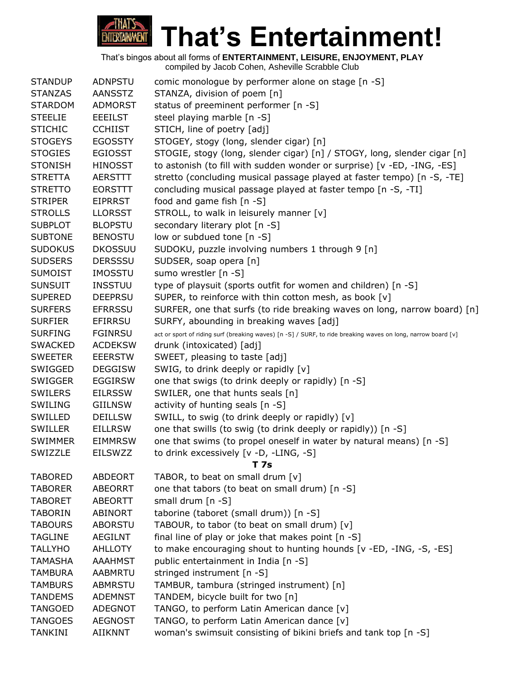

| <b>STANDUP</b> | <b>ADNPSTU</b> | comic monologue by performer alone on stage [n -S]                                                           |
|----------------|----------------|--------------------------------------------------------------------------------------------------------------|
| <b>STANZAS</b> | <b>AANSSTZ</b> | STANZA, division of poem [n]                                                                                 |
| <b>STARDOM</b> | <b>ADMORST</b> | status of preeminent performer [n -S]                                                                        |
| <b>STEELIE</b> | <b>EEEILST</b> | steel playing marble [n -S]                                                                                  |
| <b>STICHIC</b> | <b>CCHIIST</b> | STICH, line of poetry [adj]                                                                                  |
| <b>STOGEYS</b> | <b>EGOSSTY</b> | STOGEY, stogy (long, slender cigar) [n]                                                                      |
| <b>STOGIES</b> | <b>EGIOSST</b> | STOGIE, stogy (long, slender cigar) [n] / STOGY, long, slender cigar [n]                                     |
| <b>STONISH</b> | <b>HINOSST</b> | to astonish (to fill with sudden wonder or surprise) [v -ED, -ING, -ES]                                      |
| <b>STRETTA</b> | <b>AERSTTT</b> | stretto (concluding musical passage played at faster tempo) [n -S, -TE]                                      |
| <b>STRETTO</b> | <b>EORSTTT</b> | concluding musical passage played at faster tempo [n -S, -TI]                                                |
| <b>STRIPER</b> | <b>EIPRRST</b> | food and game fish [n -S]                                                                                    |
| <b>STROLLS</b> | <b>LLORSST</b> | STROLL, to walk in leisurely manner [v]                                                                      |
| <b>SUBPLOT</b> | <b>BLOPSTU</b> | secondary literary plot [n -S]                                                                               |
| <b>SUBTONE</b> | <b>BENOSTU</b> | low or subdued tone [n -S]                                                                                   |
| <b>SUDOKUS</b> | <b>DKOSSUU</b> | SUDOKU, puzzle involving numbers 1 through 9 [n]                                                             |
| <b>SUDSERS</b> | <b>DERSSSU</b> | SUDSER, soap opera [n]                                                                                       |
| <b>SUMOIST</b> | <b>IMOSSTU</b> | sumo wrestler [n -S]                                                                                         |
| <b>SUNSUIT</b> | <b>INSSTUU</b> | type of playsuit (sports outfit for women and children) [n -S]                                               |
| <b>SUPERED</b> | <b>DEEPRSU</b> | SUPER, to reinforce with thin cotton mesh, as book [v]                                                       |
| <b>SURFERS</b> | <b>EFRRSSU</b> | SURFER, one that surfs (to ride breaking waves on long, narrow board) [n]                                    |
| <b>SURFIER</b> | <b>EFIRRSU</b> | SURFY, abounding in breaking waves [adj]                                                                     |
| <b>SURFING</b> | <b>FGINRSU</b> | act or sport of riding surf (breaking waves) [n -S] / SURF, to ride breaking waves on long, narrow board [v] |
| <b>SWACKED</b> | <b>ACDEKSW</b> | drunk (intoxicated) [adj]                                                                                    |
| <b>SWEETER</b> | <b>EEERSTW</b> | SWEET, pleasing to taste [adj]                                                                               |
| SWIGGED        | <b>DEGGISW</b> | SWIG, to drink deeply or rapidly [v]                                                                         |
| <b>SWIGGER</b> | <b>EGGIRSW</b> | one that swigs (to drink deeply or rapidly) [n -S]                                                           |
| <b>SWILERS</b> | <b>EILRSSW</b> | SWILER, one that hunts seals [n]                                                                             |
| SWILING        | <b>GIILNSW</b> | activity of hunting seals [n -S]                                                                             |
| SWILLED        | <b>DEILLSW</b> | SWILL, to swig (to drink deeply or rapidly) [v]                                                              |
| <b>SWILLER</b> | <b>EILLRSW</b> | one that swills (to swig (to drink deeply or rapidly)) [n -S]                                                |
| <b>SWIMMER</b> | <b>EIMMRSW</b> | one that swims (to propel oneself in water by natural means) [n -S]                                          |
| SWIZZLE        | <b>EILSWZZ</b> | to drink excessively [v -D, -LING, -S]                                                                       |
|                |                | T 7s                                                                                                         |
| <b>TABORED</b> | <b>ABDEORT</b> | TABOR, to beat on small drum [v]                                                                             |
| <b>TABORER</b> | <b>ABEORRT</b> | one that tabors (to beat on small drum) [n -S]                                                               |
| <b>TABORET</b> | <b>ABEORTT</b> | small drum $[n -S]$                                                                                          |
| <b>TABORIN</b> | <b>ABINORT</b> | taborine (taboret (small drum)) [n -S]                                                                       |
| <b>TABOURS</b> | <b>ABORSTU</b> | TABOUR, to tabor (to beat on small drum) [v]                                                                 |
| <b>TAGLINE</b> | <b>AEGILNT</b> | final line of play or joke that makes point [n -S]                                                           |
| <b>TALLYHO</b> | <b>AHLLOTY</b> | to make encouraging shout to hunting hounds [v -ED, -ING, -S, -ES]                                           |
| <b>TAMASHA</b> | <b>AAAHMST</b> | public entertainment in India [n -S]                                                                         |
| <b>TAMBURA</b> | <b>AABMRTU</b> | stringed instrument [n -S]                                                                                   |
| <b>TAMBURS</b> | <b>ABMRSTU</b> | TAMBUR, tambura (stringed instrument) [n]                                                                    |
| <b>TANDEMS</b> | <b>ADEMNST</b> | TANDEM, bicycle built for two [n]                                                                            |
| <b>TANGOED</b> | <b>ADEGNOT</b> | TANGO, to perform Latin American dance [v]                                                                   |
| <b>TANGOES</b> | <b>AEGNOST</b> | TANGO, to perform Latin American dance [v]                                                                   |
| <b>TANKINI</b> | <b>AIIKNNT</b> | woman's swimsuit consisting of bikini briefs and tank top [n -S]                                             |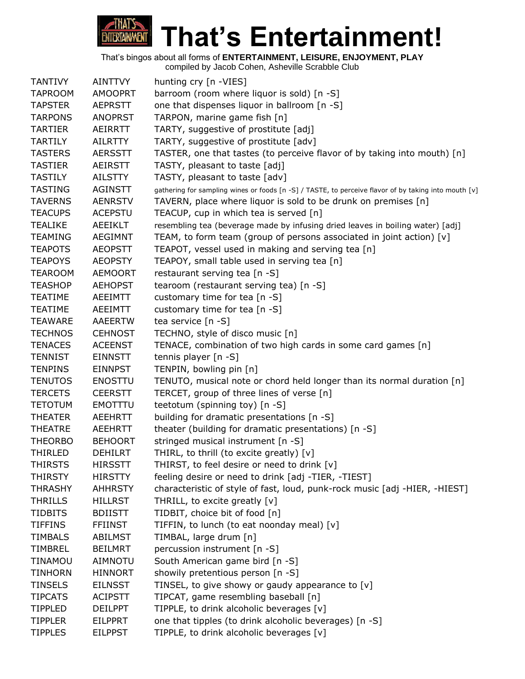

| <b>TANTIVY</b> | <b>AINTTVY</b> | hunting cry [n -VIES]                                                                                |
|----------------|----------------|------------------------------------------------------------------------------------------------------|
| <b>TAPROOM</b> | <b>AMOOPRT</b> | barroom (room where liquor is sold) [n -S]                                                           |
| <b>TAPSTER</b> | <b>AEPRSTT</b> | one that dispenses liquor in ballroom [n -S]                                                         |
| <b>TARPONS</b> | <b>ANOPRST</b> | TARPON, marine game fish [n]                                                                         |
| <b>TARTIER</b> | <b>AEIRRTT</b> | TARTY, suggestive of prostitute [adj]                                                                |
| <b>TARTILY</b> | <b>AILRTTY</b> | TARTY, suggestive of prostitute [adv]                                                                |
| <b>TASTERS</b> | <b>AERSSTT</b> | TASTER, one that tastes (to perceive flavor of by taking into mouth) [n]                             |
| <b>TASTIER</b> | <b>AEIRSTT</b> | TASTY, pleasant to taste [adj]                                                                       |
| <b>TASTILY</b> | <b>AILSTTY</b> | TASTY, pleasant to taste [adv]                                                                       |
| <b>TASTING</b> | <b>AGINSTT</b> | gathering for sampling wines or foods [n -S] / TASTE, to perceive flavor of by taking into mouth [v] |
| <b>TAVERNS</b> | <b>AENRSTV</b> | TAVERN, place where liquor is sold to be drunk on premises [n]                                       |
| <b>TEACUPS</b> | <b>ACEPSTU</b> | TEACUP, cup in which tea is served [n]                                                               |
| <b>TEALIKE</b> | AEEIKLT        | resembling tea (beverage made by infusing dried leaves in boiling water) [adj]                       |
| <b>TEAMING</b> | <b>AEGIMNT</b> | TEAM, to form team (group of persons associated in joint action) [v]                                 |
| <b>TEAPOTS</b> | <b>AEOPSTT</b> | TEAPOT, vessel used in making and serving tea [n]                                                    |
| <b>TEAPOYS</b> | <b>AEOPSTY</b> | TEAPOY, small table used in serving tea [n]                                                          |
| <b>TEAROOM</b> | <b>AEMOORT</b> | restaurant serving tea [n -S]                                                                        |
| <b>TEASHOP</b> | <b>AEHOPST</b> | tearoom (restaurant serving tea) [n -S]                                                              |
| <b>TEATIME</b> | AEEIMTT        | customary time for tea [n -S]                                                                        |
| <b>TEATIME</b> | AEEIMTT        | customary time for tea [n -S]                                                                        |
| <b>TEAWARE</b> | AAEERTW        | tea service [n -S]                                                                                   |
| <b>TECHNOS</b> | <b>CEHNOST</b> | TECHNO, style of disco music [n]                                                                     |
| <b>TENACES</b> | <b>ACEENST</b> | TENACE, combination of two high cards in some card games [n]                                         |
| <b>TENNIST</b> | <b>EINNSTT</b> | tennis player [n -S]                                                                                 |
| <b>TENPINS</b> | <b>EINNPST</b> | TENPIN, bowling pin [n]                                                                              |
| <b>TENUTOS</b> | <b>ENOSTTU</b> | TENUTO, musical note or chord held longer than its normal duration [n]                               |
| <b>TERCETS</b> | <b>CEERSTT</b> | TERCET, group of three lines of verse [n]                                                            |
| <b>TETOTUM</b> | <b>EMOTTTU</b> | teetotum (spinning toy) [n -S]                                                                       |
| <b>THEATER</b> | <b>AEEHRTT</b> | building for dramatic presentations [n -S]                                                           |
| <b>THEATRE</b> | <b>AEEHRTT</b> | theater (building for dramatic presentations) [n -S]                                                 |
| <b>THEORBO</b> | <b>BEHOORT</b> | stringed musical instrument [n -S]                                                                   |
| <b>THIRLED</b> | <b>DEHILRT</b> | THIRL, to thrill (to excite greatly) [v]                                                             |
| <b>THIRSTS</b> | <b>HIRSSTT</b> | THIRST, to feel desire or need to drink [v]                                                          |
| <b>THIRSTY</b> | <b>HIRSTTY</b> | feeling desire or need to drink [adj -TIER, -TIEST]                                                  |
| <b>THRASHY</b> | <b>AHHRSTY</b> | characteristic of style of fast, loud, punk-rock music [adj -HIER, -HIEST]                           |
| <b>THRILLS</b> | <b>HILLRST</b> | THRILL, to excite greatly [v]                                                                        |
| <b>TIDBITS</b> | <b>BDIISTT</b> | TIDBIT, choice bit of food [n]                                                                       |
| <b>TIFFINS</b> | <b>FFIINST</b> | TIFFIN, to lunch (to eat noonday meal) [v]                                                           |
| <b>TIMBALS</b> | <b>ABILMST</b> | TIMBAL, large drum [n]                                                                               |
| <b>TIMBREL</b> | <b>BEILMRT</b> | percussion instrument [n -S]                                                                         |
| <b>TINAMOU</b> | <b>AIMNOTU</b> | South American game bird [n -S]                                                                      |
| <b>TINHORN</b> | <b>HINNORT</b> | showily pretentious person [n -S]                                                                    |
| <b>TINSELS</b> | <b>EILNSST</b> | TINSEL, to give showy or gaudy appearance to [v]                                                     |
| <b>TIPCATS</b> | <b>ACIPSTT</b> | TIPCAT, game resembling baseball [n]                                                                 |
| <b>TIPPLED</b> | <b>DEILPPT</b> | TIPPLE, to drink alcoholic beverages [v]                                                             |
| <b>TIPPLER</b> | <b>EILPPRT</b> | one that tipples (to drink alcoholic beverages) [n -S]                                               |
| <b>TIPPLES</b> | <b>EILPPST</b> | TIPPLE, to drink alcoholic beverages [v]                                                             |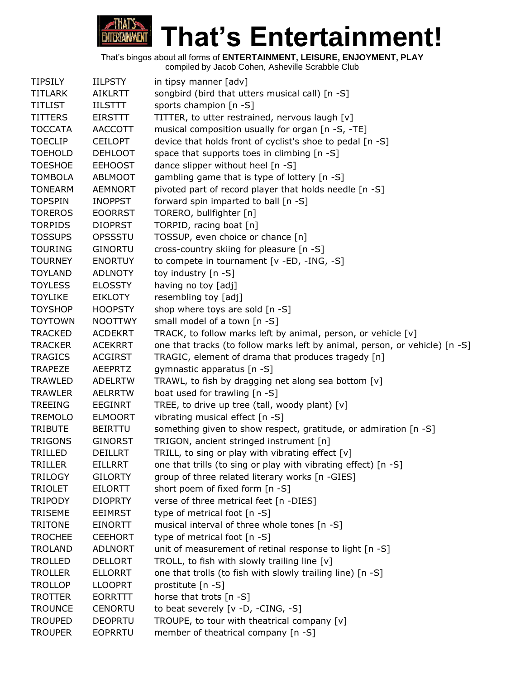

| <b>TIPSILY</b> | <b>IILPSTY</b> | in tipsy manner [adv]                                                       |
|----------------|----------------|-----------------------------------------------------------------------------|
| <b>TITLARK</b> | <b>AIKLRTT</b> | songbird (bird that utters musical call) [n -S]                             |
| <b>TITLIST</b> | <b>IILSTTT</b> | sports champion [n -S]                                                      |
| <b>TITTERS</b> | <b>EIRSTTT</b> | TITTER, to utter restrained, nervous laugh [v]                              |
| <b>TOCCATA</b> | <b>AACCOTT</b> | musical composition usually for organ [n -S, -TE]                           |
| <b>TOECLIP</b> | <b>CEILOPT</b> | device that holds front of cyclist's shoe to pedal [n -S]                   |
| <b>TOEHOLD</b> | <b>DEHLOOT</b> | space that supports toes in climbing [n -S]                                 |
| <b>TOESHOE</b> | <b>EEHOOST</b> | dance slipper without heel [n -S]                                           |
| <b>TOMBOLA</b> | <b>ABLMOOT</b> | gambling game that is type of lottery [n -S]                                |
| <b>TONEARM</b> | <b>AEMNORT</b> | pivoted part of record player that holds needle [n -S]                      |
| <b>TOPSPIN</b> | <b>INOPPST</b> | forward spin imparted to ball [n -S]                                        |
| <b>TOREROS</b> | <b>EOORRST</b> | TORERO, bullfighter [n]                                                     |
| <b>TORPIDS</b> | <b>DIOPRST</b> | TORPID, racing boat [n]                                                     |
| <b>TOSSUPS</b> | OPSSSTU        | TOSSUP, even choice or chance [n]                                           |
| <b>TOURING</b> | <b>GINORTU</b> | cross-country skiing for pleasure [n -S]                                    |
| <b>TOURNEY</b> | <b>ENORTUY</b> | to compete in tournament [v -ED, -ING, -S]                                  |
| <b>TOYLAND</b> | <b>ADLNOTY</b> | toy industry [n -S]                                                         |
| <b>TOYLESS</b> | <b>ELOSSTY</b> | having no toy [adj]                                                         |
| <b>TOYLIKE</b> | <b>EIKLOTY</b> | resembling toy [adj]                                                        |
| <b>TOYSHOP</b> | <b>HOOPSTY</b> | shop where toys are sold [n -S]                                             |
| <b>TOYTOWN</b> | <b>NOOTTWY</b> | small model of a town [n -S]                                                |
| <b>TRACKED</b> | <b>ACDEKRT</b> | TRACK, to follow marks left by animal, person, or vehicle [v]               |
| <b>TRACKER</b> | <b>ACEKRRT</b> | one that tracks (to follow marks left by animal, person, or vehicle) [n -S] |
| <b>TRAGICS</b> | <b>ACGIRST</b> | TRAGIC, element of drama that produces tragedy [n]                          |
| <b>TRAPEZE</b> | <b>AEEPRTZ</b> | gymnastic apparatus [n -S]                                                  |
| <b>TRAWLED</b> | <b>ADELRTW</b> | TRAWL, to fish by dragging net along sea bottom [v]                         |
| <b>TRAWLER</b> | <b>AELRRTW</b> | boat used for trawling [n -S]                                               |
| <b>TREEING</b> | <b>EEGINRT</b> | TREE, to drive up tree (tall, woody plant) [v]                              |
| <b>TREMOLO</b> | <b>ELMOORT</b> | vibrating musical effect [n -S]                                             |
| <b>TRIBUTE</b> | <b>BEIRTTU</b> | something given to show respect, gratitude, or admiration [n -S]            |
| <b>TRIGONS</b> | <b>GINORST</b> | TRIGON, ancient stringed instrument [n]                                     |
| <b>TRILLED</b> | <b>DEILLRT</b> | TRILL, to sing or play with vibrating effect [v]                            |
| <b>TRILLER</b> | <b>EILLRRT</b> | one that trills (to sing or play with vibrating effect) [n -S]              |
| <b>TRILOGY</b> | <b>GILORTY</b> | group of three related literary works [n -GIES]                             |
| <b>TRIOLET</b> | <b>EILORTT</b> | short poem of fixed form [n -S]                                             |
| <b>TRIPODY</b> | <b>DIOPRTY</b> | verse of three metrical feet [n -DIES]                                      |
| <b>TRISEME</b> | <b>EEIMRST</b> | type of metrical foot [n -S]                                                |
| <b>TRITONE</b> | <b>EINORTT</b> | musical interval of three whole tones [n -S]                                |
| <b>TROCHEE</b> | <b>CEEHORT</b> | type of metrical foot [n -S]                                                |
| <b>TROLAND</b> | <b>ADLNORT</b> | unit of measurement of retinal response to light [n -S]                     |
| <b>TROLLED</b> | <b>DELLORT</b> | TROLL, to fish with slowly trailing line [v]                                |
| <b>TROLLER</b> | <b>ELLORRT</b> | one that trolls (to fish with slowly trailing line) [n -S]                  |
| <b>TROLLOP</b> | <b>LLOOPRT</b> | prostitute [n -S]                                                           |
| <b>TROTTER</b> | <b>EORRTTT</b> | horse that trots [n -S]                                                     |
| <b>TROUNCE</b> | <b>CENORTU</b> | to beat severely [v -D, -CING, -S]                                          |
| <b>TROUPED</b> | <b>DEOPRTU</b> | TROUPE, to tour with theatrical company [v]                                 |
| <b>TROUPER</b> | <b>EOPRRTU</b> | member of theatrical company [n -S]                                         |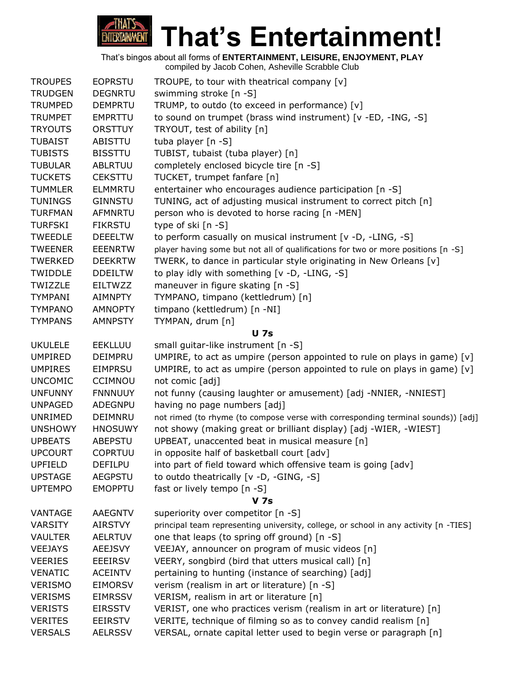

| <b>TROUPES</b> | <b>EOPRSTU</b> | TROUPE, to tour with theatrical company [v]                                          |
|----------------|----------------|--------------------------------------------------------------------------------------|
| <b>TRUDGEN</b> | <b>DEGNRTU</b> | swimming stroke [n -S]                                                               |
| <b>TRUMPED</b> | <b>DEMPRTU</b> | TRUMP, to outdo (to exceed in performance) [v]                                       |
| <b>TRUMPET</b> | <b>EMPRTTU</b> | to sound on trumpet (brass wind instrument) [v -ED, -ING, -S]                        |
| <b>TRYOUTS</b> | <b>ORSTTUY</b> | TRYOUT, test of ability [n]                                                          |
| <b>TUBAIST</b> | ABISTTU        | tuba player [n -S]                                                                   |
| <b>TUBISTS</b> | <b>BISSTTU</b> | TUBIST, tubaist (tuba player) [n]                                                    |
| <b>TUBULAR</b> | <b>ABLRTUU</b> | completely enclosed bicycle tire [n -S]                                              |
| <b>TUCKETS</b> | <b>CEKSTTU</b> | TUCKET, trumpet fanfare [n]                                                          |
| <b>TUMMLER</b> | <b>ELMMRTU</b> | entertainer who encourages audience participation [n -S]                             |
| <b>TUNINGS</b> | <b>GINNSTU</b> | TUNING, act of adjusting musical instrument to correct pitch [n]                     |
| <b>TURFMAN</b> | <b>AFMNRTU</b> | person who is devoted to horse racing [n -MEN]                                       |
| <b>TURFSKI</b> | <b>FIKRSTU</b> | type of ski [n -S]                                                                   |
| <b>TWEEDLE</b> | <b>DEEELTW</b> | to perform casually on musical instrument [v -D, -LING, -S]                          |
| <b>TWEENER</b> | <b>EEENRTW</b> | player having some but not all of qualifications for two or more positions [n -S]    |
| <b>TWERKED</b> | <b>DEEKRTW</b> | TWERK, to dance in particular style originating in New Orleans [v]                   |
| TWIDDLE        | <b>DDEILTW</b> | to play idly with something [v -D, -LING, -S]                                        |
| TWIZZLE        | EILTWZZ        | maneuver in figure skating [n -S]                                                    |
| <b>TYMPANI</b> | <b>AIMNPTY</b> | TYMPANO, timpano (kettledrum) [n]                                                    |
| <b>TYMPANO</b> | <b>AMNOPTY</b> | timpano (kettledrum) [n -NI]                                                         |
| <b>TYMPANS</b> | <b>AMNPSTY</b> | TYMPAN, drum [n]                                                                     |
|                |                | <b>U</b> 7s                                                                          |
| <b>UKULELE</b> | <b>EEKLLUU</b> | small guitar-like instrument [n -S]                                                  |
| <b>UMPIRED</b> | <b>DEIMPRU</b> | UMPIRE, to act as umpire (person appointed to rule on plays in game) [v]             |
| <b>UMPIRES</b> | <b>EIMPRSU</b> | UMPIRE, to act as umpire (person appointed to rule on plays in game) [v]             |
| <b>UNCOMIC</b> | <b>CCIMNOU</b> | not comic [adj]                                                                      |
| <b>UNFUNNY</b> | <b>FNNNUUY</b> | not funny (causing laughter or amusement) [adj -NNIER, -NNIEST]                      |
| <b>UNPAGED</b> | <b>ADEGNPU</b> | having no page numbers [adj]                                                         |
| UNRIMED        | DEIMNRU        | not rimed (to rhyme (to compose verse with corresponding terminal sounds)) [adj]     |
| <b>UNSHOWY</b> | <b>HNOSUWY</b> | not showy (making great or brilliant display) [adj -WIER, -WIEST]                    |
| <b>UPBEATS</b> | <b>ABEPSTU</b> | UPBEAT, unaccented beat in musical measure [n]                                       |
| <b>UPCOURT</b> | <b>COPRTUU</b> | in opposite half of basketball court [adv]                                           |
| <b>UPFIELD</b> | <b>DEFILPU</b> | into part of field toward which offensive team is going [adv]                        |
| <b>UPSTAGE</b> | <b>AEGPSTU</b> | to outdo theatrically [v -D, -GING, -S]                                              |
| <b>UPTEMPO</b> | <b>EMOPPTU</b> | fast or lively tempo [n -S]                                                          |
|                |                | <b>V</b> 7s                                                                          |
| <b>VANTAGE</b> | <b>AAEGNTV</b> | superiority over competitor [n -S]                                                   |
| <b>VARSITY</b> | <b>AIRSTVY</b> | principal team representing university, college, or school in any activity [n -TIES] |
| <b>VAULTER</b> | <b>AELRTUV</b> | one that leaps (to spring off ground) [n -S]                                         |
| <b>VEEJAYS</b> | <b>AEEJSVY</b> | VEEJAY, announcer on program of music videos [n]                                     |
| <b>VEERIES</b> | <b>EEEIRSV</b> | VEERY, songbird (bird that utters musical call) [n]                                  |
| <b>VENATIC</b> | <b>ACEINTV</b> | pertaining to hunting (instance of searching) [adj]                                  |
| <b>VERISMO</b> | <b>EIMORSV</b> | verism (realism in art or literature) [n -S]                                         |
| <b>VERISMS</b> | <b>EIMRSSV</b> | VERISM, realism in art or literature [n]                                             |
| <b>VERISTS</b> | <b>EIRSSTV</b> | VERIST, one who practices verism (realism in art or literature) [n]                  |
| <b>VERITES</b> | <b>EEIRSTV</b> | VERITE, technique of filming so as to convey candid realism [n]                      |
| <b>VERSALS</b> | <b>AELRSSV</b> | VERSAL, ornate capital letter used to begin verse or paragraph [n]                   |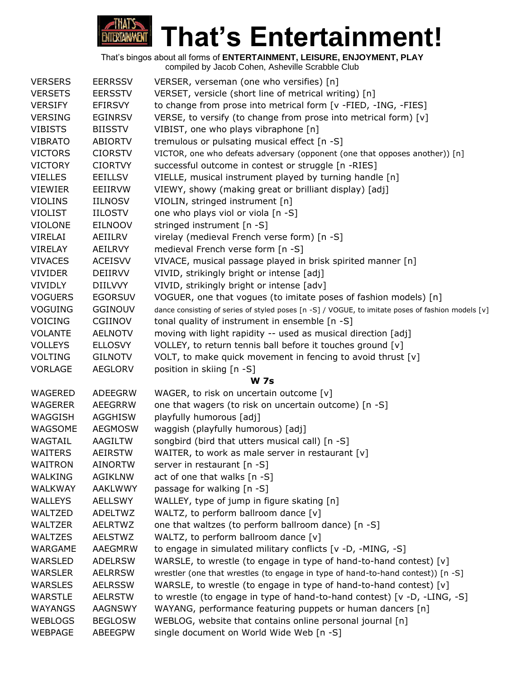

| <b>VERSERS</b> | <b>EERRSSV</b> | VERSER, verseman (one who versifies) [n]                                                          |
|----------------|----------------|---------------------------------------------------------------------------------------------------|
| <b>VERSETS</b> | <b>EERSSTV</b> | VERSET, versicle (short line of metrical writing) [n]                                             |
| <b>VERSIFY</b> | EFIRSVY        | to change from prose into metrical form [v -FIED, -ING, -FIES]                                    |
| <b>VERSING</b> | <b>EGINRSV</b> | VERSE, to versify (to change from prose into metrical form) [v]                                   |
| <b>VIBISTS</b> | <b>BIISSTV</b> | VIBIST, one who plays vibraphone [n]                                                              |
| <b>VIBRATO</b> | <b>ABIORTV</b> | tremulous or pulsating musical effect [n -S]                                                      |
| <b>VICTORS</b> | <b>CIORSTV</b> | VICTOR, one who defeats adversary (opponent (one that opposes another)) [n]                       |
| <b>VICTORY</b> | <b>CIORTVY</b> | successful outcome in contest or struggle [n -RIES]                                               |
| <b>VIELLES</b> | <b>EEILLSV</b> | VIELLE, musical instrument played by turning handle [n]                                           |
| <b>VIEWIER</b> | EEIIRVW        | VIEWY, showy (making great or brilliant display) [adj]                                            |
| <b>VIOLINS</b> | <b>IILNOSV</b> | VIOLIN, stringed instrument [n]                                                                   |
| <b>VIOLIST</b> | <b>IILOSTV</b> | one who plays viol or viola [n -S]                                                                |
| <b>VIOLONE</b> | <b>EILNOOV</b> | stringed instrument [n -S]                                                                        |
| VIRELAI        | AEIILRV        | virelay (medieval French verse form) [n -S]                                                       |
| <b>VIRELAY</b> | AEILRVY        | medieval French verse form [n -S]                                                                 |
| <b>VIVACES</b> | <b>ACEISVV</b> | VIVACE, musical passage played in brisk spirited manner [n]                                       |
| <b>VIVIDER</b> | <b>DEIIRVV</b> | VIVID, strikingly bright or intense [adj]                                                         |
| <b>VIVIDLY</b> | <b>DIILVVY</b> | VIVID, strikingly bright or intense [adv]                                                         |
| <b>VOGUERS</b> | <b>EGORSUV</b> | VOGUER, one that vogues (to imitate poses of fashion models) [n]                                  |
| <b>VOGUING</b> | <b>GGINOUV</b> | dance consisting of series of styled poses [n -S] / VOGUE, to imitate poses of fashion models [v] |
| <b>VOICING</b> | CGIINOV        | tonal quality of instrument in ensemble [n -S]                                                    |
| <b>VOLANTE</b> | <b>AELNOTV</b> | moving with light rapidity -- used as musical direction [adj]                                     |
| <b>VOLLEYS</b> | <b>ELLOSVY</b> | VOLLEY, to return tennis ball before it touches ground [v]                                        |
| <b>VOLTING</b> | <b>GILNOTV</b> | VOLT, to make quick movement in fencing to avoid thrust [v]                                       |
| <b>VORLAGE</b> | <b>AEGLORV</b> | position in skiing [n -S]                                                                         |
|                |                | <b>W</b> 7s                                                                                       |
| <b>WAGERED</b> | ADEEGRW        | WAGER, to risk on uncertain outcome [v]                                                           |
| <b>WAGERER</b> | <b>AEEGRRW</b> | one that wagers (to risk on uncertain outcome) [n -S]                                             |
| WAGGISH        | <b>AGGHISW</b> | playfully humorous [adj]                                                                          |
| WAGSOME        | <b>AEGMOSW</b> | waggish (playfully humorous) [adj]                                                                |
| WAGTAIL        | <b>AAGILTW</b> | songbird (bird that utters musical call) [n -S]                                                   |
| <b>WAITERS</b> | AEIRSTW        | WAITER, to work as male server in restaurant [v]                                                  |
| <b>WAITRON</b> | <b>AINORTW</b> | server in restaurant [n -S]                                                                       |
| WALKING        | <b>AGIKLNW</b> | act of one that walks [n -S]                                                                      |
| <b>WALKWAY</b> | <b>AAKLWWY</b> | passage for walking [n -S]                                                                        |
| <b>WALLEYS</b> | <b>AELLSWY</b> | WALLEY, type of jump in figure skating [n]                                                        |
| WALTZED        | <b>ADELTWZ</b> | WALTZ, to perform ballroom dance [v]                                                              |
| <b>WALTZER</b> | <b>AELRTWZ</b> | one that waltzes (to perform ballroom dance) [n -S]                                               |
| <b>WALTZES</b> | <b>AELSTWZ</b> | WALTZ, to perform ballroom dance [v]                                                              |
| WARGAME        | AAEGMRW        | to engage in simulated military conflicts [v -D, -MING, -S]                                       |
| <b>WARSLED</b> | <b>ADELRSW</b> | WARSLE, to wrestle (to engage in type of hand-to-hand contest) [v]                                |
| <b>WARSLER</b> | <b>AELRRSW</b> | wrestler (one that wrestles (to engage in type of hand-to-hand contest)) [n -S]                   |
| <b>WARSLES</b> | <b>AELRSSW</b> | WARSLE, to wrestle (to engage in type of hand-to-hand contest) [v]                                |
| <b>WARSTLE</b> | <b>AELRSTW</b> | to wrestle (to engage in type of hand-to-hand contest) [v -D, -LING, -S]                          |
| WAYANGS        | <b>AAGNSWY</b> | WAYANG, performance featuring puppets or human dancers [n]                                        |
| <b>WEBLOGS</b> | <b>BEGLOSW</b> | WEBLOG, website that contains online personal journal [n]                                         |
| <b>WEBPAGE</b> | ABEEGPW        | single document on World Wide Web [n -S]                                                          |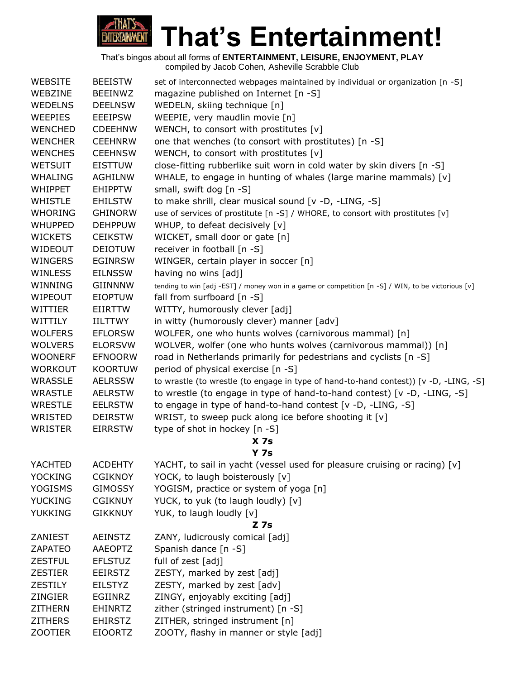

| <b>WEBSITE</b> | <b>BEEISTW</b> | set of interconnected webpages maintained by individual or organization [n -S]                    |
|----------------|----------------|---------------------------------------------------------------------------------------------------|
| WEBZINE        | <b>BEEINWZ</b> | magazine published on Internet [n -S]                                                             |
| <b>WEDELNS</b> | <b>DEELNSW</b> | WEDELN, skiing technique [n]                                                                      |
| <b>WEEPIES</b> | <b>EEEIPSW</b> | WEEPIE, very maudlin movie [n]                                                                    |
| <b>WENCHED</b> | <b>CDEEHNW</b> | WENCH, to consort with prostitutes [v]                                                            |
| <b>WENCHER</b> | <b>CEEHNRW</b> | one that wenches (to consort with prostitutes) [n -S]                                             |
| <b>WENCHES</b> | <b>CEEHNSW</b> | WENCH, to consort with prostitutes [v]                                                            |
| <b>WETSUIT</b> | <b>EISTTUW</b> | close-fitting rubberlike suit worn in cold water by skin divers [n -S]                            |
| <b>WHALING</b> | <b>AGHILNW</b> | WHALE, to engage in hunting of whales (large marine mammals) [v]                                  |
| <b>WHIPPET</b> | <b>EHIPPTW</b> | small, swift dog [n -S]                                                                           |
| <b>WHISTLE</b> | <b>EHILSTW</b> | to make shrill, clear musical sound [v -D, -LING, -S]                                             |
| <b>WHORING</b> | <b>GHINORW</b> | use of services of prostitute [n -S] / WHORE, to consort with prostitutes [v]                     |
| <b>WHUPPED</b> | <b>DEHPPUW</b> | WHUP, to defeat decisively [v]                                                                    |
| <b>WICKETS</b> | <b>CEIKSTW</b> | WICKET, small door or gate [n]                                                                    |
| WIDEOUT        | <b>DEIOTUW</b> | receiver in football [n -S]                                                                       |
| <b>WINGERS</b> | <b>EGINRSW</b> | WINGER, certain player in soccer [n]                                                              |
| <b>WINLESS</b> | <b>EILNSSW</b> | having no wins [adj]                                                                              |
| WINNING        | <b>GIINNNW</b> | tending to win [adj -EST] / money won in a game or competition [n -S] / WIN, to be victorious [v] |
| <b>WIPEOUT</b> | <b>EIOPTUW</b> | fall from surfboard [n -S]                                                                        |
| <b>WITTIER</b> | <b>EIIRTTW</b> | WITTY, humorously clever [adj]                                                                    |
| WITTILY        | IILTTWY        | in witty (humorously clever) manner [adv]                                                         |
| <b>WOLFERS</b> | <b>EFLORSW</b> | WOLFER, one who hunts wolves (carnivorous mammal) [n]                                             |
| <b>WOLVERS</b> | <b>ELORSVW</b> | WOLVER, wolfer (one who hunts wolves (carnivorous mammal)) [n]                                    |
| <b>WOONERF</b> | <b>EFNOORW</b> | road in Netherlands primarily for pedestrians and cyclists [n -S]                                 |
| <b>WORKOUT</b> | <b>KOORTUW</b> | period of physical exercise [n -S]                                                                |
| <b>WRASSLE</b> | <b>AELRSSW</b> | to wrastle (to wrestle (to engage in type of hand-to-hand contest)) [v -D, -LING, -S]             |
| <b>WRASTLE</b> | <b>AELRSTW</b> | to wrestle (to engage in type of hand-to-hand contest) [ $v$ -D, -LING, -S]                       |
| <b>WRESTLE</b> | <b>EELRSTW</b> | to engage in type of hand-to-hand contest [v -D, -LING, -S]                                       |
| WRISTED        | <b>DEIRSTW</b> | WRIST, to sweep puck along ice before shooting it [v]                                             |
| <b>WRISTER</b> | <b>EIRRSTW</b> | type of shot in hockey [n -S]                                                                     |
|                |                | X <sub>7s</sub>                                                                                   |
|                |                | Y <sub>7s</sub>                                                                                   |
| YACHTED        | <b>ACDEHTY</b> | YACHT, to sail in yacht (vessel used for pleasure cruising or racing) [v]                         |
| <b>YOCKING</b> | <b>CGIKNOY</b> | YOCK, to laugh boisterously [v]                                                                   |
| <b>YOGISMS</b> | <b>GIMOSSY</b> | YOGISM, practice or system of yoga [n]                                                            |
| <b>YUCKING</b> | <b>CGIKNUY</b> | YUCK, to yuk (to laugh loudly) [v]                                                                |
| <b>YUKKING</b> | <b>GIKKNUY</b> | YUK, to laugh loudly [v]                                                                          |
|                |                | Z 7s                                                                                              |
| ZANIEST        | <b>AEINSTZ</b> | ZANY, ludicrously comical [adj]                                                                   |
| <b>ZAPATEO</b> | <b>AAEOPTZ</b> | Spanish dance [n -S]                                                                              |
| <b>ZESTFUL</b> | <b>EFLSTUZ</b> | full of zest [adj]                                                                                |
| <b>ZESTIER</b> | <b>EEIRSTZ</b> | ZESTY, marked by zest [adj]                                                                       |
| <b>ZESTILY</b> | <b>EILSTYZ</b> | ZESTY, marked by zest [adv]                                                                       |
| ZINGIER        | EGIINRZ        | ZINGY, enjoyably exciting [adj]                                                                   |
| <b>ZITHERN</b> | <b>EHINRTZ</b> | zither (stringed instrument) [n -S]                                                               |
| <b>ZITHERS</b> | <b>EHIRSTZ</b> | ZITHER, stringed instrument [n]                                                                   |
| <b>ZOOTIER</b> | <b>EIOORTZ</b> | ZOOTY, flashy in manner or style [adj]                                                            |